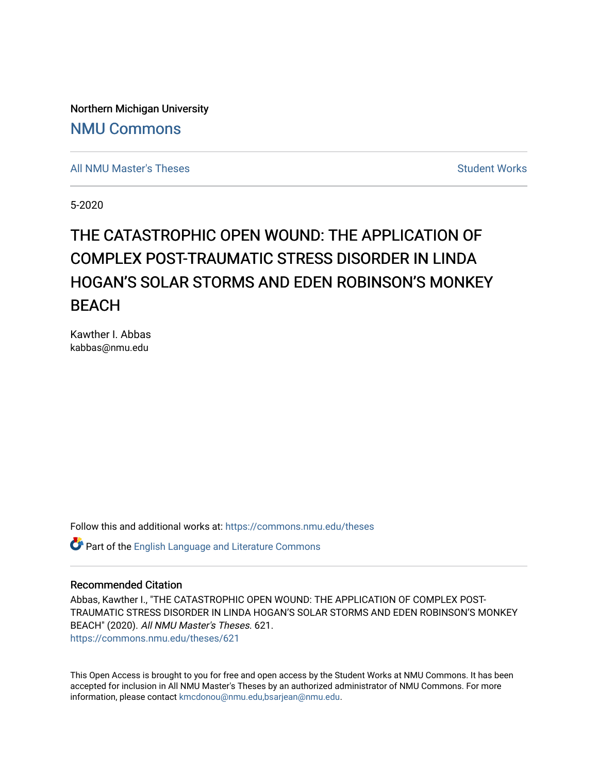Northern Michigan University [NMU Commons](https://commons.nmu.edu/) 

[All NMU Master's Theses](https://commons.nmu.edu/theses) [Student Works](https://commons.nmu.edu/student_works) Student Works Student Works

5-2020

# THE CATASTROPHIC OPEN WOUND: THE APPLICATION OF COMPLEX POST-TRAUMATIC STRESS DISORDER IN LINDA HOGAN'S SOLAR STORMS AND EDEN ROBINSON'S MONKEY BEACH

Kawther I. Abbas kabbas@nmu.edu

Follow this and additional works at: [https://commons.nmu.edu/theses](https://commons.nmu.edu/theses?utm_source=commons.nmu.edu%2Ftheses%2F621&utm_medium=PDF&utm_campaign=PDFCoverPages)

Part of the [English Language and Literature Commons](http://network.bepress.com/hgg/discipline/455?utm_source=commons.nmu.edu%2Ftheses%2F621&utm_medium=PDF&utm_campaign=PDFCoverPages)

#### Recommended Citation

Abbas, Kawther I., "THE CATASTROPHIC OPEN WOUND: THE APPLICATION OF COMPLEX POST-TRAUMATIC STRESS DISORDER IN LINDA HOGAN'S SOLAR STORMS AND EDEN ROBINSON'S MONKEY BEACH" (2020). All NMU Master's Theses. 621. [https://commons.nmu.edu/theses/621](https://commons.nmu.edu/theses/621?utm_source=commons.nmu.edu%2Ftheses%2F621&utm_medium=PDF&utm_campaign=PDFCoverPages) 

This Open Access is brought to you for free and open access by the Student Works at NMU Commons. It has been accepted for inclusion in All NMU Master's Theses by an authorized administrator of NMU Commons. For more information, please contact [kmcdonou@nmu.edu,bsarjean@nmu.edu](mailto:kmcdonou@nmu.edu,bsarjean@nmu.edu).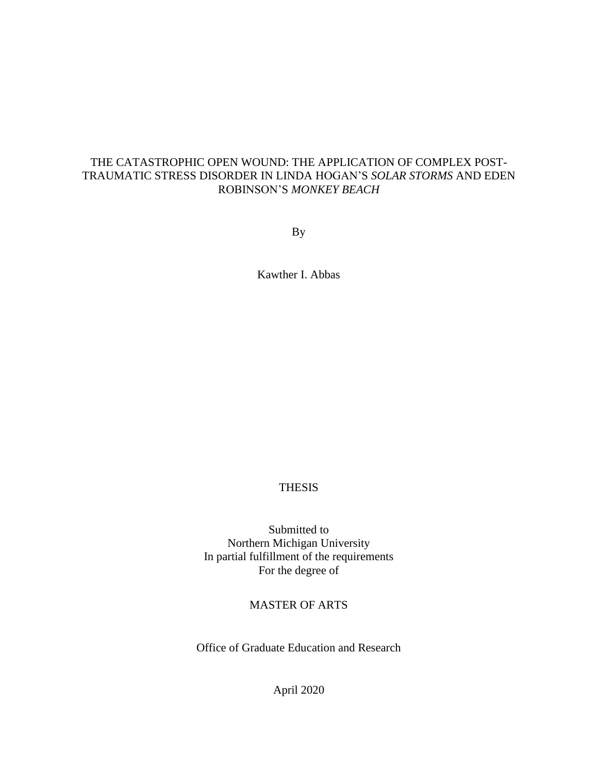## THE CATASTROPHIC OPEN WOUND: THE APPLICATION OF COMPLEX POST-TRAUMATIC STRESS DISORDER IN LINDA HOGAN'S *SOLAR STORMS* AND EDEN ROBINSON'S *MONKEY BEACH*

By

Kawther I. Abbas

## THESIS

Submitted to Northern Michigan University In partial fulfillment of the requirements For the degree of

## MASTER OF ARTS

Office of Graduate Education and Research

April 2020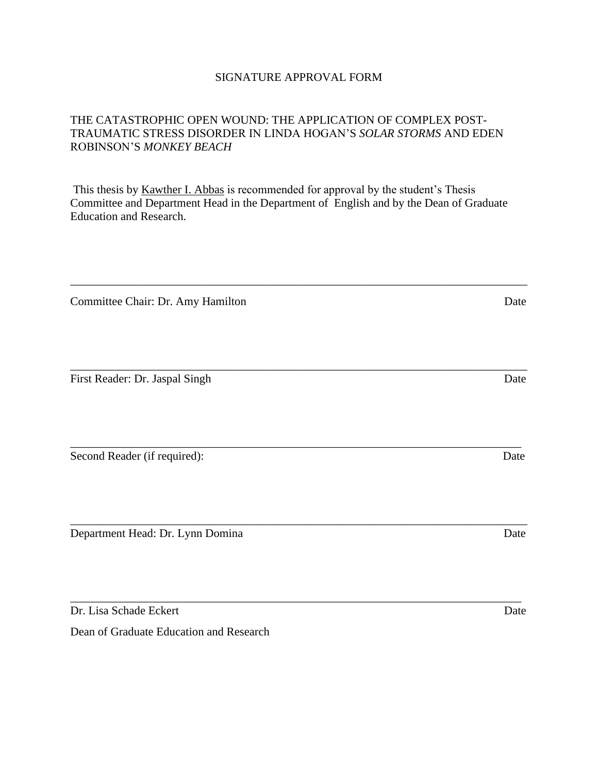## SIGNATURE APPROVAL FORM

## THE CATASTROPHIC OPEN WOUND: THE APPLICATION OF COMPLEX POST-TRAUMATIC STRESS DISORDER IN LINDA HOGAN'S *SOLAR STORMS* AND EDEN ROBINSON'S *MONKEY BEACH*

This thesis by Kawther I. Abbas is recommended for approval by the student's Thesis Committee and Department Head in the Department of English and by the Dean of Graduate Education and Research.

\_\_\_\_\_\_\_\_\_\_\_\_\_\_\_\_\_\_\_\_\_\_\_\_\_\_\_\_\_\_\_\_\_\_\_\_\_\_\_\_\_\_\_\_\_\_\_\_\_\_\_\_\_\_\_\_\_\_\_\_\_\_\_\_\_\_\_\_\_\_\_\_\_\_\_\_\_\_

\_\_\_\_\_\_\_\_\_\_\_\_\_\_\_\_\_\_\_\_\_\_\_\_\_\_\_\_\_\_\_\_\_\_\_\_\_\_\_\_\_\_\_\_\_\_\_\_\_\_\_\_\_\_\_\_\_\_\_\_\_\_\_\_\_\_\_\_\_\_\_\_\_\_\_\_\_\_

\_\_\_\_\_\_\_\_\_\_\_\_\_\_\_\_\_\_\_\_\_\_\_\_\_\_\_\_\_\_\_\_\_\_\_\_\_\_\_\_\_\_\_\_\_\_\_\_\_\_\_\_\_\_\_\_\_\_\_\_\_\_\_\_\_\_\_\_\_\_\_\_\_\_\_\_\_

\_\_\_\_\_\_\_\_\_\_\_\_\_\_\_\_\_\_\_\_\_\_\_\_\_\_\_\_\_\_\_\_\_\_\_\_\_\_\_\_\_\_\_\_\_\_\_\_\_\_\_\_\_\_\_\_\_\_\_\_\_\_\_\_\_\_\_\_\_\_\_\_\_\_\_\_\_\_

\_\_\_\_\_\_\_\_\_\_\_\_\_\_\_\_\_\_\_\_\_\_\_\_\_\_\_\_\_\_\_\_\_\_\_\_\_\_\_\_\_\_\_\_\_\_\_\_\_\_\_\_\_\_\_\_\_\_\_\_\_\_\_\_\_\_\_\_\_\_\_\_\_\_\_\_\_

Committee Chair: Dr. Amy Hamilton Date

First Reader: Dr. Jaspal Singh Date

Second Reader (if required): Date

Department Head: Dr. Lynn Domina Date

Dr. Lisa Schade Eckert Date

Dean of Graduate Education and Research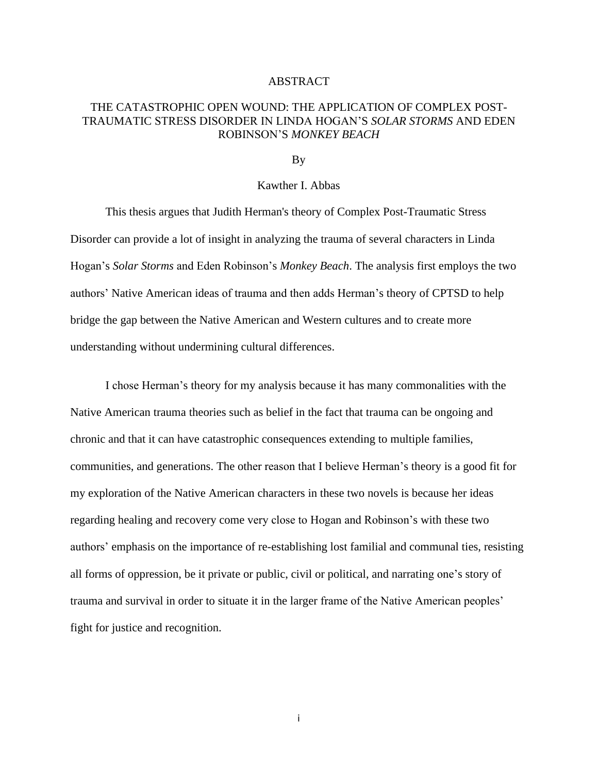#### ABSTRACT

## THE CATASTROPHIC OPEN WOUND: THE APPLICATION OF COMPLEX POST-TRAUMATIC STRESS DISORDER IN LINDA HOGAN'S *SOLAR STORMS* AND EDEN ROBINSON'S *MONKEY BEACH*

#### By

#### Kawther I. Abbas

This thesis argues that Judith Herman's theory of Complex Post-Traumatic Stress Disorder can provide a lot of insight in analyzing the trauma of several characters in Linda Hogan's *Solar Storms* and Eden Robinson's *Monkey Beach*. The analysis first employs the two authors' Native American ideas of trauma and then adds Herman's theory of CPTSD to help bridge the gap between the Native American and Western cultures and to create more understanding without undermining cultural differences.

I chose Herman's theory for my analysis because it has many commonalities with the Native American trauma theories such as belief in the fact that trauma can be ongoing and chronic and that it can have catastrophic consequences extending to multiple families, communities, and generations. The other reason that I believe Herman's theory is a good fit for my exploration of the Native American characters in these two novels is because her ideas regarding healing and recovery come very close to Hogan and Robinson's with these two authors' emphasis on the importance of re-establishing lost familial and communal ties, resisting all forms of oppression, be it private or public, civil or political, and narrating one's story of trauma and survival in order to situate it in the larger frame of the Native American peoples' fight for justice and recognition.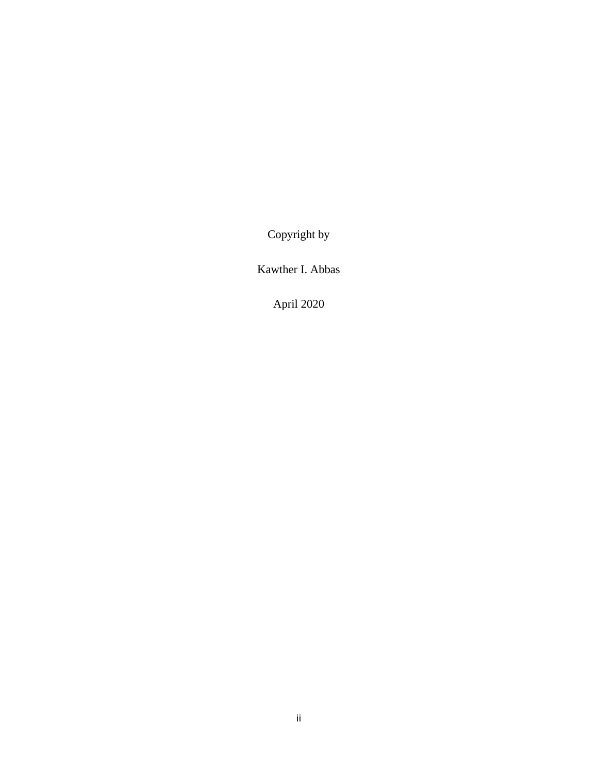Copyright by

Kawther I. Abbas

April 2020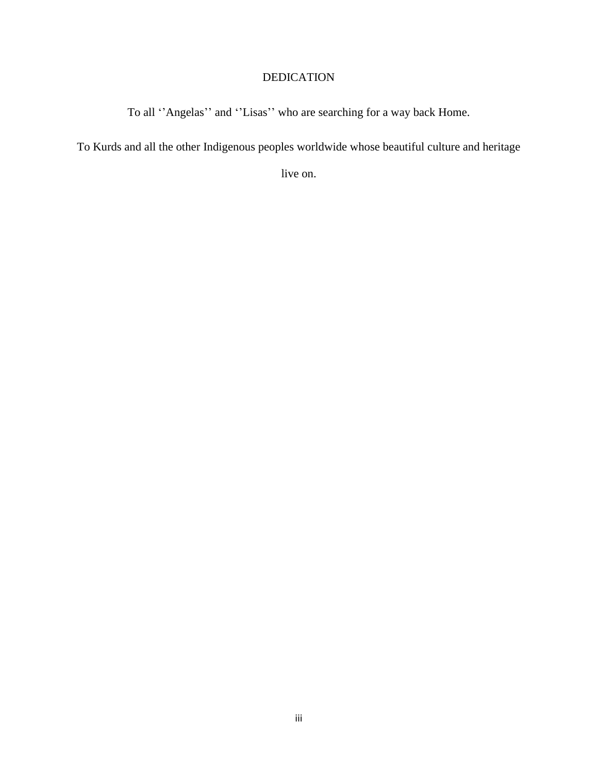## DEDICATION

To all ''Angelas'' and ''Lisas'' who are searching for a way back Home.

To Kurds and all the other Indigenous peoples worldwide whose beautiful culture and heritage

live on.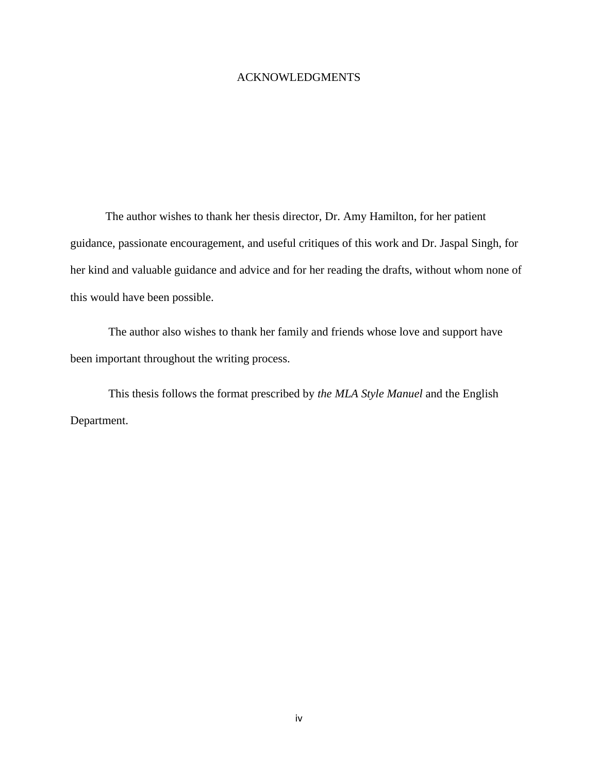## ACKNOWLEDGMENTS

The author wishes to thank her thesis director, Dr. Amy Hamilton, for her patient guidance, passionate encouragement, and useful critiques of this work and Dr. Jaspal Singh, for her kind and valuable guidance and advice and for her reading the drafts, without whom none of this would have been possible.

The author also wishes to thank her family and friends whose love and support have been important throughout the writing process.

This thesis follows the format prescribed by *the MLA Style Manuel* and the English Department.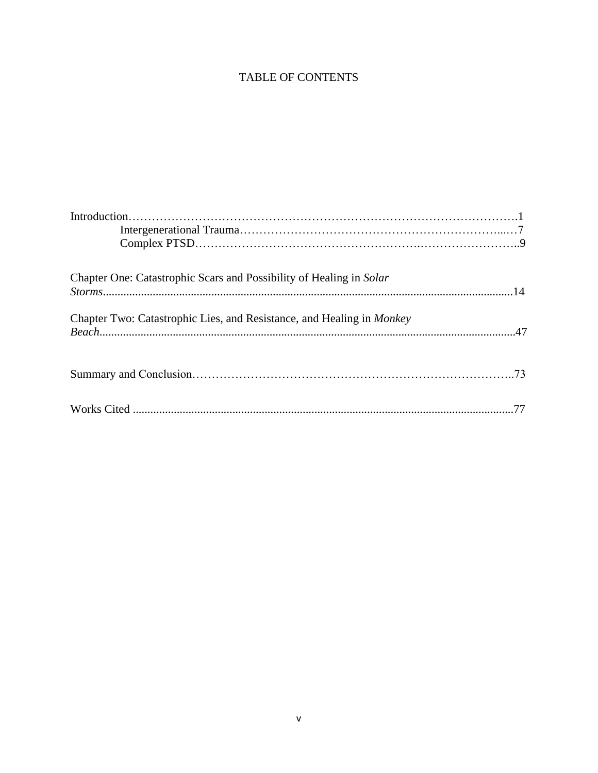# TABLE OF CONTENTS

| Chapter One: Catastrophic Scars and Possibility of Healing in Solar                                                                                                                                  |  |
|------------------------------------------------------------------------------------------------------------------------------------------------------------------------------------------------------|--|
| $\label{eq:storm} \textit{Storms}.\textit{}.\textit{}.\textit{}.\textit{}.\textit{}.\textit{}.\textit{}.\textit{}.\textit{}.\textit{}.\textit{}.\textit{}.\textit{}.\textit{}.\textit{}.\textit{1}4$ |  |
|                                                                                                                                                                                                      |  |
| Chapter Two: Catastrophic Lies, and Resistance, and Healing in <i>Monkey</i>                                                                                                                         |  |
|                                                                                                                                                                                                      |  |
|                                                                                                                                                                                                      |  |
|                                                                                                                                                                                                      |  |
|                                                                                                                                                                                                      |  |
|                                                                                                                                                                                                      |  |
|                                                                                                                                                                                                      |  |
|                                                                                                                                                                                                      |  |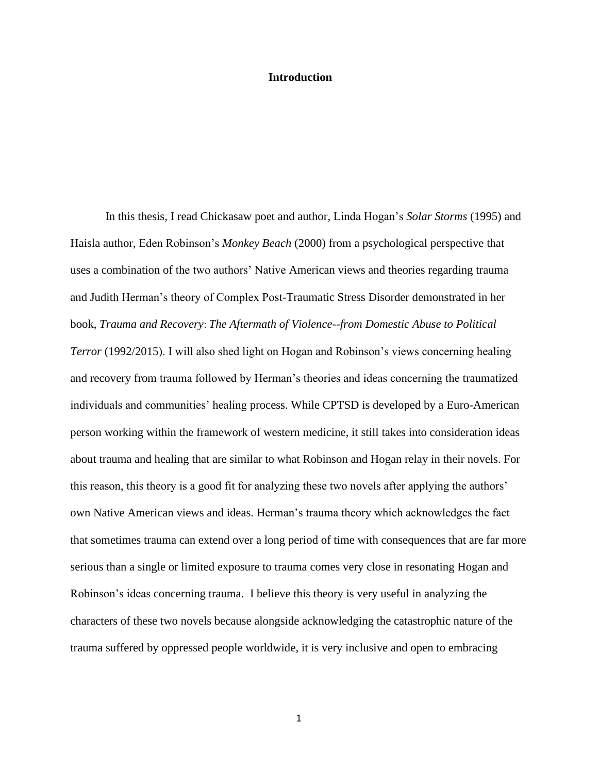#### **Introduction**

In this thesis, I read Chickasaw poet and author, Linda Hogan's *Solar Storms* (1995) and Haisla author, Eden Robinson's *Monkey Beach* (2000) from a psychological perspective that uses a combination of the two authors' Native American views and theories regarding trauma and Judith Herman's theory of Complex Post-Traumatic Stress Disorder demonstrated in her book, *Trauma and Recovery*: *The Aftermath of Violence--from Domestic Abuse to Political Terror* (1992/2015). I will also shed light on Hogan and Robinson's views concerning healing and recovery from trauma followed by Herman's theories and ideas concerning the traumatized individuals and communities' healing process. While CPTSD is developed by a Euro-American person working within the framework of western medicine, it still takes into consideration ideas about trauma and healing that are similar to what Robinson and Hogan relay in their novels. For this reason, this theory is a good fit for analyzing these two novels after applying the authors' own Native American views and ideas. Herman's trauma theory which acknowledges the fact that sometimes trauma can extend over a long period of time with consequences that are far more serious than a single or limited exposure to trauma comes very close in resonating Hogan and Robinson's ideas concerning trauma. I believe this theory is very useful in analyzing the characters of these two novels because alongside acknowledging the catastrophic nature of the trauma suffered by oppressed people worldwide, it is very inclusive and open to embracing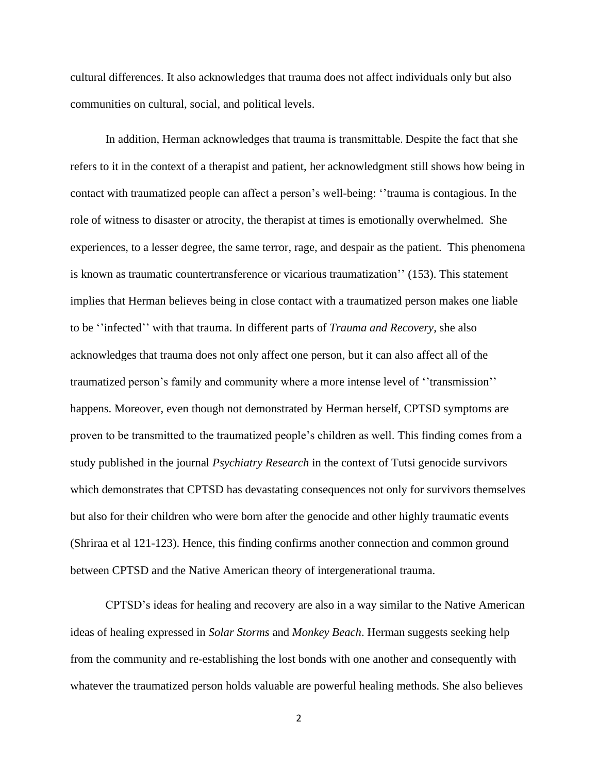cultural differences. It also acknowledges that trauma does not affect individuals only but also communities on cultural, social, and political levels.

In addition, Herman acknowledges that trauma is transmittable. Despite the fact that she refers to it in the context of a therapist and patient, her acknowledgment still shows how being in contact with traumatized people can affect a person's well-being: ''trauma is contagious. In the role of witness to disaster or atrocity, the therapist at times is emotionally overwhelmed. She experiences, to a lesser degree, the same terror, rage, and despair as the patient. This phenomena is known as traumatic countertransference or vicarious traumatization'' (153). This statement implies that Herman believes being in close contact with a traumatized person makes one liable to be ''infected'' with that trauma. In different parts of *Trauma and Recovery*, she also acknowledges that trauma does not only affect one person, but it can also affect all of the traumatized person's family and community where a more intense level of ''transmission'' happens. Moreover, even though not demonstrated by Herman herself, CPTSD symptoms are proven to be transmitted to the traumatized people's children as well. This finding comes from a study published in the journal *Psychiatry Research* in the context of Tutsi genocide survivors which demonstrates that CPTSD has devastating consequences not only for survivors themselves but also for their children who were born after the genocide and other highly traumatic events (Shriraa et al 121-123). Hence, this finding confirms another connection and common ground between CPTSD and the Native American theory of intergenerational trauma.

CPTSD's ideas for healing and recovery are also in a way similar to the Native American ideas of healing expressed in *Solar Storms* and *Monkey Beach*. Herman suggests seeking help from the community and re-establishing the lost bonds with one another and consequently with whatever the traumatized person holds valuable are powerful healing methods. She also believes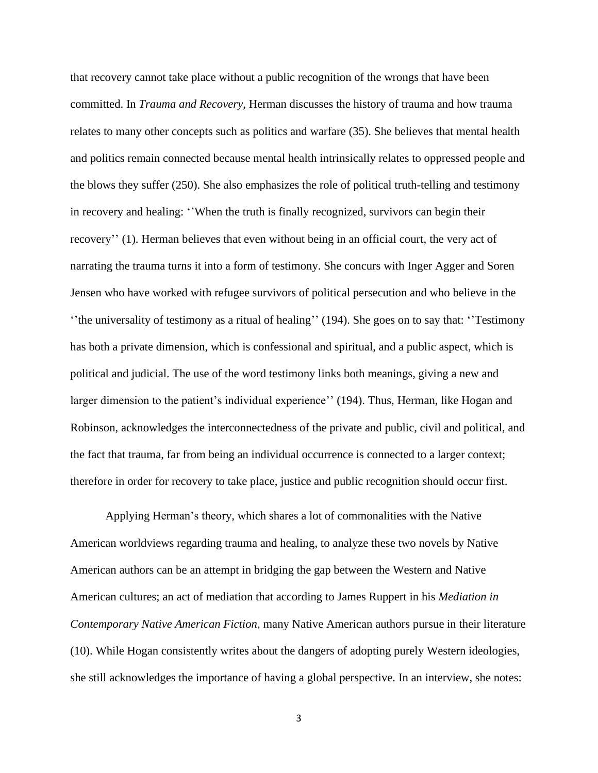that recovery cannot take place without a public recognition of the wrongs that have been committed. In *Trauma and Recovery*, Herman discusses the history of trauma and how trauma relates to many other concepts such as politics and warfare (35). She believes that mental health and politics remain connected because mental health intrinsically relates to oppressed people and the blows they suffer (250). She also emphasizes the role of political truth-telling and testimony in recovery and healing: ''When the truth is finally recognized, survivors can begin their recovery'' (1). Herman believes that even without being in an official court, the very act of narrating the trauma turns it into a form of testimony. She concurs with Inger Agger and Soren Jensen who have worked with refugee survivors of political persecution and who believe in the ''the universality of testimony as a ritual of healing'' (194). She goes on to say that: ''Testimony has both a private dimension, which is confessional and spiritual, and a public aspect, which is political and judicial. The use of the word testimony links both meanings, giving a new and larger dimension to the patient's individual experience'' (194). Thus, Herman, like Hogan and Robinson, acknowledges the interconnectedness of the private and public, civil and political, and the fact that trauma, far from being an individual occurrence is connected to a larger context; therefore in order for recovery to take place, justice and public recognition should occur first.

Applying Herman's theory, which shares a lot of commonalities with the Native American worldviews regarding trauma and healing, to analyze these two novels by Native American authors can be an attempt in bridging the gap between the Western and Native American cultures; an act of mediation that according to James Ruppert in his *Mediation in Contemporary Native American Fiction*, many Native American authors pursue in their literature (10). While Hogan consistently writes about the dangers of adopting purely Western ideologies, she still acknowledges the importance of having a global perspective. In an interview, she notes: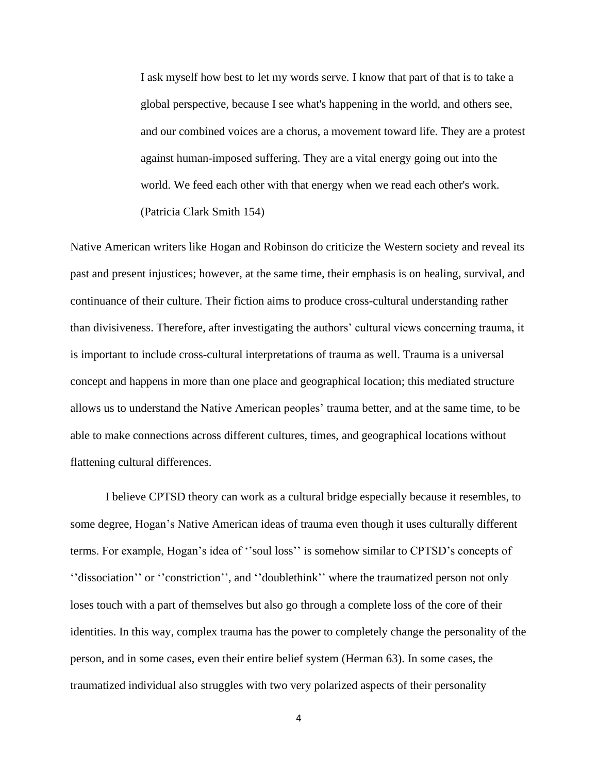I ask myself how best to let my words serve. I know that part of that is to take a global perspective, because I see what's happening in the world, and others see, and our combined voices are a chorus, a movement toward life. They are a protest against human-imposed suffering. They are a vital energy going out into the world. We feed each other with that energy when we read each other's work. (Patricia Clark Smith 154)

Native American writers like Hogan and Robinson do criticize the Western society and reveal its past and present injustices; however, at the same time, their emphasis is on healing, survival, and continuance of their culture. Their fiction aims to produce cross-cultural understanding rather than divisiveness. Therefore, after investigating the authors' cultural views concerning trauma, it is important to include cross-cultural interpretations of trauma as well. Trauma is a universal concept and happens in more than one place and geographical location; this mediated structure allows us to understand the Native American peoples' trauma better, and at the same time, to be able to make connections across different cultures, times, and geographical locations without flattening cultural differences.

I believe CPTSD theory can work as a cultural bridge especially because it resembles, to some degree, Hogan's Native American ideas of trauma even though it uses culturally different terms. For example, Hogan's idea of ''soul loss'' is somehow similar to CPTSD's concepts of ''dissociation'' or ''constriction'', and ''doublethink'' where the traumatized person not only loses touch with a part of themselves but also go through a complete loss of the core of their identities. In this way, complex trauma has the power to completely change the personality of the person, and in some cases, even their entire belief system (Herman 63). In some cases, the traumatized individual also struggles with two very polarized aspects of their personality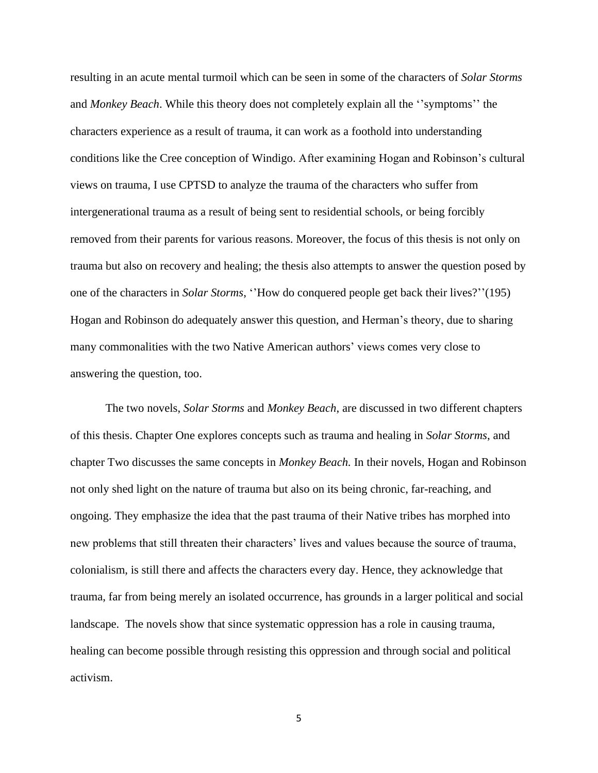resulting in an acute mental turmoil which can be seen in some of the characters of *Solar Storms* and *Monkey Beach*. While this theory does not completely explain all the ''symptoms'' the characters experience as a result of trauma, it can work as a foothold into understanding conditions like the Cree conception of Windigo. After examining Hogan and Robinson's cultural views on trauma, I use CPTSD to analyze the trauma of the characters who suffer from intergenerational trauma as a result of being sent to residential schools, or being forcibly removed from their parents for various reasons. Moreover, the focus of this thesis is not only on trauma but also on recovery and healing; the thesis also attempts to answer the question posed by one of the characters in *Solar Storms*, ''How do conquered people get back their lives?''(195) Hogan and Robinson do adequately answer this question, and Herman's theory, due to sharing many commonalities with the two Native American authors' views comes very close to answering the question, too.

The two novels, *Solar Storms* and *Monkey Beach*, are discussed in two different chapters of this thesis. Chapter One explores concepts such as trauma and healing in *Solar Storms*, and chapter Two discusses the same concepts in *Monkey Beach.* In their novels, Hogan and Robinson not only shed light on the nature of trauma but also on its being chronic, far-reaching, and ongoing. They emphasize the idea that the past trauma of their Native tribes has morphed into new problems that still threaten their characters' lives and values because the source of trauma, colonialism, is still there and affects the characters every day. Hence, they acknowledge that trauma, far from being merely an isolated occurrence, has grounds in a larger political and social landscape. The novels show that since systematic oppression has a role in causing trauma, healing can become possible through resisting this oppression and through social and political activism.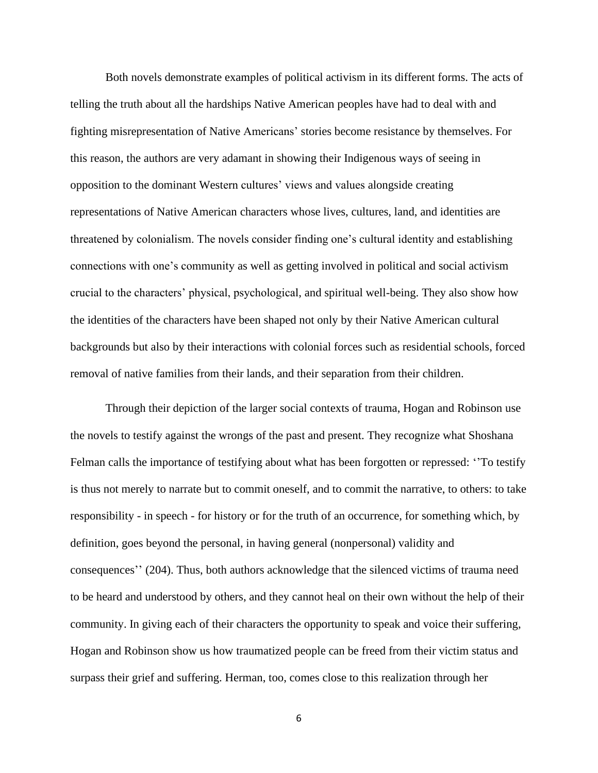Both novels demonstrate examples of political activism in its different forms. The acts of telling the truth about all the hardships Native American peoples have had to deal with and fighting misrepresentation of Native Americans' stories become resistance by themselves. For this reason, the authors are very adamant in showing their Indigenous ways of seeing in opposition to the dominant Western cultures' views and values alongside creating representations of Native American characters whose lives, cultures, land, and identities are threatened by colonialism. The novels consider finding one's cultural identity and establishing connections with one's community as well as getting involved in political and social activism crucial to the characters' physical, psychological, and spiritual well-being. They also show how the identities of the characters have been shaped not only by their Native American cultural backgrounds but also by their interactions with colonial forces such as residential schools, forced removal of native families from their lands, and their separation from their children.

Through their depiction of the larger social contexts of trauma, Hogan and Robinson use the novels to testify against the wrongs of the past and present. They recognize what Shoshana Felman calls the importance of testifying about what has been forgotten or repressed: ''To testify is thus not merely to narrate but to commit oneself, and to commit the narrative, to others: to take responsibility - in speech - for history or for the truth of an occurrence, for something which, by definition, goes beyond the personal, in having general (nonpersonal) validity and consequences'' (204). Thus, both authors acknowledge that the silenced victims of trauma need to be heard and understood by others, and they cannot heal on their own without the help of their community. In giving each of their characters the opportunity to speak and voice their suffering, Hogan and Robinson show us how traumatized people can be freed from their victim status and surpass their grief and suffering. Herman, too, comes close to this realization through her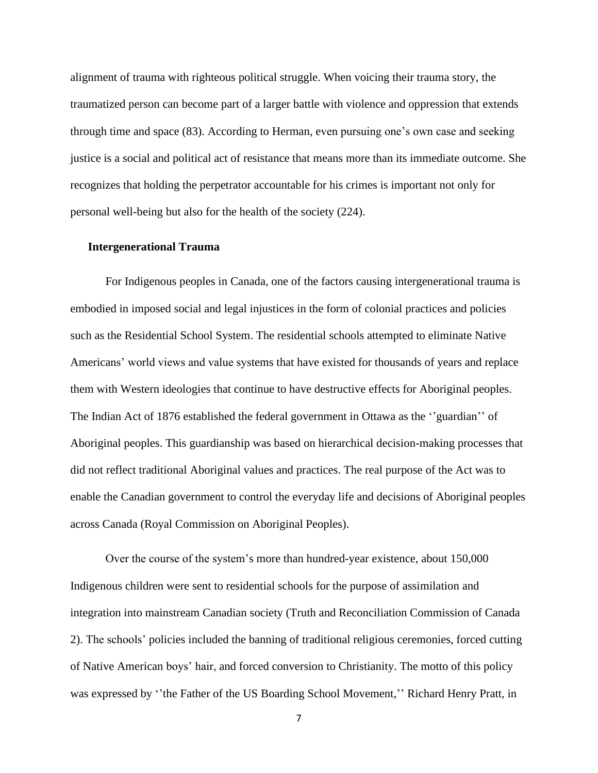alignment of trauma with righteous political struggle. When voicing their trauma story, the traumatized person can become part of a larger battle with violence and oppression that extends through time and space (83). According to Herman, even pursuing one's own case and seeking justice is a social and political act of resistance that means more than its immediate outcome. She recognizes that holding the perpetrator accountable for his crimes is important not only for personal well-being but also for the health of the society (224).

#### **Intergenerational Trauma**

For Indigenous peoples in Canada, one of the factors causing intergenerational trauma is embodied in imposed social and legal injustices in the form of colonial practices and policies such as the Residential School System. The residential schools attempted to eliminate Native Americans' world views and value systems that have existed for thousands of years and replace them with Western ideologies that continue to have destructive effects for Aboriginal peoples. The Indian Act of 1876 established the federal government in Ottawa as the ''guardian'' of Aboriginal peoples. This guardianship was based on hierarchical decision-making processes that did not reflect traditional Aboriginal values and practices. The real purpose of the Act was to enable the Canadian government to control the everyday life and decisions of Aboriginal peoples across Canada (Royal Commission on Aboriginal Peoples).

Over the course of the system's more than hundred-year existence, about 150,000 Indigenous children were sent to residential schools for the purpose of assimilation and integration into mainstream Canadian society (Truth and Reconciliation Commission of Canada 2). The schools' policies included the banning of traditional religious ceremonies, forced cutting of Native American boys' hair, and forced conversion to Christianity. The motto of this policy was expressed by "the Father of the US Boarding School Movement," Richard Henry Pratt, in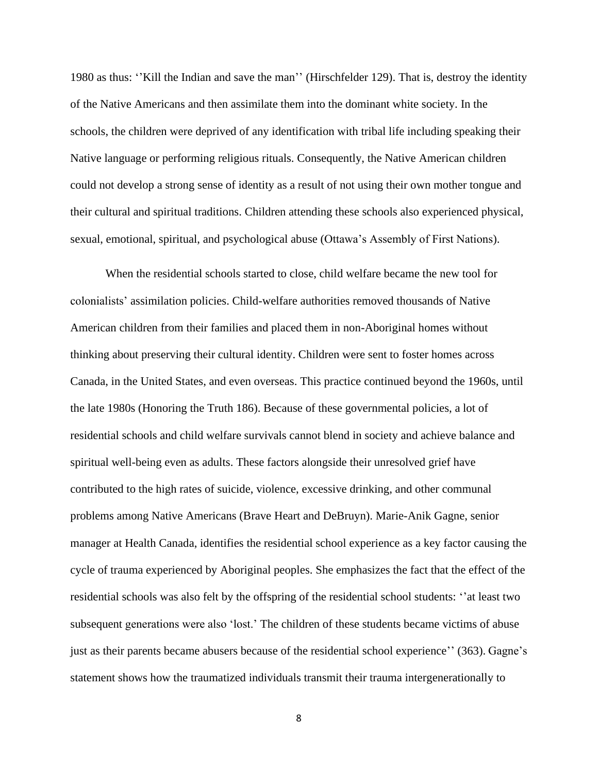1980 as thus: ''Kill the Indian and save the man'' (Hirschfelder 129). That is, destroy the identity of the Native Americans and then assimilate them into the dominant white society. In the schools, the children were deprived of any identification with tribal life including speaking their Native language or performing religious rituals. Consequently, the Native American children could not develop a strong sense of identity as a result of not using their own mother tongue and their cultural and spiritual traditions. Children attending these schools also experienced physical, sexual, emotional, spiritual, and psychological abuse (Ottawa's Assembly of First Nations).

When the residential schools started to close, child welfare became the new tool for colonialists' assimilation policies. Child-welfare authorities removed thousands of Native American children from their families and placed them in non-Aboriginal homes without thinking about preserving their cultural identity. Children were sent to foster homes across Canada, in the United States, and even overseas. This practice continued beyond the 1960s, until the late 1980s (Honoring the Truth 186). Because of these governmental policies, a lot of residential schools and child welfare survivals cannot blend in society and achieve balance and spiritual well-being even as adults. These factors alongside their unresolved grief have contributed to the high rates of suicide, violence, excessive drinking, and other communal problems among Native Americans (Brave Heart and DeBruyn). Marie-Anik Gagne, senior manager at Health Canada, identifies the residential school experience as a key factor causing the cycle of trauma experienced by Aboriginal peoples. She emphasizes the fact that the effect of the residential schools was also felt by the offspring of the residential school students: ''at least two subsequent generations were also 'lost.' The children of these students became victims of abuse just as their parents became abusers because of the residential school experience'' (363). Gagne's statement shows how the traumatized individuals transmit their trauma intergenerationally to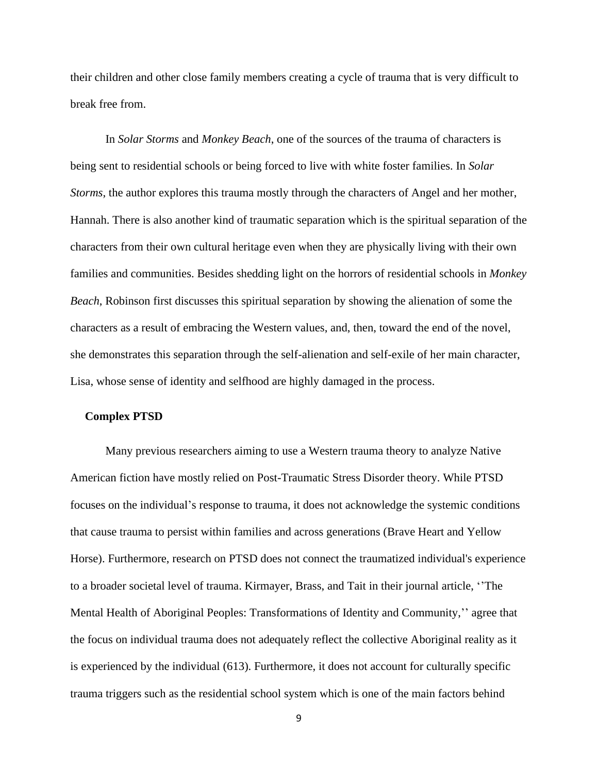their children and other close family members creating a cycle of trauma that is very difficult to break free from.

In *Solar Storms* and *Monkey Beach*, one of the sources of the trauma of characters is being sent to residential schools or being forced to live with white foster families. In *Solar Storms*, the author explores this trauma mostly through the characters of Angel and her mother, Hannah. There is also another kind of traumatic separation which is the spiritual separation of the characters from their own cultural heritage even when they are physically living with their own families and communities. Besides shedding light on the horrors of residential schools in *Monkey Beach*, Robinson first discusses this spiritual separation by showing the alienation of some the characters as a result of embracing the Western values, and, then, toward the end of the novel, she demonstrates this separation through the self-alienation and self-exile of her main character, Lisa, whose sense of identity and selfhood are highly damaged in the process.

#### **Complex PTSD**

Many previous researchers aiming to use a Western trauma theory to analyze Native American fiction have mostly relied on Post-Traumatic Stress Disorder theory. While PTSD focuses on the individual's response to trauma, it does not acknowledge the systemic conditions that cause trauma to persist within families and across generations (Brave Heart and Yellow Horse). Furthermore, research on PTSD does not connect the traumatized individual's experience to a broader societal level of trauma. Kirmayer, Brass, and Tait in their journal article, ''The Mental Health of Aboriginal Peoples: Transformations of Identity and Community,'' agree that the focus on individual trauma does not adequately reflect the collective Aboriginal reality as it is experienced by the individual (613). Furthermore, it does not account for culturally specific trauma triggers such as the residential school system which is one of the main factors behind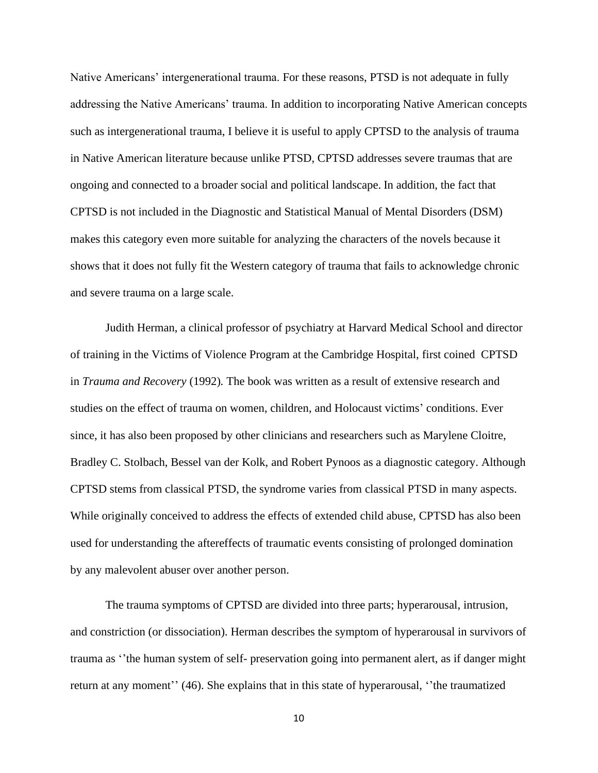Native Americans' intergenerational trauma. For these reasons, PTSD is not adequate in fully addressing the Native Americans' trauma. In addition to incorporating Native American concepts such as intergenerational trauma, I believe it is useful to apply CPTSD to the analysis of trauma in Native American literature because unlike PTSD, CPTSD addresses severe traumas that are ongoing and connected to a broader social and political landscape. In addition, the fact that CPTSD is not included in the Diagnostic and Statistical Manual of Mental Disorders (DSM) makes this category even more suitable for analyzing the characters of the novels because it shows that it does not fully fit the Western category of trauma that fails to acknowledge chronic and severe trauma on a large scale.

Judith Herman, a clinical professor of psychiatry at Harvard Medical School and director of training in the Victims of Violence Program at the Cambridge Hospital, first coined CPTSD in *Trauma and Recovery* (1992)*.* The book was written as a result of extensive research and studies on the effect of trauma on women, children, and Holocaust victims' conditions. Ever since, it has also been proposed by other clinicians and researchers such as Marylene Cloitre, Bradley C. Stolbach, Bessel van der Kolk, and Robert Pynoos as a diagnostic category. Although CPTSD stems from classical PTSD, the syndrome varies from classical PTSD in many aspects. While originally conceived to address the effects of extended child abuse, CPTSD has also been used for understanding the aftereffects of traumatic events consisting of prolonged domination by any malevolent abuser over another person.

The trauma symptoms of CPTSD are divided into three parts; hyperarousal, intrusion, and constriction (or dissociation). Herman describes the symptom of hyperarousal in survivors of trauma as ''the human system of self- preservation going into permanent alert, as if danger might return at any moment'' (46). She explains that in this state of hyperarousal, ''the traumatized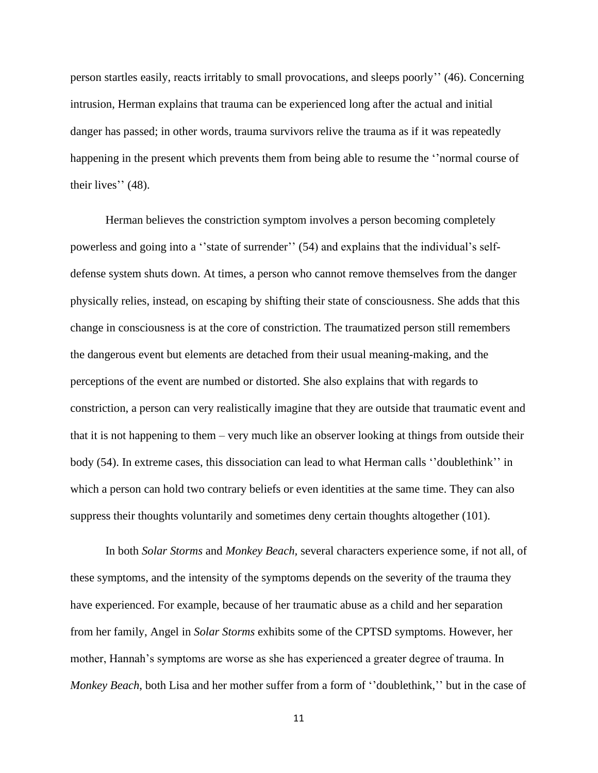person startles easily, reacts irritably to small provocations, and sleeps poorly'' (46). Concerning intrusion, Herman explains that trauma can be experienced long after the actual and initial danger has passed; in other words, trauma survivors relive the trauma as if it was repeatedly happening in the present which prevents them from being able to resume the ''normal course of their lives'' (48).

Herman believes the constriction symptom involves a person becoming completely powerless and going into a ''state of surrender'' (54) and explains that the individual's selfdefense system shuts down. At times, a person who cannot remove themselves from the danger physically relies, instead, on escaping by shifting their state of consciousness. She adds that this change in consciousness is at the core of constriction. The traumatized person still remembers the dangerous event but elements are detached from their usual meaning-making, and the perceptions of the event are numbed or distorted. She also explains that with regards to constriction, a person can very realistically imagine that they are outside that traumatic event and that it is not happening to them – very much like an observer looking at things from outside their body (54). In extreme cases, this dissociation can lead to what Herman calls ''doublethink'' in which a person can hold two contrary beliefs or even identities at the same time. They can also suppress their thoughts voluntarily and sometimes deny certain thoughts altogether (101).

In both *Solar Storms* and *Monkey Beach,* several characters experience some, if not all, of these symptoms, and the intensity of the symptoms depends on the severity of the trauma they have experienced. For example, because of her traumatic abuse as a child and her separation from her family, Angel in *Solar Storms* exhibits some of the CPTSD symptoms. However, her mother, Hannah's symptoms are worse as she has experienced a greater degree of trauma. In *Monkey Beach*, both Lisa and her mother suffer from a form of ''doublethink,'' but in the case of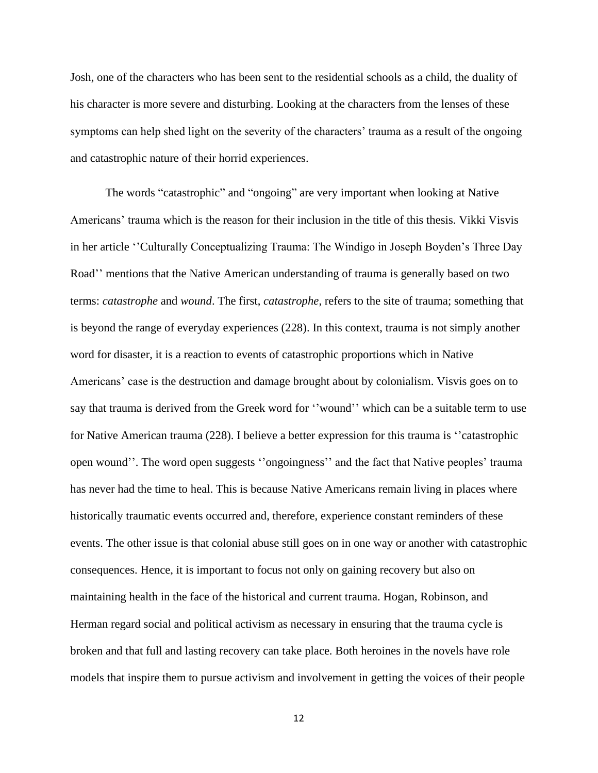Josh, one of the characters who has been sent to the residential schools as a child, the duality of his character is more severe and disturbing. Looking at the characters from the lenses of these symptoms can help shed light on the severity of the characters' trauma as a result of the ongoing and catastrophic nature of their horrid experiences.

The words "catastrophic" and "ongoing" are very important when looking at Native Americans' trauma which is the reason for their inclusion in the title of this thesis. Vikki Visvis in her article ''Culturally Conceptualizing Trauma: The Windigo in Joseph Boyden's Three Day Road'' mentions that the Native American understanding of trauma is generally based on two terms: *catastrophe* and *wound*. The first, *catastrophe*, refers to the site of trauma; something that is beyond the range of everyday experiences (228). In this context, trauma is not simply another word for disaster, it is a reaction to events of catastrophic proportions which in Native Americans' case is the destruction and damage brought about by colonialism. Visvis goes on to say that trauma is derived from the Greek word for ''wound'' which can be a suitable term to use for Native American trauma (228). I believe a better expression for this trauma is ''catastrophic open wound''. The word open suggests ''ongoingness'' and the fact that Native peoples' trauma has never had the time to heal. This is because Native Americans remain living in places where historically traumatic events occurred and, therefore, experience constant reminders of these events. The other issue is that colonial abuse still goes on in one way or another with catastrophic consequences. Hence, it is important to focus not only on gaining recovery but also on maintaining health in the face of the historical and current trauma. Hogan, Robinson, and Herman regard social and political activism as necessary in ensuring that the trauma cycle is broken and that full and lasting recovery can take place. Both heroines in the novels have role models that inspire them to pursue activism and involvement in getting the voices of their people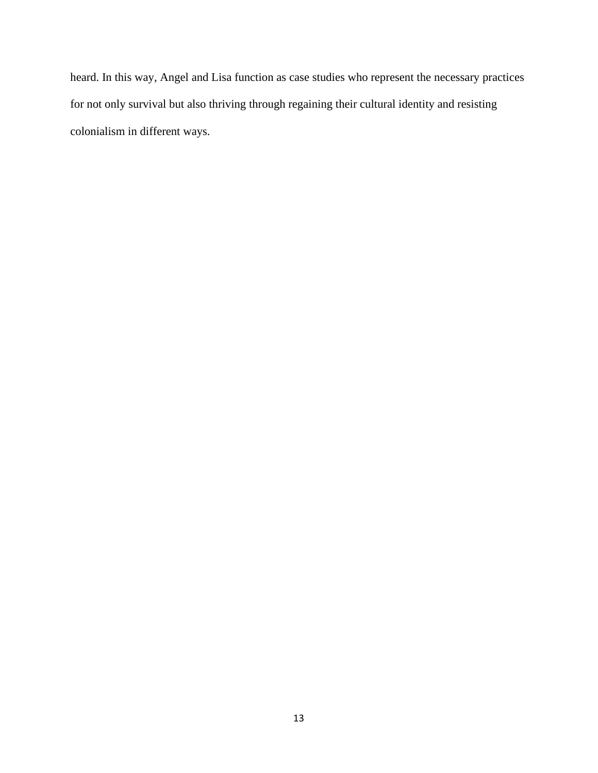heard. In this way, Angel and Lisa function as case studies who represent the necessary practices for not only survival but also thriving through regaining their cultural identity and resisting colonialism in different ways.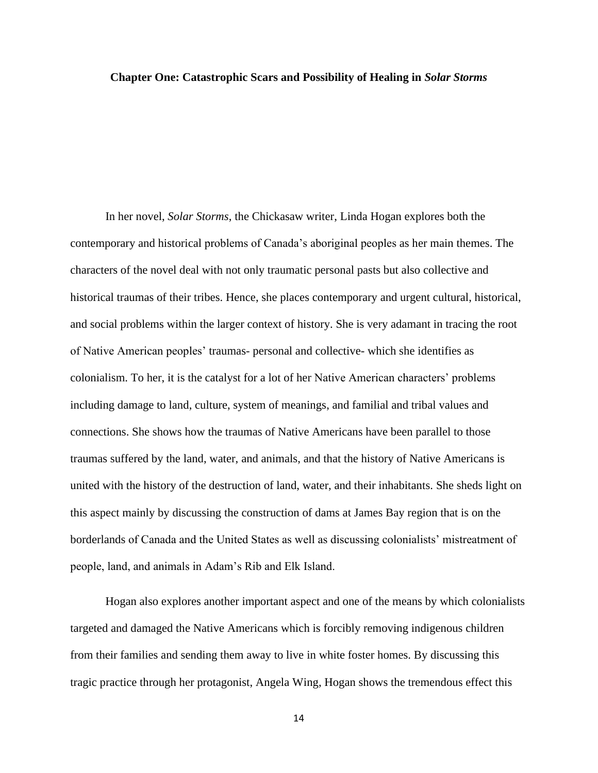#### **Chapter One: Catastrophic Scars and Possibility of Healing in** *Solar Storms*

In her novel, *Solar Storms*, the Chickasaw writer, Linda Hogan explores both the contemporary and historical problems of Canada's aboriginal peoples as her main themes. The characters of the novel deal with not only traumatic personal pasts but also collective and historical traumas of their tribes. Hence, she places contemporary and urgent cultural, historical, and social problems within the larger context of history. She is very adamant in tracing the root of Native American peoples' traumas- personal and collective- which she identifies as colonialism. To her, it is the catalyst for a lot of her Native American characters' problems including damage to land, culture, system of meanings, and familial and tribal values and connections. She shows how the traumas of Native Americans have been parallel to those traumas suffered by the land, water, and animals, and that the history of Native Americans is united with the history of the destruction of land, water, and their inhabitants. She sheds light on this aspect mainly by discussing the construction of dams at James Bay region that is on the borderlands of Canada and the United States as well as discussing colonialists' mistreatment of people, land, and animals in Adam's Rib and Elk Island.

Hogan also explores another important aspect and one of the means by which colonialists targeted and damaged the Native Americans which is forcibly removing indigenous children from their families and sending them away to live in white foster homes. By discussing this tragic practice through her protagonist, Angela Wing, Hogan shows the tremendous effect this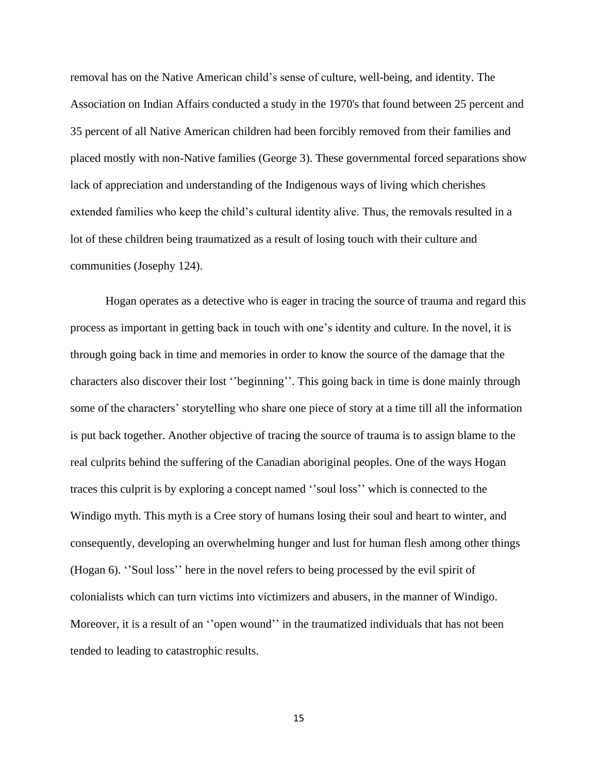removal has on the Native American child's sense of culture, well-being, and identity. The Association on Indian Affairs conducted a study in the 1970's that found between 25 percent and 35 percent of all Native American children had been forcibly removed from their families and placed mostly with non-Native families (George 3). These governmental forced separations show lack of appreciation and understanding of the Indigenous ways of living which cherishes extended families who keep the child's cultural identity alive. Thus, the removals resulted in a lot of these children being traumatized as a result of losing touch with their culture and communities (Josephy 124).

Hogan operates as a detective who is eager in tracing the source of trauma and regard this process as important in getting back in touch with one's identity and culture. In the novel, it is through going back in time and memories in order to know the source of the damage that the characters also discover their lost ''beginning''. This going back in time is done mainly through some of the characters' storytelling who share one piece of story at a time till all the information is put back together. Another objective of tracing the source of trauma is to assign blame to the real culprits behind the suffering of the Canadian aboriginal peoples. One of the ways Hogan traces this culprit is by exploring a concept named ''soul loss'' which is connected to the Windigo myth. This myth is a Cree story of humans losing their soul and heart to winter, and consequently, developing an overwhelming hunger and lust for human flesh among other things (Hogan 6). ''Soul loss'' here in the novel refers to being processed by the evil spirit of colonialists which can turn victims into victimizers and abusers, in the manner of Windigo. Moreover, it is a result of an "open wound" in the traumatized individuals that has not been tended to leading to catastrophic results.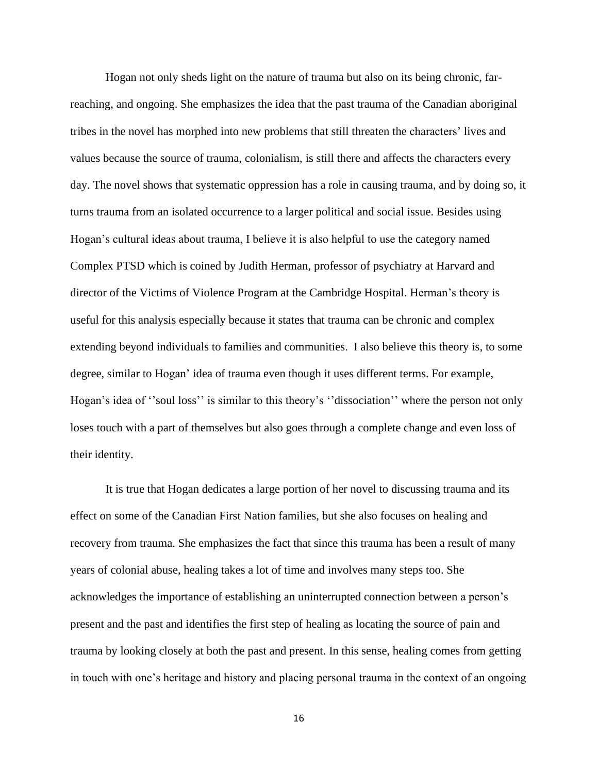Hogan not only sheds light on the nature of trauma but also on its being chronic, farreaching, and ongoing. She emphasizes the idea that the past trauma of the Canadian aboriginal tribes in the novel has morphed into new problems that still threaten the characters' lives and values because the source of trauma, colonialism, is still there and affects the characters every day. The novel shows that systematic oppression has a role in causing trauma, and by doing so, it turns trauma from an isolated occurrence to a larger political and social issue. Besides using Hogan's cultural ideas about trauma, I believe it is also helpful to use the category named Complex PTSD which is coined by Judith Herman, professor of psychiatry at Harvard and director of the Victims of Violence Program at the Cambridge Hospital. Herman's theory is useful for this analysis especially because it states that trauma can be chronic and complex extending beyond individuals to families and communities. I also believe this theory is, to some degree, similar to Hogan' idea of trauma even though it uses different terms. For example, Hogan's idea of "soul loss" is similar to this theory's "dissociation" where the person not only loses touch with a part of themselves but also goes through a complete change and even loss of their identity.

It is true that Hogan dedicates a large portion of her novel to discussing trauma and its effect on some of the Canadian First Nation families, but she also focuses on healing and recovery from trauma. She emphasizes the fact that since this trauma has been a result of many years of colonial abuse, healing takes a lot of time and involves many steps too. She acknowledges the importance of establishing an uninterrupted connection between a person's present and the past and identifies the first step of healing as locating the source of pain and trauma by looking closely at both the past and present. In this sense, healing comes from getting in touch with one's heritage and history and placing personal trauma in the context of an ongoing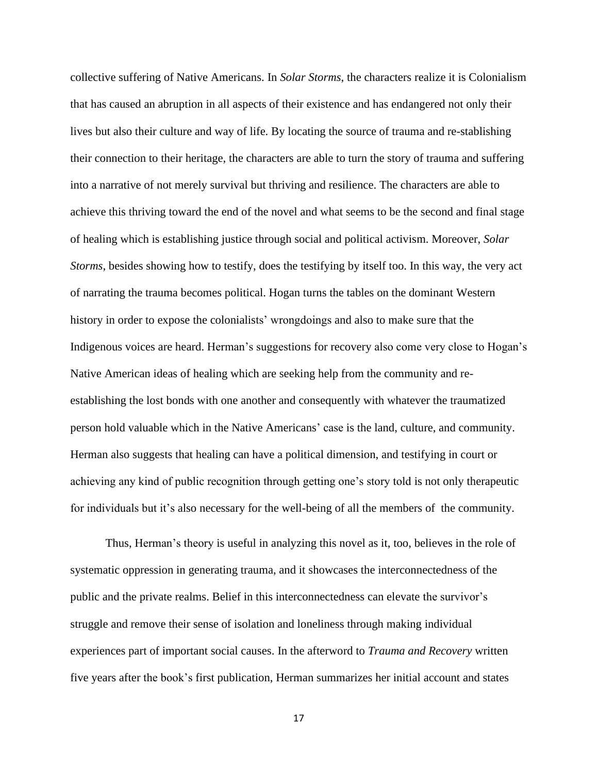collective suffering of Native Americans. In *Solar Storms*, the characters realize it is Colonialism that has caused an abruption in all aspects of their existence and has endangered not only their lives but also their culture and way of life. By locating the source of trauma and re-stablishing their connection to their heritage, the characters are able to turn the story of trauma and suffering into a narrative of not merely survival but thriving and resilience. The characters are able to achieve this thriving toward the end of the novel and what seems to be the second and final stage of healing which is establishing justice through social and political activism. Moreover, *Solar Storms*, besides showing how to testify, does the testifying by itself too. In this way, the very act of narrating the trauma becomes political. Hogan turns the tables on the dominant Western history in order to expose the colonialists' wrongdoings and also to make sure that the Indigenous voices are heard. Herman's suggestions for recovery also come very close to Hogan's Native American ideas of healing which are seeking help from the community and reestablishing the lost bonds with one another and consequently with whatever the traumatized person hold valuable which in the Native Americans' case is the land, culture, and community. Herman also suggests that healing can have a political dimension, and testifying in court or achieving any kind of public recognition through getting one's story told is not only therapeutic for individuals but it's also necessary for the well-being of all the members of the community.

Thus, Herman's theory is useful in analyzing this novel as it, too, believes in the role of systematic oppression in generating trauma, and it showcases the interconnectedness of the public and the private realms. Belief in this interconnectedness can elevate the survivor's struggle and remove their sense of isolation and loneliness through making individual experiences part of important social causes. In the afterword to *Trauma and Recovery* written five years after the book's first publication, Herman summarizes her initial account and states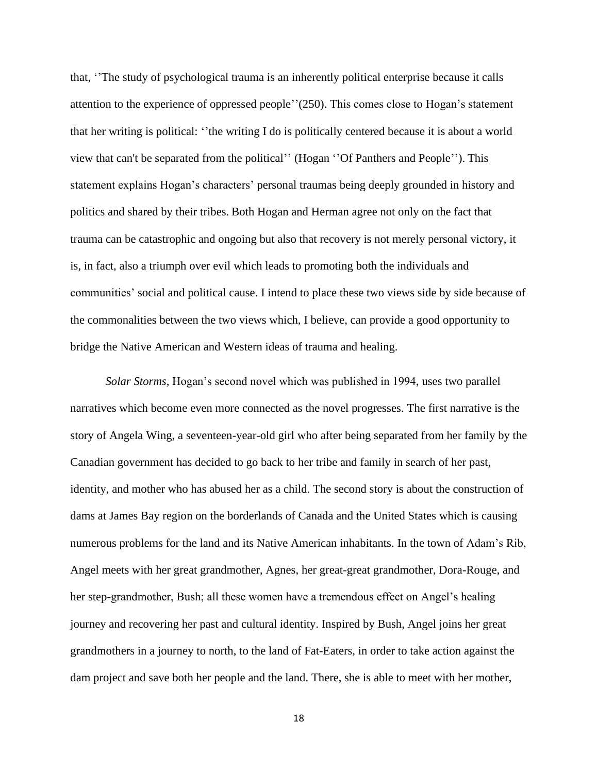that, ''The study of psychological trauma is an inherently political enterprise because it calls attention to the experience of oppressed people''(250). This comes close to Hogan's statement that her writing is political: ''the writing I do is politically centered because it is about a world view that can't be separated from the political'' (Hogan ''Of Panthers and People''). This statement explains Hogan's characters' personal traumas being deeply grounded in history and politics and shared by their tribes. Both Hogan and Herman agree not only on the fact that trauma can be catastrophic and ongoing but also that recovery is not merely personal victory, it is, in fact, also a triumph over evil which leads to promoting both the individuals and communities' social and political cause. I intend to place these two views side by side because of the commonalities between the two views which, I believe, can provide a good opportunity to bridge the Native American and Western ideas of trauma and healing.

*Solar Storms,* Hogan's second novel which was published in 1994, uses two parallel narratives which become even more connected as the novel progresses. The first narrative is the story of Angela Wing, a seventeen-year-old girl who after being separated from her family by the Canadian government has decided to go back to her tribe and family in search of her past, identity, and mother who has abused her as a child. The second story is about the construction of dams at James Bay region on the borderlands of Canada and the United States which is causing numerous problems for the land and its Native American inhabitants. In the town of Adam's Rib, Angel meets with her great grandmother, Agnes, her great-great grandmother, Dora-Rouge, and her step-grandmother, Bush; all these women have a tremendous effect on Angel's healing journey and recovering her past and cultural identity. Inspired by Bush, Angel joins her great grandmothers in a journey to north, to the land of Fat-Eaters, in order to take action against the dam project and save both her people and the land. There, she is able to meet with her mother,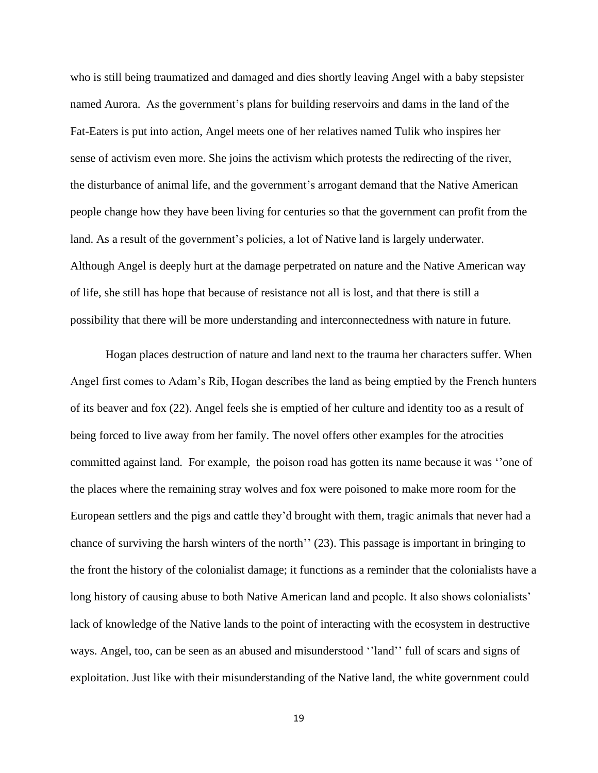who is still being traumatized and damaged and dies shortly leaving Angel with a baby stepsister named Aurora. As the government's plans for building reservoirs and dams in the land of the Fat-Eaters is put into action, Angel meets one of her relatives named Tulik who inspires her sense of activism even more. She joins the activism which protests the redirecting of the river, the disturbance of animal life, and the government's arrogant demand that the Native American people change how they have been living for centuries so that the government can profit from the land. As a result of the government's policies, a lot of Native land is largely underwater. Although Angel is deeply hurt at the damage perpetrated on nature and the Native American way of life, she still has hope that because of resistance not all is lost, and that there is still a possibility that there will be more understanding and interconnectedness with nature in future.

Hogan places destruction of nature and land next to the trauma her characters suffer. When Angel first comes to Adam's Rib, Hogan describes the land as being emptied by the French hunters of its beaver and fox (22). Angel feels she is emptied of her culture and identity too as a result of being forced to live away from her family. The novel offers other examples for the atrocities committed against land. For example, the poison road has gotten its name because it was ''one of the places where the remaining stray wolves and fox were poisoned to make more room for the European settlers and the pigs and cattle they'd brought with them, tragic animals that never had a chance of surviving the harsh winters of the north'' (23). This passage is important in bringing to the front the history of the colonialist damage; it functions as a reminder that the colonialists have a long history of causing abuse to both Native American land and people. It also shows colonialists' lack of knowledge of the Native lands to the point of interacting with the ecosystem in destructive ways. Angel, too, can be seen as an abused and misunderstood ''land'' full of scars and signs of exploitation. Just like with their misunderstanding of the Native land, the white government could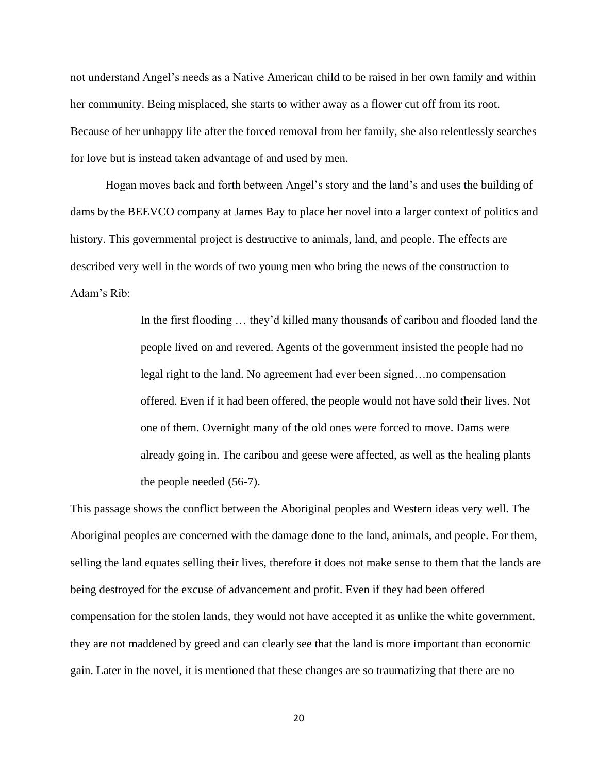not understand Angel's needs as a Native American child to be raised in her own family and within her community. Being misplaced, she starts to wither away as a flower cut off from its root. Because of her unhappy life after the forced removal from her family, she also relentlessly searches for love but is instead taken advantage of and used by men.

Hogan moves back and forth between Angel's story and the land's and uses the building of dams by the BEEVCO company at James Bay to place her novel into a larger context of politics and history. This governmental project is destructive to animals, land, and people. The effects are described very well in the words of two young men who bring the news of the construction to Adam's Rib:

> In the first flooding … they'd killed many thousands of caribou and flooded land the people lived on and revered. Agents of the government insisted the people had no legal right to the land. No agreement had ever been signed…no compensation offered. Even if it had been offered, the people would not have sold their lives. Not one of them. Overnight many of the old ones were forced to move. Dams were already going in. The caribou and geese were affected, as well as the healing plants the people needed (56-7).

This passage shows the conflict between the Aboriginal peoples and Western ideas very well. The Aboriginal peoples are concerned with the damage done to the land, animals, and people. For them, selling the land equates selling their lives, therefore it does not make sense to them that the lands are being destroyed for the excuse of advancement and profit. Even if they had been offered compensation for the stolen lands, they would not have accepted it as unlike the white government, they are not maddened by greed and can clearly see that the land is more important than economic gain. Later in the novel, it is mentioned that these changes are so traumatizing that there are no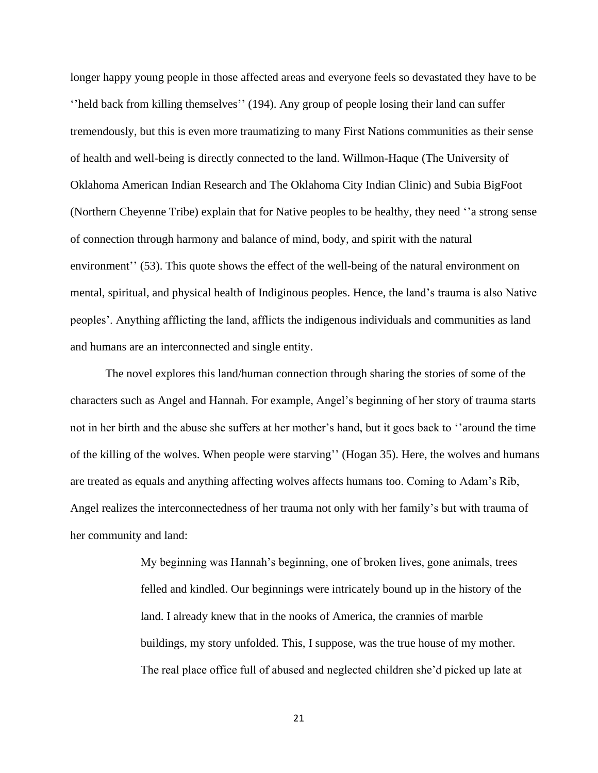longer happy young people in those affected areas and everyone feels so devastated they have to be ''held back from killing themselves'' (194). Any group of people losing their land can suffer tremendously, but this is even more traumatizing to many First Nations communities as their sense of health and well-being is directly connected to the land. Willmon-Haque (The University of Oklahoma American Indian Research and The Oklahoma City Indian Clinic) and Subia BigFoot (Northern Cheyenne Tribe) explain that for Native peoples to be healthy, they need ''a strong sense of connection through harmony and balance of mind, body, and spirit with the natural environment'' (53). This quote shows the effect of the well-being of the natural environment on mental, spiritual, and physical health of Indiginous peoples. Hence, the land's trauma is also Native peoples'. Anything afflicting the land, afflicts the indigenous individuals and communities as land and humans are an interconnected and single entity.

The novel explores this land/human connection through sharing the stories of some of the characters such as Angel and Hannah. For example, Angel's beginning of her story of trauma starts not in her birth and the abuse she suffers at her mother's hand, but it goes back to ''around the time of the killing of the wolves. When people were starving'' (Hogan 35). Here, the wolves and humans are treated as equals and anything affecting wolves affects humans too. Coming to Adam's Rib, Angel realizes the interconnectedness of her trauma not only with her family's but with trauma of her community and land:

> My beginning was Hannah's beginning, one of broken lives, gone animals, trees felled and kindled. Our beginnings were intricately bound up in the history of the land. I already knew that in the nooks of America, the crannies of marble buildings, my story unfolded. This, I suppose, was the true house of my mother. The real place office full of abused and neglected children she'd picked up late at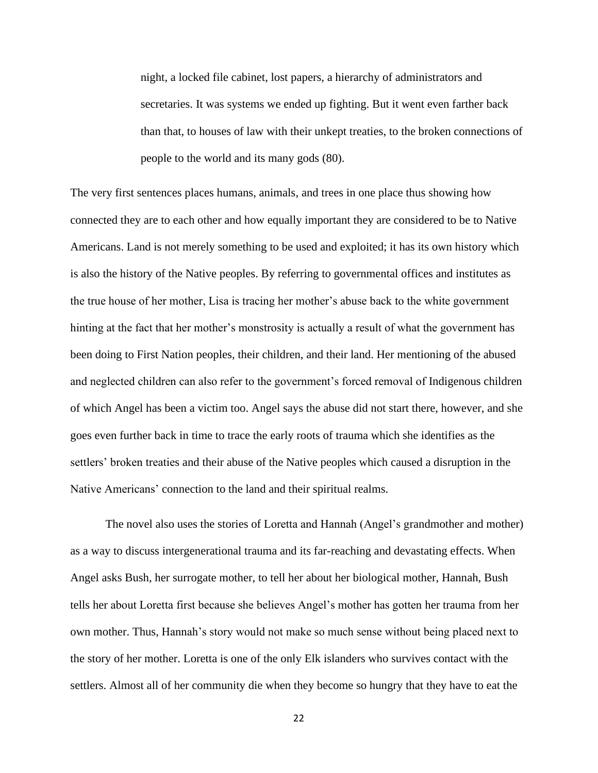night, a locked file cabinet, lost papers, a hierarchy of administrators and secretaries. It was systems we ended up fighting. But it went even farther back than that, to houses of law with their unkept treaties, to the broken connections of people to the world and its many gods (80).

The very first sentences places humans, animals, and trees in one place thus showing how connected they are to each other and how equally important they are considered to be to Native Americans. Land is not merely something to be used and exploited; it has its own history which is also the history of the Native peoples. By referring to governmental offices and institutes as the true house of her mother, Lisa is tracing her mother's abuse back to the white government hinting at the fact that her mother's monstrosity is actually a result of what the government has been doing to First Nation peoples, their children, and their land. Her mentioning of the abused and neglected children can also refer to the government's forced removal of Indigenous children of which Angel has been a victim too. Angel says the abuse did not start there, however, and she goes even further back in time to trace the early roots of trauma which she identifies as the settlers' broken treaties and their abuse of the Native peoples which caused a disruption in the Native Americans' connection to the land and their spiritual realms.

The novel also uses the stories of Loretta and Hannah (Angel's grandmother and mother) as a way to discuss intergenerational trauma and its far-reaching and devastating effects. When Angel asks Bush, her surrogate mother, to tell her about her biological mother, Hannah, Bush tells her about Loretta first because she believes Angel's mother has gotten her trauma from her own mother. Thus, Hannah's story would not make so much sense without being placed next to the story of her mother. Loretta is one of the only Elk islanders who survives contact with the settlers. Almost all of her community die when they become so hungry that they have to eat the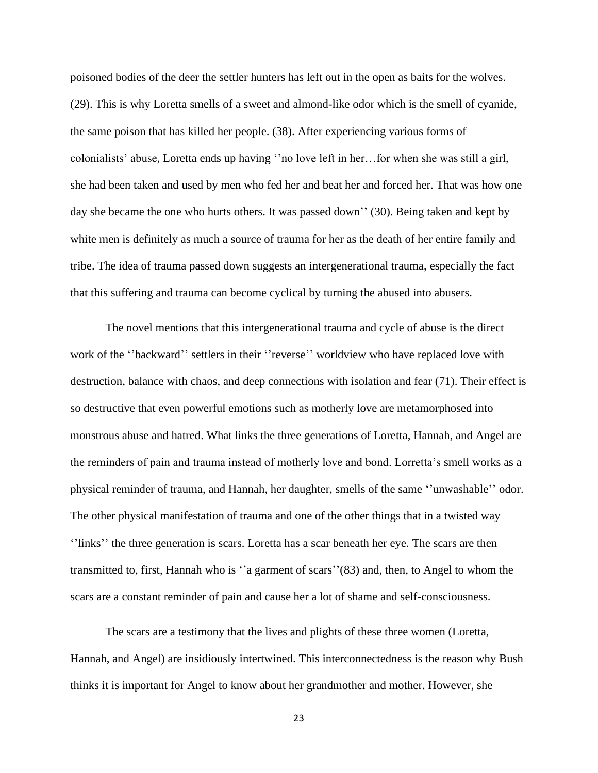poisoned bodies of the deer the settler hunters has left out in the open as baits for the wolves. (29). This is why Loretta smells of a sweet and almond-like odor which is the smell of cyanide, the same poison that has killed her people. (38). After experiencing various forms of colonialists' abuse, Loretta ends up having ''no love left in her…for when she was still a girl, she had been taken and used by men who fed her and beat her and forced her. That was how one day she became the one who hurts others. It was passed down'' (30). Being taken and kept by white men is definitely as much a source of trauma for her as the death of her entire family and tribe. The idea of trauma passed down suggests an intergenerational trauma, especially the fact that this suffering and trauma can become cyclical by turning the abused into abusers.

The novel mentions that this intergenerational trauma and cycle of abuse is the direct work of the ''backward'' settlers in their ''reverse'' worldview who have replaced love with destruction, balance with chaos, and deep connections with isolation and fear (71). Their effect is so destructive that even powerful emotions such as motherly love are metamorphosed into monstrous abuse and hatred. What links the three generations of Loretta, Hannah, and Angel are the reminders of pain and trauma instead of motherly love and bond. Lorretta's smell works as a physical reminder of trauma, and Hannah, her daughter, smells of the same ''unwashable'' odor. The other physical manifestation of trauma and one of the other things that in a twisted way ''links'' the three generation is scars. Loretta has a scar beneath her eye. The scars are then transmitted to, first, Hannah who is ''a garment of scars''(83) and, then, to Angel to whom the scars are a constant reminder of pain and cause her a lot of shame and self-consciousness.

The scars are a testimony that the lives and plights of these three women (Loretta, Hannah, and Angel) are insidiously intertwined. This interconnectedness is the reason why Bush thinks it is important for Angel to know about her grandmother and mother. However, she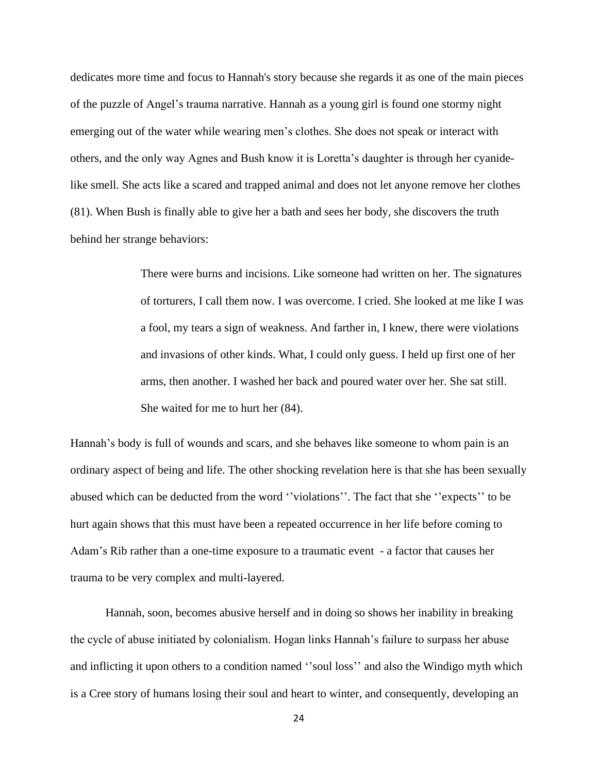dedicates more time and focus to Hannah's story because she regards it as one of the main pieces of the puzzle of Angel's trauma narrative. Hannah as a young girl is found one stormy night emerging out of the water while wearing men's clothes. She does not speak or interact with others, and the only way Agnes and Bush know it is Loretta's daughter is through her cyanidelike smell. She acts like a scared and trapped animal and does not let anyone remove her clothes (81). When Bush is finally able to give her a bath and sees her body, she discovers the truth behind her strange behaviors:

> There were burns and incisions. Like someone had written on her. The signatures of torturers, I call them now. I was overcome. I cried. She looked at me like I was a fool, my tears a sign of weakness. And farther in, I knew, there were violations and invasions of other kinds. What, I could only guess. I held up first one of her arms, then another. I washed her back and poured water over her. She sat still. She waited for me to hurt her (84).

Hannah's body is full of wounds and scars, and she behaves like someone to whom pain is an ordinary aspect of being and life. The other shocking revelation here is that she has been sexually abused which can be deducted from the word ''violations''. The fact that she ''expects'' to be hurt again shows that this must have been a repeated occurrence in her life before coming to Adam's Rib rather than a one-time exposure to a traumatic event - a factor that causes her trauma to be very complex and multi-layered.

Hannah, soon, becomes abusive herself and in doing so shows her inability in breaking the cycle of abuse initiated by colonialism. Hogan links Hannah's failure to surpass her abuse and inflicting it upon others to a condition named ''soul loss'' and also the Windigo myth which is a Cree story of humans losing their soul and heart to winter, and consequently, developing an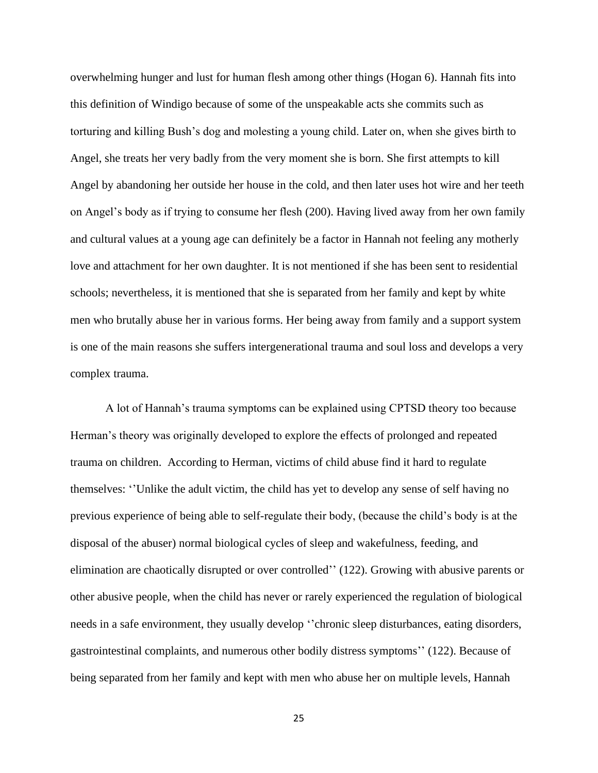overwhelming hunger and lust for human flesh among other things (Hogan 6). Hannah fits into this definition of Windigo because of some of the unspeakable acts she commits such as torturing and killing Bush's dog and molesting a young child. Later on, when she gives birth to Angel, she treats her very badly from the very moment she is born. She first attempts to kill Angel by abandoning her outside her house in the cold, and then later uses hot wire and her teeth on Angel's body as if trying to consume her flesh (200). Having lived away from her own family and cultural values at a young age can definitely be a factor in Hannah not feeling any motherly love and attachment for her own daughter. It is not mentioned if she has been sent to residential schools; nevertheless, it is mentioned that she is separated from her family and kept by white men who brutally abuse her in various forms. Her being away from family and a support system is one of the main reasons she suffers intergenerational trauma and soul loss and develops a very complex trauma.

A lot of Hannah's trauma symptoms can be explained using CPTSD theory too because Herman's theory was originally developed to explore the effects of prolonged and repeated trauma on children. According to Herman, victims of child abuse find it hard to regulate themselves: ''Unlike the adult victim, the child has yet to develop any sense of self having no previous experience of being able to self-regulate their body, (because the child's body is at the disposal of the abuser) normal biological cycles of sleep and wakefulness, feeding, and elimination are chaotically disrupted or over controlled'' (122). Growing with abusive parents or other abusive people, when the child has never or rarely experienced the regulation of biological needs in a safe environment, they usually develop ''chronic sleep disturbances, eating disorders, gastrointestinal complaints, and numerous other bodily distress symptoms'' (122). Because of being separated from her family and kept with men who abuse her on multiple levels, Hannah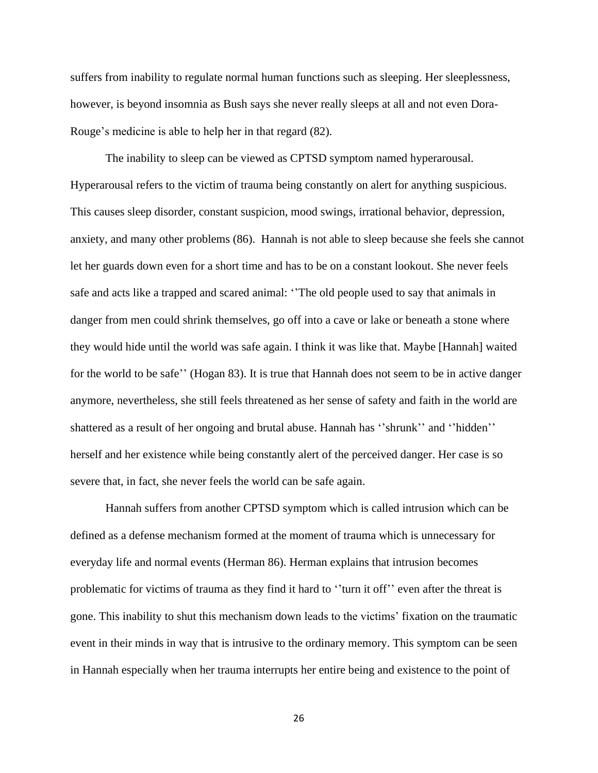suffers from inability to regulate normal human functions such as sleeping. Her sleeplessness, however, is beyond insomnia as Bush says she never really sleeps at all and not even Dora-Rouge's medicine is able to help her in that regard (82).

The inability to sleep can be viewed as CPTSD symptom named hyperarousal. Hyperarousal refers to the victim of trauma being constantly on alert for anything suspicious. This causes sleep disorder, constant suspicion, mood swings, irrational behavior, depression, anxiety, and many other problems (86). Hannah is not able to sleep because she feels she cannot let her guards down even for a short time and has to be on a constant lookout. She never feels safe and acts like a trapped and scared animal: ''The old people used to say that animals in danger from men could shrink themselves, go off into a cave or lake or beneath a stone where they would hide until the world was safe again. I think it was like that. Maybe [Hannah] waited for the world to be safe'' (Hogan 83). It is true that Hannah does not seem to be in active danger anymore, nevertheless, she still feels threatened as her sense of safety and faith in the world are shattered as a result of her ongoing and brutal abuse. Hannah has ''shrunk'' and ''hidden'' herself and her existence while being constantly alert of the perceived danger. Her case is so severe that, in fact, she never feels the world can be safe again.

Hannah suffers from another CPTSD symptom which is called intrusion which can be defined as a defense mechanism formed at the moment of trauma which is unnecessary for everyday life and normal events (Herman 86). Herman explains that intrusion becomes problematic for victims of trauma as they find it hard to ''turn it off'' even after the threat is gone. This inability to shut this mechanism down leads to the victims' fixation on the traumatic event in their minds in way that is intrusive to the ordinary memory. This symptom can be seen in Hannah especially when her trauma interrupts her entire being and existence to the point of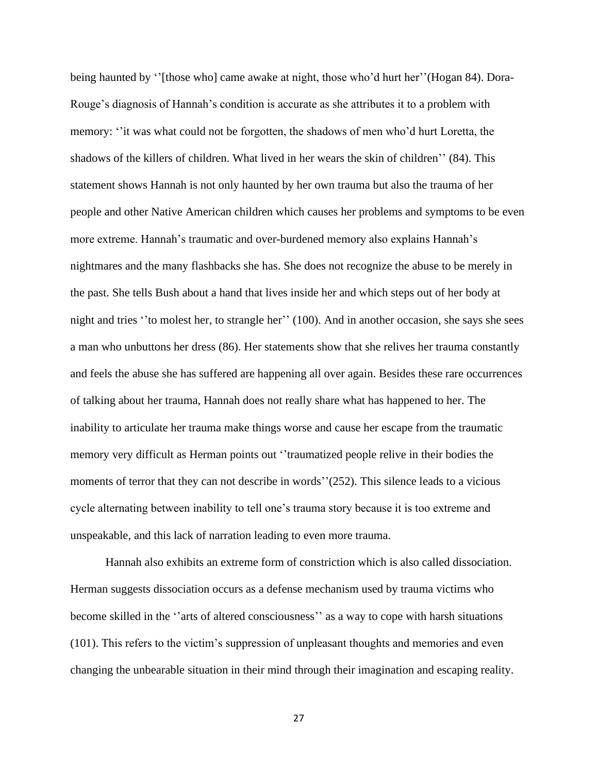being haunted by ''[those who] came awake at night, those who'd hurt her''(Hogan 84). Dora-Rouge's diagnosis of Hannah's condition is accurate as she attributes it to a problem with memory: ''it was what could not be forgotten, the shadows of men who'd hurt Loretta, the shadows of the killers of children. What lived in her wears the skin of children'' (84). This statement shows Hannah is not only haunted by her own trauma but also the trauma of her people and other Native American children which causes her problems and symptoms to be even more extreme. Hannah's traumatic and over-burdened memory also explains Hannah's nightmares and the many flashbacks she has. She does not recognize the abuse to be merely in the past. She tells Bush about a hand that lives inside her and which steps out of her body at night and tries ''to molest her, to strangle her'' (100). And in another occasion, she says she sees a man who unbuttons her dress (86). Her statements show that she relives her trauma constantly and feels the abuse she has suffered are happening all over again. Besides these rare occurrences of talking about her trauma, Hannah does not really share what has happened to her. The inability to articulate her trauma make things worse and cause her escape from the traumatic memory very difficult as Herman points out ''traumatized people relive in their bodies the moments of terror that they can not describe in words''(252). This silence leads to a vicious cycle alternating between inability to tell one's trauma story because it is too extreme and unspeakable, and this lack of narration leading to even more trauma.

Hannah also exhibits an extreme form of constriction which is also called dissociation. Herman suggests dissociation occurs as a defense mechanism used by trauma victims who become skilled in the ''arts of altered consciousness'' as a way to cope with harsh situations (101). This refers to the victim's suppression of unpleasant thoughts and memories and even changing the unbearable situation in their mind through their imagination and escaping reality.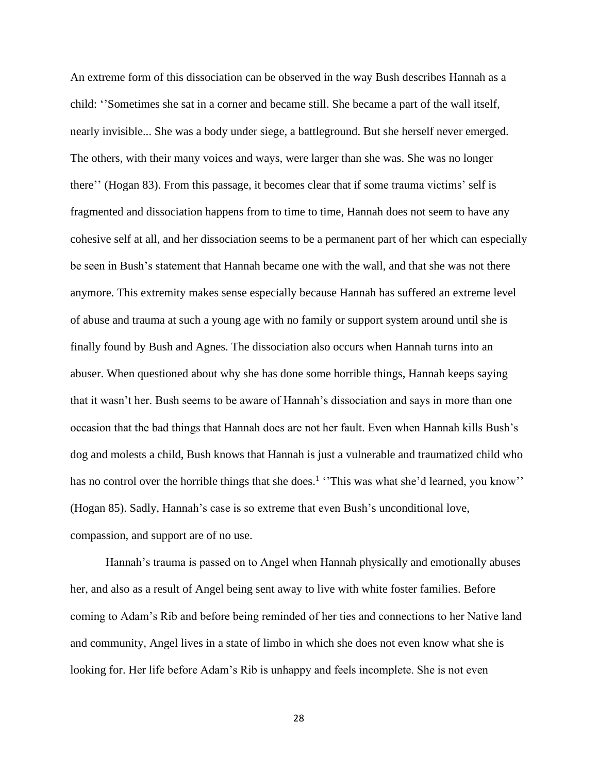An extreme form of this dissociation can be observed in the way Bush describes Hannah as a child: ''Sometimes she sat in a corner and became still. She became a part of the wall itself, nearly invisible... She was a body under siege, a battleground. But she herself never emerged. The others, with their many voices and ways, were larger than she was. She was no longer there'' (Hogan 83). From this passage, it becomes clear that if some trauma victims' self is fragmented and dissociation happens from to time to time, Hannah does not seem to have any cohesive self at all, and her dissociation seems to be a permanent part of her which can especially be seen in Bush's statement that Hannah became one with the wall, and that she was not there anymore. This extremity makes sense especially because Hannah has suffered an extreme level of abuse and trauma at such a young age with no family or support system around until she is finally found by Bush and Agnes. The dissociation also occurs when Hannah turns into an abuser. When questioned about why she has done some horrible things, Hannah keeps saying that it wasn't her. Bush seems to be aware of Hannah's dissociation and says in more than one occasion that the bad things that Hannah does are not her fault. Even when Hannah kills Bush's dog and molests a child, Bush knows that Hannah is just a vulnerable and traumatized child who has no control over the horrible things that she does.<sup>1</sup> 'This was what she'd learned, you know'' (Hogan 85). Sadly, Hannah's case is so extreme that even Bush's unconditional love, compassion, and support are of no use.

Hannah's trauma is passed on to Angel when Hannah physically and emotionally abuses her, and also as a result of Angel being sent away to live with white foster families. Before coming to Adam's Rib and before being reminded of her ties and connections to her Native land and community, Angel lives in a state of limbo in which she does not even know what she is looking for. Her life before Adam's Rib is unhappy and feels incomplete. She is not even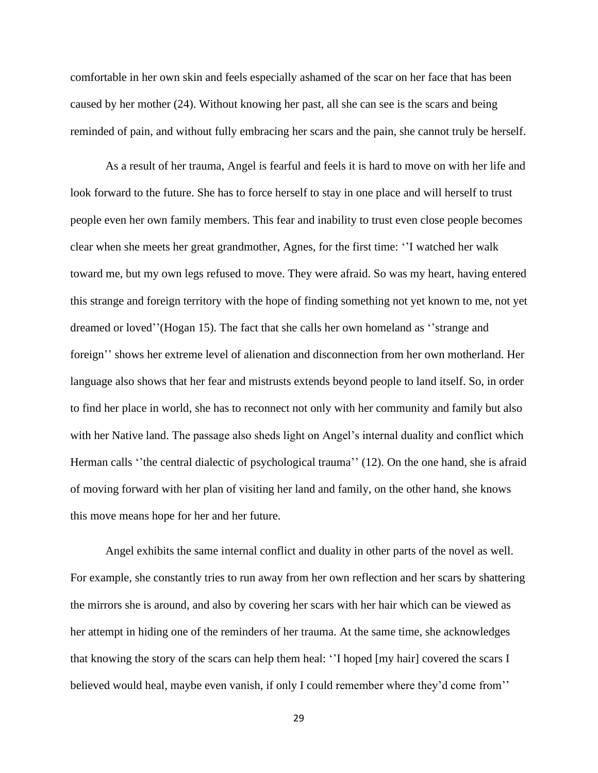comfortable in her own skin and feels especially ashamed of the scar on her face that has been caused by her mother (24). Without knowing her past, all she can see is the scars and being reminded of pain, and without fully embracing her scars and the pain, she cannot truly be herself.

As a result of her trauma, Angel is fearful and feels it is hard to move on with her life and look forward to the future. She has to force herself to stay in one place and will herself to trust people even her own family members. This fear and inability to trust even close people becomes clear when she meets her great grandmother, Agnes, for the first time: ''I watched her walk toward me, but my own legs refused to move. They were afraid. So was my heart, having entered this strange and foreign territory with the hope of finding something not yet known to me, not yet dreamed or loved''(Hogan 15). The fact that she calls her own homeland as ''strange and foreign'' shows her extreme level of alienation and disconnection from her own motherland. Her language also shows that her fear and mistrusts extends beyond people to land itself. So, in order to find her place in world, she has to reconnect not only with her community and family but also with her Native land. The passage also sheds light on Angel's internal duality and conflict which Herman calls "the central dialectic of psychological trauma" (12). On the one hand, she is afraid of moving forward with her plan of visiting her land and family, on the other hand, she knows this move means hope for her and her future.

Angel exhibits the same internal conflict and duality in other parts of the novel as well. For example, she constantly tries to run away from her own reflection and her scars by shattering the mirrors she is around, and also by covering her scars with her hair which can be viewed as her attempt in hiding one of the reminders of her trauma. At the same time, she acknowledges that knowing the story of the scars can help them heal: ''I hoped [my hair] covered the scars I believed would heal, maybe even vanish, if only I could remember where they'd come from''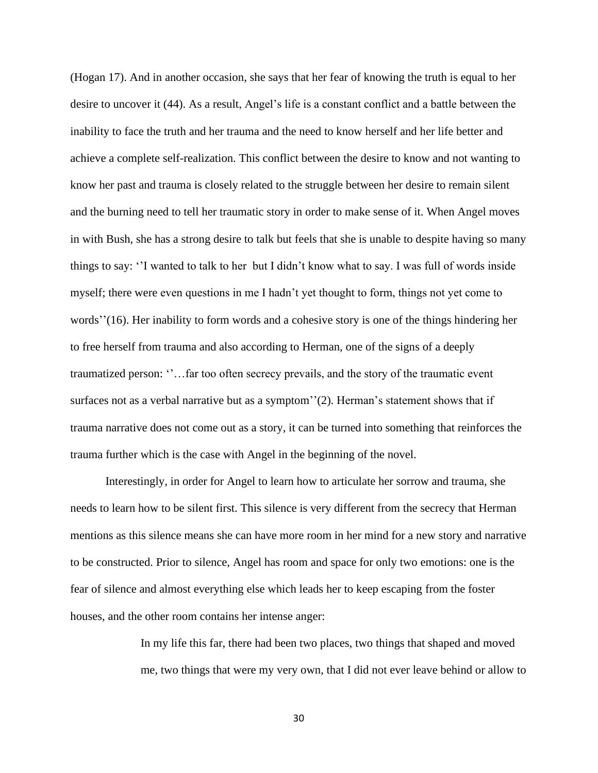(Hogan 17). And in another occasion, she says that her fear of knowing the truth is equal to her desire to uncover it (44). As a result, Angel's life is a constant conflict and a battle between the inability to face the truth and her trauma and the need to know herself and her life better and achieve a complete self-realization. This conflict between the desire to know and not wanting to know her past and trauma is closely related to the struggle between her desire to remain silent and the burning need to tell her traumatic story in order to make sense of it. When Angel moves in with Bush, she has a strong desire to talk but feels that she is unable to despite having so many things to say: ''I wanted to talk to her but I didn't know what to say. I was full of words inside myself; there were even questions in me I hadn't yet thought to form, things not yet come to words''(16). Her inability to form words and a cohesive story is one of the things hindering her to free herself from trauma and also according to Herman, one of the signs of a deeply traumatized person: ''…far too often secrecy prevails, and the story of the traumatic event surfaces not as a verbal narrative but as a symptom''(2). Herman's statement shows that if trauma narrative does not come out as a story, it can be turned into something that reinforces the trauma further which is the case with Angel in the beginning of the novel.

Interestingly, in order for Angel to learn how to articulate her sorrow and trauma, she needs to learn how to be silent first. This silence is very different from the secrecy that Herman mentions as this silence means she can have more room in her mind for a new story and narrative to be constructed. Prior to silence, Angel has room and space for only two emotions: one is the fear of silence and almost everything else which leads her to keep escaping from the foster houses, and the other room contains her intense anger:

> In my life this far, there had been two places, two things that shaped and moved me, two things that were my very own, that I did not ever leave behind or allow to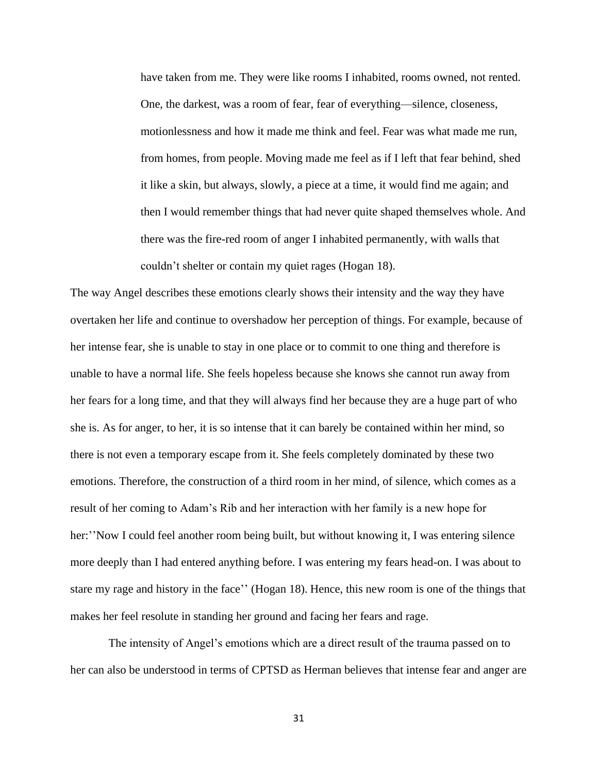have taken from me. They were like rooms I inhabited, rooms owned, not rented. One, the darkest, was a room of fear, fear of everything—silence, closeness, motionlessness and how it made me think and feel. Fear was what made me run, from homes, from people. Moving made me feel as if I left that fear behind, shed it like a skin, but always, slowly, a piece at a time, it would find me again; and then I would remember things that had never quite shaped themselves whole. And there was the fire-red room of anger I inhabited permanently, with walls that couldn't shelter or contain my quiet rages (Hogan 18).

The way Angel describes these emotions clearly shows their intensity and the way they have overtaken her life and continue to overshadow her perception of things. For example, because of her intense fear, she is unable to stay in one place or to commit to one thing and therefore is unable to have a normal life. She feels hopeless because she knows she cannot run away from her fears for a long time, and that they will always find her because they are a huge part of who she is. As for anger, to her, it is so intense that it can barely be contained within her mind, so there is not even a temporary escape from it. She feels completely dominated by these two emotions. Therefore, the construction of a third room in her mind, of silence, which comes as a result of her coming to Adam's Rib and her interaction with her family is a new hope for her:''Now I could feel another room being built, but without knowing it, I was entering silence more deeply than I had entered anything before. I was entering my fears head-on. I was about to stare my rage and history in the face'' (Hogan 18). Hence, this new room is one of the things that makes her feel resolute in standing her ground and facing her fears and rage.

The intensity of Angel's emotions which are a direct result of the trauma passed on to her can also be understood in terms of CPTSD as Herman believes that intense fear and anger are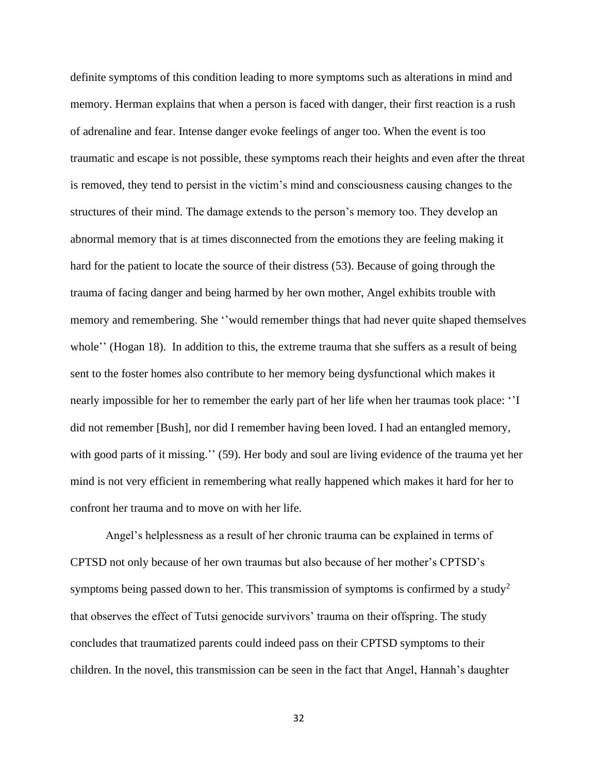definite symptoms of this condition leading to more symptoms such as alterations in mind and memory. Herman explains that when a person is faced with danger, their first reaction is a rush of adrenaline and fear. Intense danger evoke feelings of anger too. When the event is too traumatic and escape is not possible, these symptoms reach their heights and even after the threat is removed, they tend to persist in the victim's mind and consciousness causing changes to the structures of their mind. The damage extends to the person's memory too. They develop an abnormal memory that is at times disconnected from the emotions they are feeling making it hard for the patient to locate the source of their distress (53). Because of going through the trauma of facing danger and being harmed by her own mother, Angel exhibits trouble with memory and remembering. She ''would remember things that had never quite shaped themselves whole'' (Hogan 18). In addition to this, the extreme trauma that she suffers as a result of being sent to the foster homes also contribute to her memory being dysfunctional which makes it nearly impossible for her to remember the early part of her life when her traumas took place: ''I did not remember [Bush], nor did I remember having been loved. I had an entangled memory, with good parts of it missing.'' (59). Her body and soul are living evidence of the trauma yet her mind is not very efficient in remembering what really happened which makes it hard for her to confront her trauma and to move on with her life.

Angel's helplessness as a result of her chronic trauma can be explained in terms of CPTSD not only because of her own traumas but also because of her mother's CPTSD's symptoms being passed down to her. This transmission of symptoms is confirmed by a study<sup>2</sup> that observes the effect of Tutsi genocide survivors' trauma on their offspring. The study concludes that traumatized parents could indeed pass on their CPTSD symptoms to their children. In the novel, this transmission can be seen in the fact that Angel, Hannah's daughter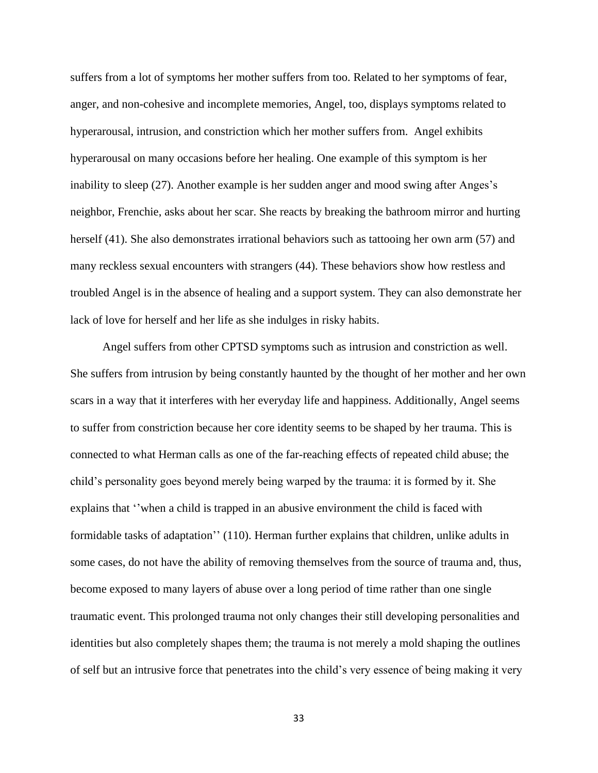suffers from a lot of symptoms her mother suffers from too. Related to her symptoms of fear, anger, and non-cohesive and incomplete memories, Angel, too, displays symptoms related to hyperarousal, intrusion, and constriction which her mother suffers from. Angel exhibits hyperarousal on many occasions before her healing. One example of this symptom is her inability to sleep (27). Another example is her sudden anger and mood swing after Anges's neighbor, Frenchie, asks about her scar. She reacts by breaking the bathroom mirror and hurting herself (41). She also demonstrates irrational behaviors such as tattooing her own arm (57) and many reckless sexual encounters with strangers (44). These behaviors show how restless and troubled Angel is in the absence of healing and a support system. They can also demonstrate her lack of love for herself and her life as she indulges in risky habits.

 Angel suffers from other CPTSD symptoms such as intrusion and constriction as well. She suffers from intrusion by being constantly haunted by the thought of her mother and her own scars in a way that it interferes with her everyday life and happiness. Additionally, Angel seems to suffer from constriction because her core identity seems to be shaped by her trauma. This is connected to what Herman calls as one of the far-reaching effects of repeated child abuse; the child's personality goes beyond merely being warped by the trauma: it is formed by it. She explains that ''when a child is trapped in an abusive environment the child is faced with formidable tasks of adaptation'' (110). Herman further explains that children, unlike adults in some cases, do not have the ability of removing themselves from the source of trauma and, thus, become exposed to many layers of abuse over a long period of time rather than one single traumatic event. This prolonged trauma not only changes their still developing personalities and identities but also completely shapes them; the trauma is not merely a mold shaping the outlines of self but an intrusive force that penetrates into the child's very essence of being making it very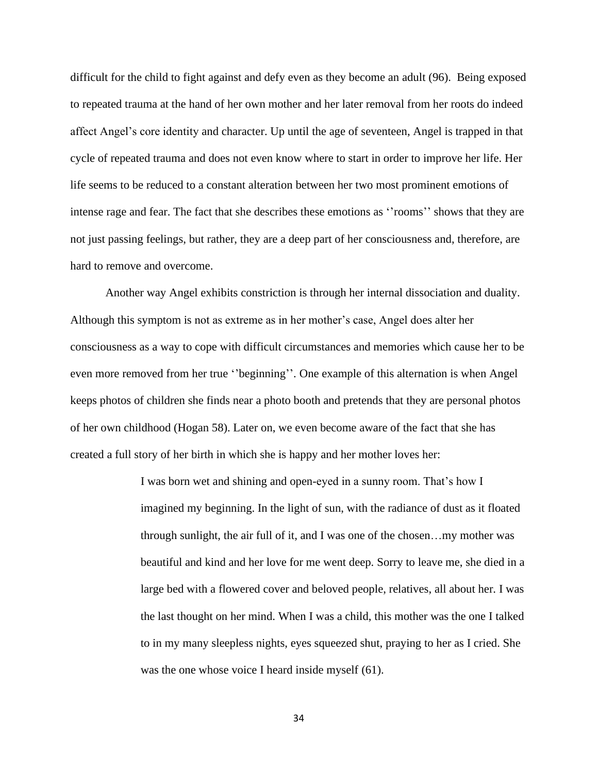difficult for the child to fight against and defy even as they become an adult (96). Being exposed to repeated trauma at the hand of her own mother and her later removal from her roots do indeed affect Angel's core identity and character. Up until the age of seventeen, Angel is trapped in that cycle of repeated trauma and does not even know where to start in order to improve her life. Her life seems to be reduced to a constant alteration between her two most prominent emotions of intense rage and fear. The fact that she describes these emotions as ''rooms'' shows that they are not just passing feelings, but rather, they are a deep part of her consciousness and, therefore, are hard to remove and overcome.

Another way Angel exhibits constriction is through her internal dissociation and duality. Although this symptom is not as extreme as in her mother's case, Angel does alter her consciousness as a way to cope with difficult circumstances and memories which cause her to be even more removed from her true ''beginning''. One example of this alternation is when Angel keeps photos of children she finds near a photo booth and pretends that they are personal photos of her own childhood (Hogan 58). Later on, we even become aware of the fact that she has created a full story of her birth in which she is happy and her mother loves her:

> I was born wet and shining and open-eyed in a sunny room. That's how I imagined my beginning. In the light of sun, with the radiance of dust as it floated through sunlight, the air full of it, and I was one of the chosen…my mother was beautiful and kind and her love for me went deep. Sorry to leave me, she died in a large bed with a flowered cover and beloved people, relatives, all about her. I was the last thought on her mind. When I was a child, this mother was the one I talked to in my many sleepless nights, eyes squeezed shut, praying to her as I cried. She was the one whose voice I heard inside myself (61).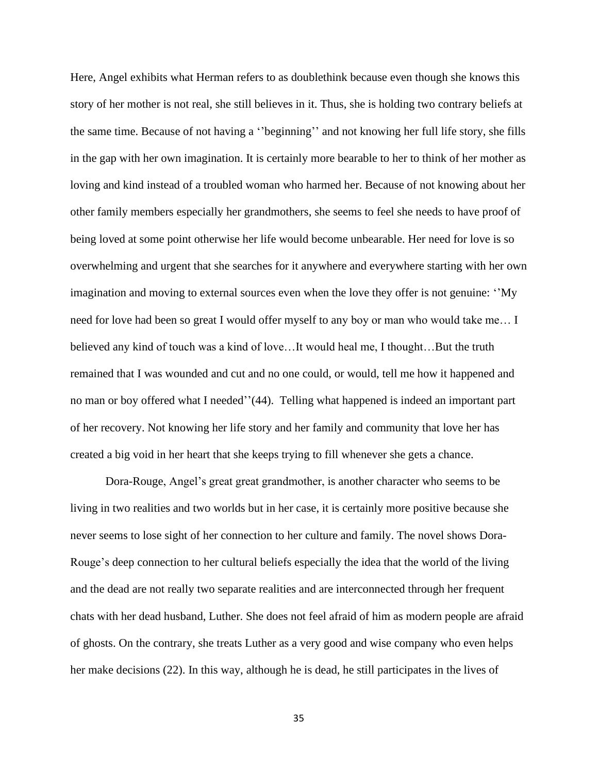Here, Angel exhibits what Herman refers to as doublethink because even though she knows this story of her mother is not real, she still believes in it. Thus, she is holding two contrary beliefs at the same time. Because of not having a ''beginning'' and not knowing her full life story, she fills in the gap with her own imagination. It is certainly more bearable to her to think of her mother as loving and kind instead of a troubled woman who harmed her. Because of not knowing about her other family members especially her grandmothers, she seems to feel she needs to have proof of being loved at some point otherwise her life would become unbearable. Her need for love is so overwhelming and urgent that she searches for it anywhere and everywhere starting with her own imagination and moving to external sources even when the love they offer is not genuine: ''My need for love had been so great I would offer myself to any boy or man who would take me… I believed any kind of touch was a kind of love...It would heal me, I thought...But the truth remained that I was wounded and cut and no one could, or would, tell me how it happened and no man or boy offered what I needed''(44). Telling what happened is indeed an important part of her recovery. Not knowing her life story and her family and community that love her has created a big void in her heart that she keeps trying to fill whenever she gets a chance.

Dora-Rouge, Angel's great great grandmother, is another character who seems to be living in two realities and two worlds but in her case, it is certainly more positive because she never seems to lose sight of her connection to her culture and family. The novel shows Dora-Rouge's deep connection to her cultural beliefs especially the idea that the world of the living and the dead are not really two separate realities and are interconnected through her frequent chats with her dead husband, Luther. She does not feel afraid of him as modern people are afraid of ghosts. On the contrary, she treats Luther as a very good and wise company who even helps her make decisions (22). In this way, although he is dead, he still participates in the lives of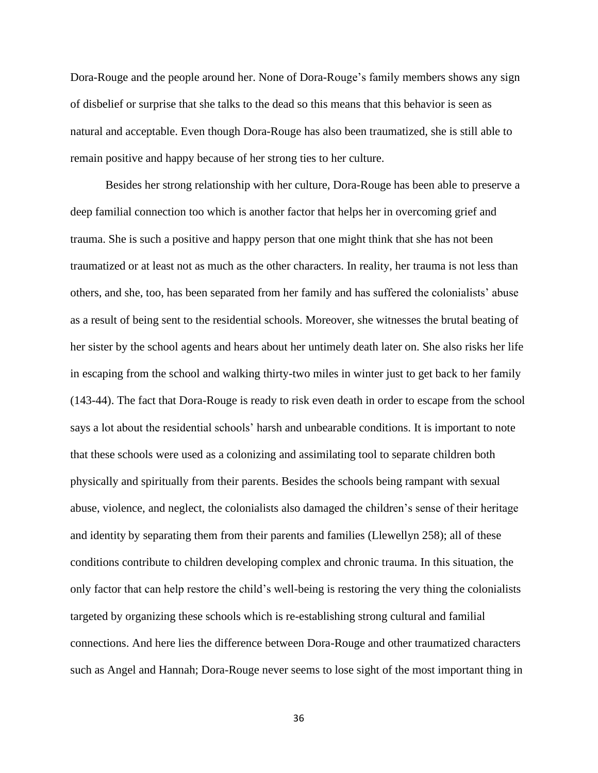Dora-Rouge and the people around her. None of Dora-Rouge's family members shows any sign of disbelief or surprise that she talks to the dead so this means that this behavior is seen as natural and acceptable. Even though Dora-Rouge has also been traumatized, she is still able to remain positive and happy because of her strong ties to her culture.

Besides her strong relationship with her culture, Dora-Rouge has been able to preserve a deep familial connection too which is another factor that helps her in overcoming grief and trauma. She is such a positive and happy person that one might think that she has not been traumatized or at least not as much as the other characters. In reality, her trauma is not less than others, and she, too, has been separated from her family and has suffered the colonialists' abuse as a result of being sent to the residential schools. Moreover, she witnesses the brutal beating of her sister by the school agents and hears about her untimely death later on. She also risks her life in escaping from the school and walking thirty-two miles in winter just to get back to her family (143-44). The fact that Dora-Rouge is ready to risk even death in order to escape from the school says a lot about the residential schools' harsh and unbearable conditions. It is important to note that these schools were used as a colonizing and assimilating tool to separate children both physically and spiritually from their parents. Besides the schools being rampant with sexual abuse, violence, and neglect, the colonialists also damaged the children's sense of their heritage and identity by separating them from their parents and families (Llewellyn 258); all of these conditions contribute to children developing complex and chronic trauma. In this situation, the only factor that can help restore the child's well-being is restoring the very thing the colonialists targeted by organizing these schools which is re-establishing strong cultural and familial connections. And here lies the difference between Dora-Rouge and other traumatized characters such as Angel and Hannah; Dora-Rouge never seems to lose sight of the most important thing in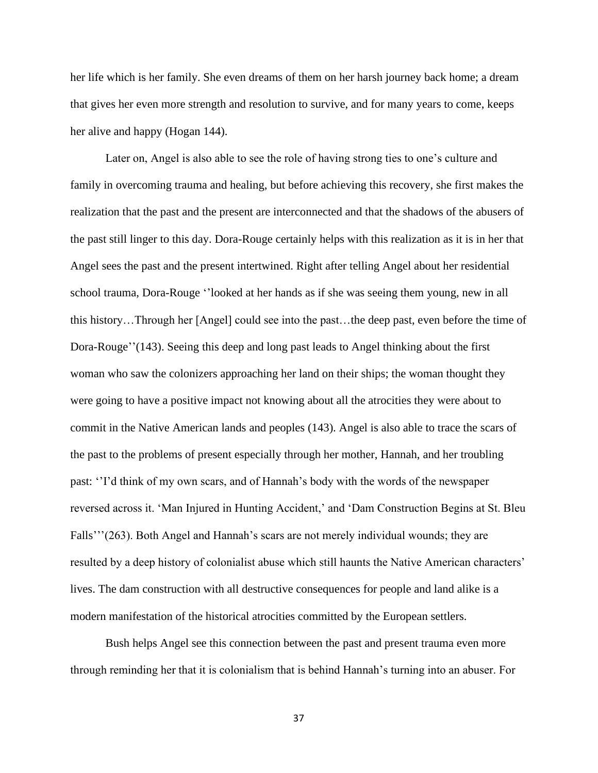her life which is her family. She even dreams of them on her harsh journey back home; a dream that gives her even more strength and resolution to survive, and for many years to come, keeps her alive and happy (Hogan 144).

Later on, Angel is also able to see the role of having strong ties to one's culture and family in overcoming trauma and healing, but before achieving this recovery, she first makes the realization that the past and the present are interconnected and that the shadows of the abusers of the past still linger to this day. Dora-Rouge certainly helps with this realization as it is in her that Angel sees the past and the present intertwined. Right after telling Angel about her residential school trauma, Dora-Rouge ''looked at her hands as if she was seeing them young, new in all this history…Through her [Angel] could see into the past…the deep past, even before the time of Dora-Rouge''(143). Seeing this deep and long past leads to Angel thinking about the first woman who saw the colonizers approaching her land on their ships; the woman thought they were going to have a positive impact not knowing about all the atrocities they were about to commit in the Native American lands and peoples (143). Angel is also able to trace the scars of the past to the problems of present especially through her mother, Hannah, and her troubling past: ''I'd think of my own scars, and of Hannah's body with the words of the newspaper reversed across it. 'Man Injured in Hunting Accident,' and 'Dam Construction Begins at St. Bleu Falls'''(263). Both Angel and Hannah's scars are not merely individual wounds; they are resulted by a deep history of colonialist abuse which still haunts the Native American characters' lives. The dam construction with all destructive consequences for people and land alike is a modern manifestation of the historical atrocities committed by the European settlers.

Bush helps Angel see this connection between the past and present trauma even more through reminding her that it is colonialism that is behind Hannah's turning into an abuser. For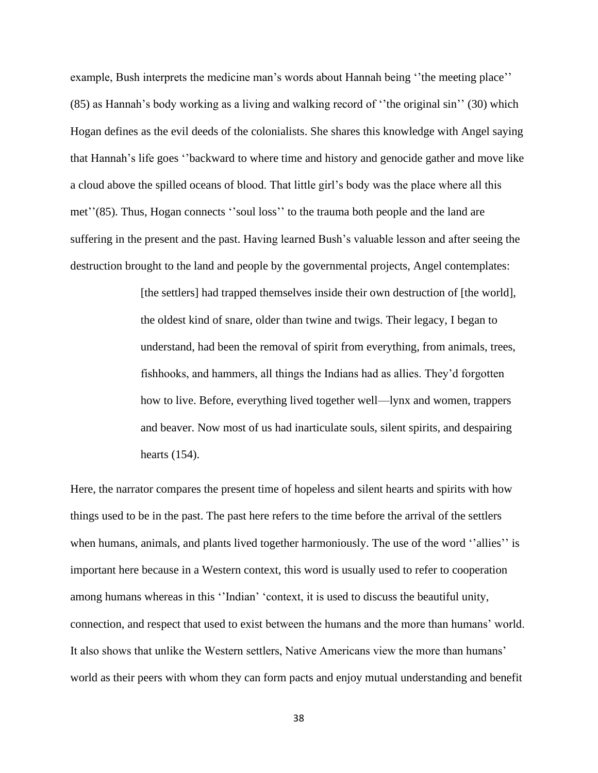example, Bush interprets the medicine man's words about Hannah being ''the meeting place'' (85) as Hannah's body working as a living and walking record of ''the original sin'' (30) which Hogan defines as the evil deeds of the colonialists. She shares this knowledge with Angel saying that Hannah's life goes ''backward to where time and history and genocide gather and move like a cloud above the spilled oceans of blood. That little girl's body was the place where all this met''(85). Thus, Hogan connects ''soul loss'' to the trauma both people and the land are suffering in the present and the past. Having learned Bush's valuable lesson and after seeing the destruction brought to the land and people by the governmental projects, Angel contemplates:

> [the settlers] had trapped themselves inside their own destruction of [the world], the oldest kind of snare, older than twine and twigs. Their legacy, I began to understand, had been the removal of spirit from everything, from animals, trees, fishhooks, and hammers, all things the Indians had as allies. They'd forgotten how to live. Before, everything lived together well—lynx and women, trappers and beaver. Now most of us had inarticulate souls, silent spirits, and despairing hearts (154).

Here, the narrator compares the present time of hopeless and silent hearts and spirits with how things used to be in the past. The past here refers to the time before the arrival of the settlers when humans, animals, and plants lived together harmoniously. The use of the word "allies" is important here because in a Western context, this word is usually used to refer to cooperation among humans whereas in this ''Indian' 'context, it is used to discuss the beautiful unity, connection, and respect that used to exist between the humans and the more than humans' world. It also shows that unlike the Western settlers, Native Americans view the more than humans' world as their peers with whom they can form pacts and enjoy mutual understanding and benefit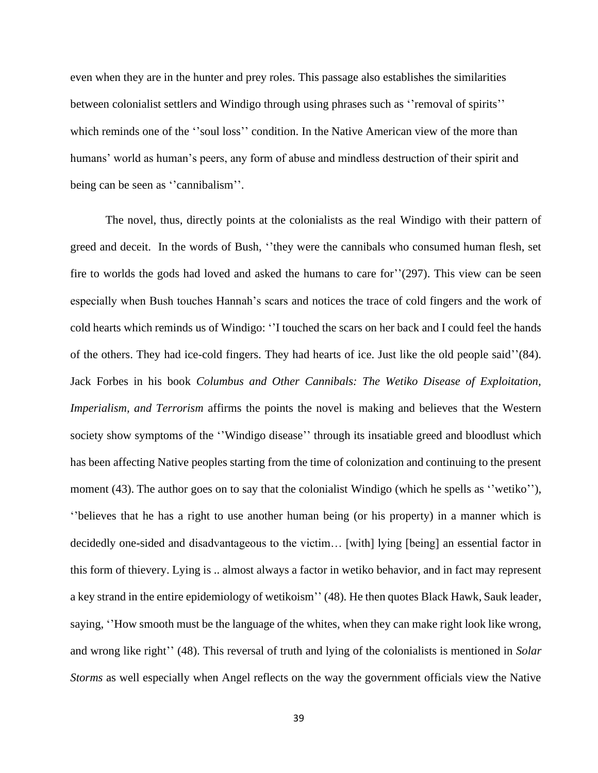even when they are in the hunter and prey roles. This passage also establishes the similarities between colonialist settlers and Windigo through using phrases such as ''removal of spirits'' which reminds one of the "soul loss" condition. In the Native American view of the more than humans' world as human's peers, any form of abuse and mindless destruction of their spirit and being can be seen as ''cannibalism''.

The novel, thus, directly points at the colonialists as the real Windigo with their pattern of greed and deceit. In the words of Bush, ''they were the cannibals who consumed human flesh, set fire to worlds the gods had loved and asked the humans to care for''(297). This view can be seen especially when Bush touches Hannah's scars and notices the trace of cold fingers and the work of cold hearts which reminds us of Windigo: ''I touched the scars on her back and I could feel the hands of the others. They had ice-cold fingers. They had hearts of ice. Just like the old people said''(84). Jack Forbes in his book *Columbus and Other Cannibals: The Wetiko Disease of Exploitation, Imperialism, and Terrorism* affirms the points the novel is making and believes that the Western society show symptoms of the "Windigo disease" through its insatiable greed and bloodlust which has been affecting Native peoples starting from the time of colonization and continuing to the present moment (43). The author goes on to say that the colonialist Windigo (which he spells as "wetiko"), ''believes that he has a right to use another human being (or his property) in a manner which is decidedly one-sided and disadvantageous to the victim… [with] lying [being] an essential factor in this form of thievery. Lying is .. almost always a factor in wetiko behavior, and in fact may represent a key strand in the entire epidemiology of wetikoism'' (48). He then quotes Black Hawk, Sauk leader, saying, ''How smooth must be the language of the whites, when they can make right look like wrong, and wrong like right'' (48). This reversal of truth and lying of the colonialists is mentioned in *Solar Storms* as well especially when Angel reflects on the way the government officials view the Native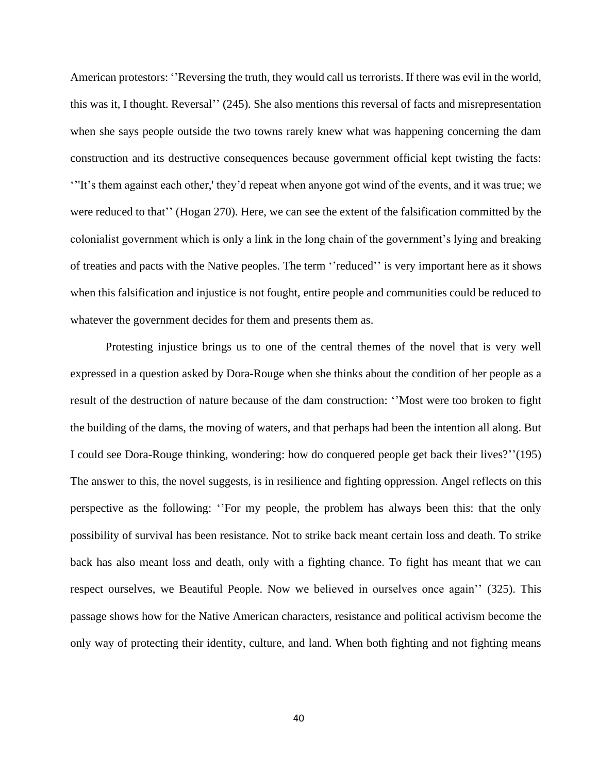American protestors: ''Reversing the truth, they would call us terrorists. If there was evil in the world, this was it, I thought. Reversal'' (245). She also mentions this reversal of facts and misrepresentation when she says people outside the two towns rarely knew what was happening concerning the dam construction and its destructive consequences because government official kept twisting the facts: '''It's them against each other,' they'd repeat when anyone got wind of the events, and it was true; we were reduced to that'' (Hogan 270). Here, we can see the extent of the falsification committed by the colonialist government which is only a link in the long chain of the government's lying and breaking of treaties and pacts with the Native peoples. The term ''reduced'' is very important here as it shows when this falsification and injustice is not fought, entire people and communities could be reduced to whatever the government decides for them and presents them as.

Protesting injustice brings us to one of the central themes of the novel that is very well expressed in a question asked by Dora-Rouge when she thinks about the condition of her people as a result of the destruction of nature because of the dam construction: ''Most were too broken to fight the building of the dams, the moving of waters, and that perhaps had been the intention all along. But I could see Dora-Rouge thinking, wondering: how do conquered people get back their lives?''(195) The answer to this, the novel suggests, is in resilience and fighting oppression. Angel reflects on this perspective as the following: ''For my people, the problem has always been this: that the only possibility of survival has been resistance. Not to strike back meant certain loss and death. To strike back has also meant loss and death, only with a fighting chance. To fight has meant that we can respect ourselves, we Beautiful People. Now we believed in ourselves once again'' (325). This passage shows how for the Native American characters, resistance and political activism become the only way of protecting their identity, culture, and land. When both fighting and not fighting means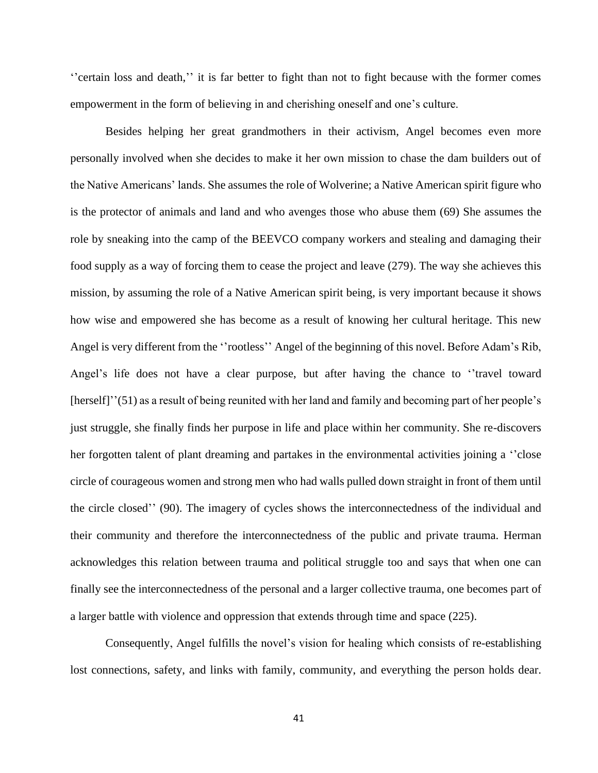''certain loss and death,'' it is far better to fight than not to fight because with the former comes empowerment in the form of believing in and cherishing oneself and one's culture.

Besides helping her great grandmothers in their activism, Angel becomes even more personally involved when she decides to make it her own mission to chase the dam builders out of the Native Americans' lands. She assumes the role of Wolverine; a Native American spirit figure who is the protector of animals and land and who avenges those who abuse them (69) She assumes the role by sneaking into the camp of the BEEVCO company workers and stealing and damaging their food supply as a way of forcing them to cease the project and leave (279). The way she achieves this mission, by assuming the role of a Native American spirit being, is very important because it shows how wise and empowered she has become as a result of knowing her cultural heritage. This new Angel is very different from the ''rootless'' Angel of the beginning of this novel. Before Adam's Rib, Angel's life does not have a clear purpose, but after having the chance to ''travel toward [herself]''(51) as a result of being reunited with her land and family and becoming part of her people's just struggle, she finally finds her purpose in life and place within her community. She re-discovers her forgotten talent of plant dreaming and partakes in the environmental activities joining a ''close circle of courageous women and strong men who had walls pulled down straight in front of them until the circle closed'' (90). The imagery of cycles shows the interconnectedness of the individual and their community and therefore the interconnectedness of the public and private trauma. Herman acknowledges this relation between trauma and political struggle too and says that when one can finally see the interconnectedness of the personal and a larger collective trauma, one becomes part of a larger battle with violence and oppression that extends through time and space (225).

Consequently, Angel fulfills the novel's vision for healing which consists of re-establishing lost connections, safety, and links with family, community, and everything the person holds dear.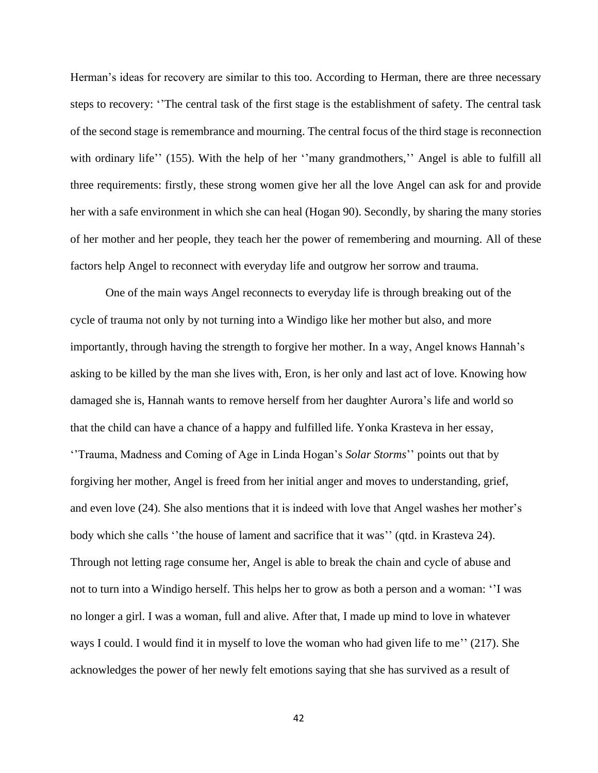Herman's ideas for recovery are similar to this too. According to Herman, there are three necessary steps to recovery: ''The central task of the first stage is the establishment of safety. The central task of the second stage is remembrance and mourning. The central focus of the third stage is reconnection with ordinary life'' (155). With the help of her ''many grandmothers,'' Angel is able to fulfill all three requirements: firstly, these strong women give her all the love Angel can ask for and provide her with a safe environment in which she can heal (Hogan 90). Secondly, by sharing the many stories of her mother and her people, they teach her the power of remembering and mourning. All of these factors help Angel to reconnect with everyday life and outgrow her sorrow and trauma.

One of the main ways Angel reconnects to everyday life is through breaking out of the cycle of trauma not only by not turning into a Windigo like her mother but also, and more importantly, through having the strength to forgive her mother. In a way, Angel knows Hannah's asking to be killed by the man she lives with, Eron, is her only and last act of love. Knowing how damaged she is, Hannah wants to remove herself from her daughter Aurora's life and world so that the child can have a chance of a happy and fulfilled life. Yonka Krasteva in her essay, ''Trauma, Madness and Coming of Age in Linda Hogan's *Solar Storms*'' points out that by forgiving her mother, Angel is freed from her initial anger and moves to understanding, grief, and even love (24). She also mentions that it is indeed with love that Angel washes her mother's body which she calls ''the house of lament and sacrifice that it was'' (qtd. in Krasteva 24). Through not letting rage consume her, Angel is able to break the chain and cycle of abuse and not to turn into a Windigo herself. This helps her to grow as both a person and a woman: ''I was no longer a girl. I was a woman, full and alive. After that, I made up mind to love in whatever ways I could. I would find it in myself to love the woman who had given life to me'' (217). She acknowledges the power of her newly felt emotions saying that she has survived as a result of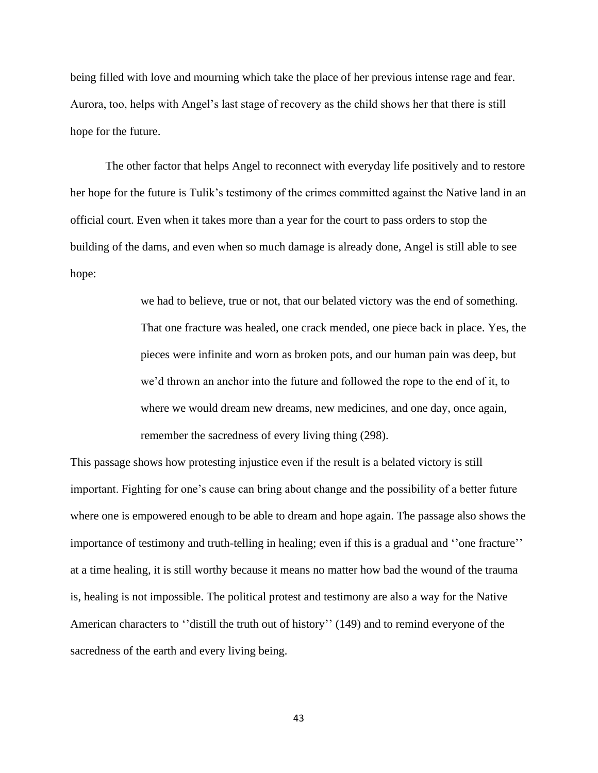being filled with love and mourning which take the place of her previous intense rage and fear. Aurora, too, helps with Angel's last stage of recovery as the child shows her that there is still hope for the future.

The other factor that helps Angel to reconnect with everyday life positively and to restore her hope for the future is Tulik's testimony of the crimes committed against the Native land in an official court. Even when it takes more than a year for the court to pass orders to stop the building of the dams, and even when so much damage is already done, Angel is still able to see hope:

> we had to believe, true or not, that our belated victory was the end of something. That one fracture was healed, one crack mended, one piece back in place. Yes, the pieces were infinite and worn as broken pots, and our human pain was deep, but we'd thrown an anchor into the future and followed the rope to the end of it, to where we would dream new dreams, new medicines, and one day, once again, remember the sacredness of every living thing (298).

This passage shows how protesting injustice even if the result is a belated victory is still important. Fighting for one's cause can bring about change and the possibility of a better future where one is empowered enough to be able to dream and hope again. The passage also shows the importance of testimony and truth-telling in healing; even if this is a gradual and ''one fracture'' at a time healing, it is still worthy because it means no matter how bad the wound of the trauma is, healing is not impossible. The political protest and testimony are also a way for the Native American characters to ''distill the truth out of history'' (149) and to remind everyone of the sacredness of the earth and every living being.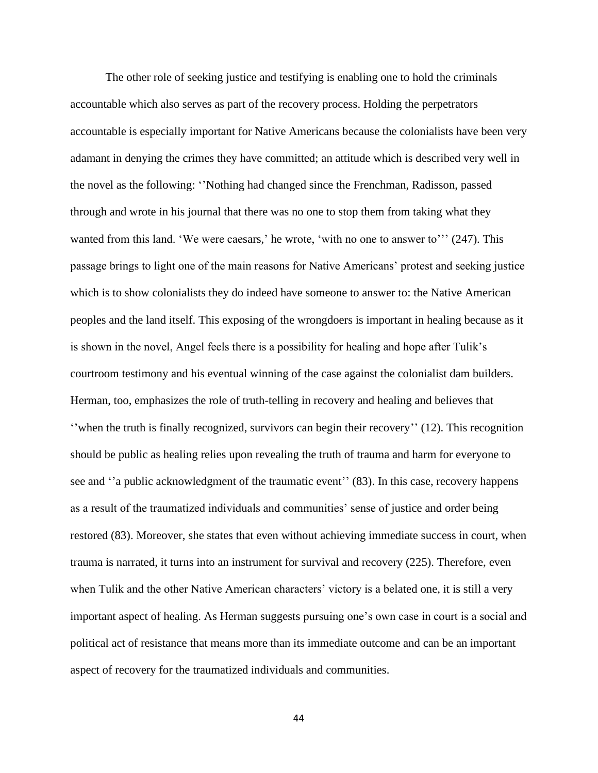The other role of seeking justice and testifying is enabling one to hold the criminals accountable which also serves as part of the recovery process. Holding the perpetrators accountable is especially important for Native Americans because the colonialists have been very adamant in denying the crimes they have committed; an attitude which is described very well in the novel as the following: ''Nothing had changed since the Frenchman, Radisson, passed through and wrote in his journal that there was no one to stop them from taking what they wanted from this land. 'We were caesars,' he wrote, 'with no one to answer to''' (247). This passage brings to light one of the main reasons for Native Americans' protest and seeking justice which is to show colonialists they do indeed have someone to answer to: the Native American peoples and the land itself. This exposing of the wrongdoers is important in healing because as it is shown in the novel, Angel feels there is a possibility for healing and hope after Tulik's courtroom testimony and his eventual winning of the case against the colonialist dam builders. Herman, too, emphasizes the role of truth-telling in recovery and healing and believes that ''when the truth is finally recognized, survivors can begin their recovery'' (12). This recognition should be public as healing relies upon revealing the truth of trauma and harm for everyone to see and "a public acknowledgment of the traumatic event" (83). In this case, recovery happens as a result of the traumatized individuals and communities' sense of justice and order being restored (83). Moreover, she states that even without achieving immediate success in court, when trauma is narrated, it turns into an instrument for survival and recovery (225). Therefore, even when Tulik and the other Native American characters' victory is a belated one, it is still a very important aspect of healing. As Herman suggests pursuing one's own case in court is a social and political act of resistance that means more than its immediate outcome and can be an important aspect of recovery for the traumatized individuals and communities.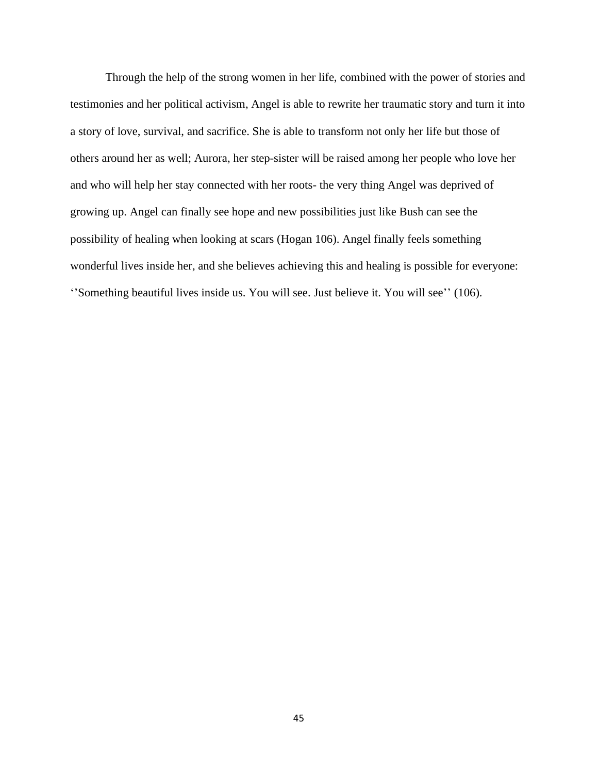Through the help of the strong women in her life, combined with the power of stories and testimonies and her political activism, Angel is able to rewrite her traumatic story and turn it into a story of love, survival, and sacrifice. She is able to transform not only her life but those of others around her as well; Aurora, her step-sister will be raised among her people who love her and who will help her stay connected with her roots- the very thing Angel was deprived of growing up. Angel can finally see hope and new possibilities just like Bush can see the possibility of healing when looking at scars (Hogan 106). Angel finally feels something wonderful lives inside her, and she believes achieving this and healing is possible for everyone: ''Something beautiful lives inside us. You will see. Just believe it. You will see'' (106).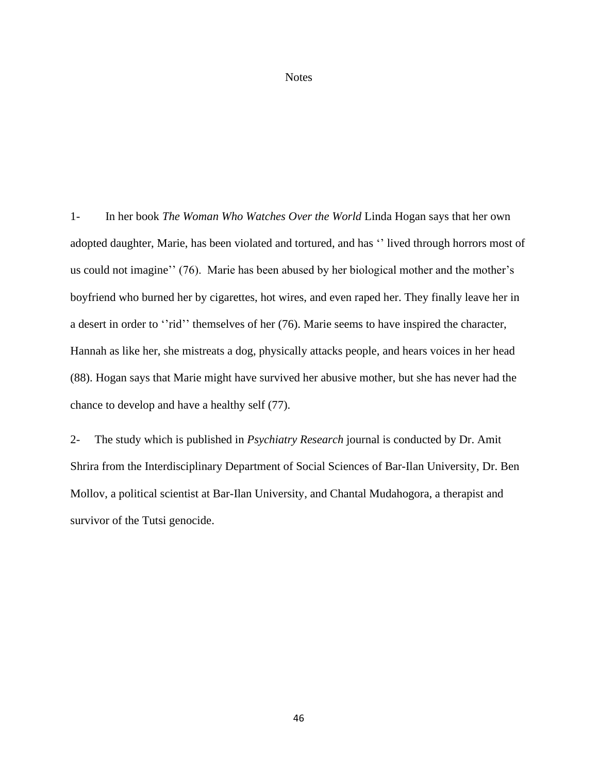## **Notes**

1- In her book *The Woman Who Watches Over the World* Linda Hogan says that her own adopted daughter, Marie, has been violated and tortured, and has '' lived through horrors most of us could not imagine'' (76). Marie has been abused by her biological mother and the mother's boyfriend who burned her by cigarettes, hot wires, and even raped her. They finally leave her in a desert in order to "rid" themselves of her (76). Marie seems to have inspired the character, Hannah as like her, she mistreats a dog, physically attacks people, and hears voices in her head (88). Hogan says that Marie might have survived her abusive mother, but she has never had the chance to develop and have a healthy self (77).

2- The study which is published in *Psychiatry Research* journal is conducted by Dr. Amit Shrira from the Interdisciplinary Department of Social Sciences of Bar-Ilan University, Dr. Ben Mollov, a political scientist at Bar-Ilan University, and Chantal Mudahogora, a therapist and survivor of the Tutsi genocide.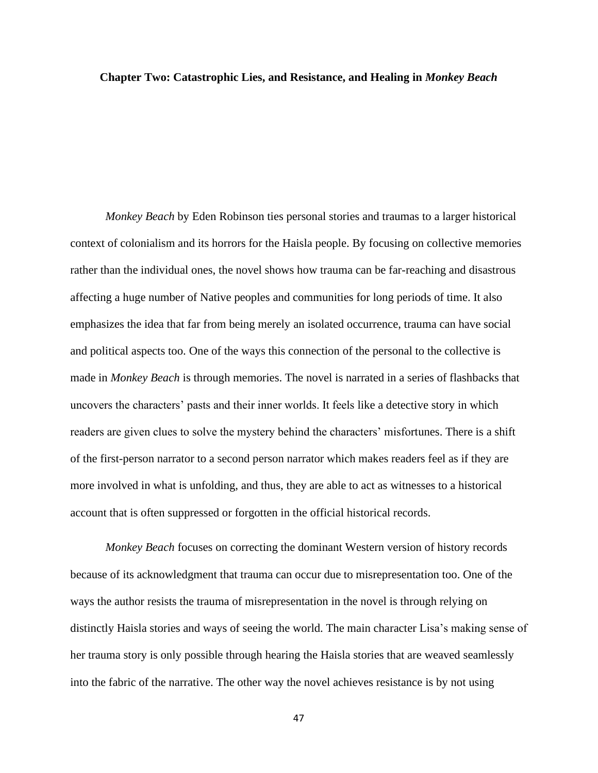## **Chapter Two: Catastrophic Lies, and Resistance, and Healing in** *Monkey Beach*

*Monkey Beach* by Eden Robinson ties personal stories and traumas to a larger historical context of colonialism and its horrors for the Haisla people. By focusing on collective memories rather than the individual ones, the novel shows how trauma can be far-reaching and disastrous affecting a huge number of Native peoples and communities for long periods of time. It also emphasizes the idea that far from being merely an isolated occurrence, trauma can have social and political aspects too. One of the ways this connection of the personal to the collective is made in *Monkey Beach* is through memories. The novel is narrated in a series of flashbacks that uncovers the characters' pasts and their inner worlds. It feels like a detective story in which readers are given clues to solve the mystery behind the characters' misfortunes. There is a shift of the first-person narrator to a second person narrator which makes readers feel as if they are more involved in what is unfolding, and thus, they are able to act as witnesses to a historical account that is often suppressed or forgotten in the official historical records.

*Monkey Beach* focuses on correcting the dominant Western version of history records because of its acknowledgment that trauma can occur due to misrepresentation too. One of the ways the author resists the trauma of misrepresentation in the novel is through relying on distinctly Haisla stories and ways of seeing the world. The main character Lisa's making sense of her trauma story is only possible through hearing the Haisla stories that are weaved seamlessly into the fabric of the narrative. The other way the novel achieves resistance is by not using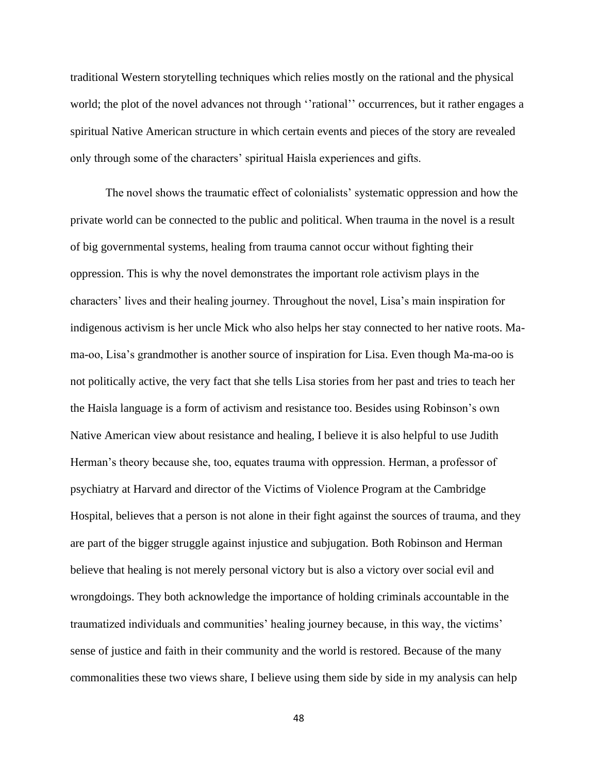traditional Western storytelling techniques which relies mostly on the rational and the physical world; the plot of the novel advances not through "rational" occurrences, but it rather engages a spiritual Native American structure in which certain events and pieces of the story are revealed only through some of the characters' spiritual Haisla experiences and gifts.

The novel shows the traumatic effect of colonialists' systematic oppression and how the private world can be connected to the public and political. When trauma in the novel is a result of big governmental systems, healing from trauma cannot occur without fighting their oppression. This is why the novel demonstrates the important role activism plays in the characters' lives and their healing journey. Throughout the novel, Lisa's main inspiration for indigenous activism is her uncle Mick who also helps her stay connected to her native roots. Mama-oo, Lisa's grandmother is another source of inspiration for Lisa. Even though Ma-ma-oo is not politically active, the very fact that she tells Lisa stories from her past and tries to teach her the Haisla language is a form of activism and resistance too. Besides using Robinson's own Native American view about resistance and healing, I believe it is also helpful to use Judith Herman's theory because she, too, equates trauma with oppression. Herman, a professor of psychiatry at Harvard and director of the Victims of Violence Program at the Cambridge Hospital, believes that a person is not alone in their fight against the sources of trauma, and they are part of the bigger struggle against injustice and subjugation. Both Robinson and Herman believe that healing is not merely personal victory but is also a victory over social evil and wrongdoings. They both acknowledge the importance of holding criminals accountable in the traumatized individuals and communities' healing journey because, in this way, the victims' sense of justice and faith in their community and the world is restored. Because of the many commonalities these two views share, I believe using them side by side in my analysis can help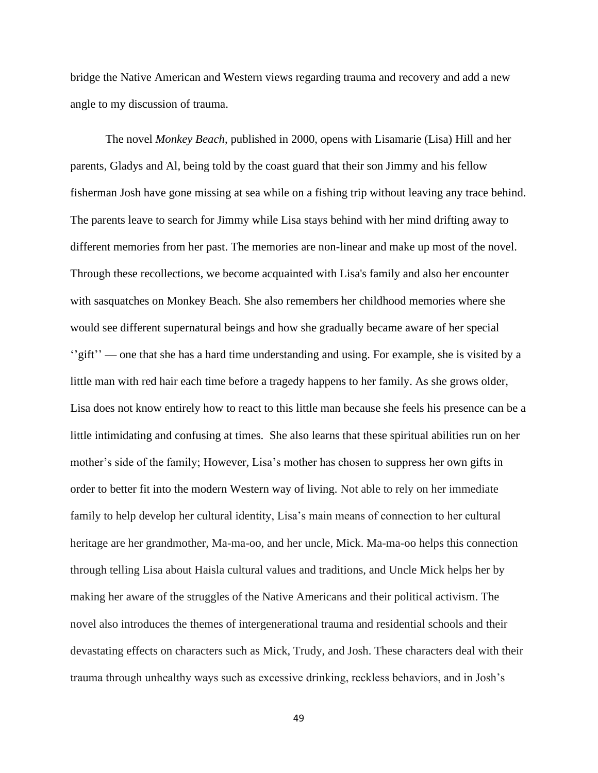bridge the Native American and Western views regarding trauma and recovery and add a new angle to my discussion of trauma.

The novel *Monkey Beach*, published in 2000, opens with Lisamarie (Lisa) Hill and her parents, Gladys and Al, being told by the coast guard that their son Jimmy and his fellow fisherman Josh have gone missing at sea while on a fishing trip without leaving any trace behind. The parents leave to search for Jimmy while Lisa stays behind with her mind drifting away to different memories from her past. The memories are non-linear and make up most of the novel. Through these recollections, we become acquainted with Lisa's family and also her encounter with sasquatches on Monkey Beach. She also remembers her childhood memories where she would see different supernatural beings and how she gradually became aware of her special ''gift'' — one that she has a hard time understanding and using. For example, she is visited by a little man with red hair each time before a tragedy happens to her family. As she grows older, Lisa does not know entirely how to react to this little man because she feels his presence can be a little intimidating and confusing at times. She also learns that these spiritual abilities run on her mother's side of the family; However, Lisa's mother has chosen to suppress her own gifts in order to better fit into the modern Western way of living. Not able to rely on her immediate family to help develop her cultural identity, Lisa's main means of connection to her cultural heritage are her grandmother, Ma-ma-oo, and her uncle, Mick. Ma-ma-oo helps this connection through telling Lisa about Haisla cultural values and traditions, and Uncle Mick helps her by making her aware of the struggles of the Native Americans and their political activism. The novel also introduces the themes of intergenerational trauma and residential schools and their devastating effects on characters such as Mick, Trudy, and Josh. These characters deal with their trauma through unhealthy ways such as excessive drinking, reckless behaviors, and in Josh's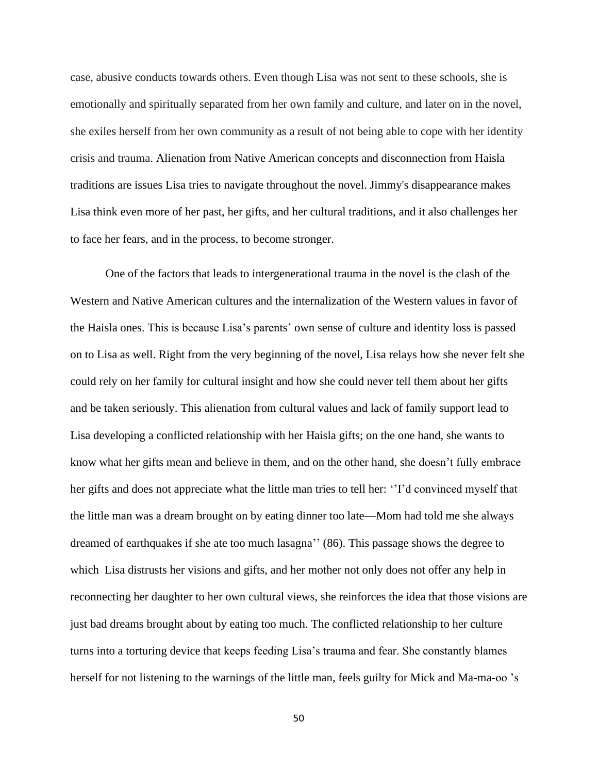case, abusive conducts towards others. Even though Lisa was not sent to these schools, she is emotionally and spiritually separated from her own family and culture, and later on in the novel, she exiles herself from her own community as a result of not being able to cope with her identity crisis and trauma. Alienation from Native American concepts and disconnection from Haisla traditions are issues Lisa tries to navigate throughout the novel. Jimmy's disappearance makes Lisa think even more of her past, her gifts, and her cultural traditions, and it also challenges her to face her fears, and in the process, to become stronger.

One of the factors that leads to intergenerational trauma in the novel is the clash of the Western and Native American cultures and the internalization of the Western values in favor of the Haisla ones. This is because Lisa's parents' own sense of culture and identity loss is passed on to Lisa as well. Right from the very beginning of the novel, Lisa relays how she never felt she could rely on her family for cultural insight and how she could never tell them about her gifts and be taken seriously. This alienation from cultural values and lack of family support lead to Lisa developing a conflicted relationship with her Haisla gifts; on the one hand, she wants to know what her gifts mean and believe in them, and on the other hand, she doesn't fully embrace her gifts and does not appreciate what the little man tries to tell her: ''I'd convinced myself that the little man was a dream brought on by eating dinner too late—Mom had told me she always dreamed of earthquakes if she ate too much lasagna'' (86). This passage shows the degree to which Lisa distrusts her visions and gifts, and her mother not only does not offer any help in reconnecting her daughter to her own cultural views, she reinforces the idea that those visions are just bad dreams brought about by eating too much. The conflicted relationship to her culture turns into a torturing device that keeps feeding Lisa's trauma and fear. She constantly blames herself for not listening to the warnings of the little man, feels guilty for Mick and Ma-ma-oo 's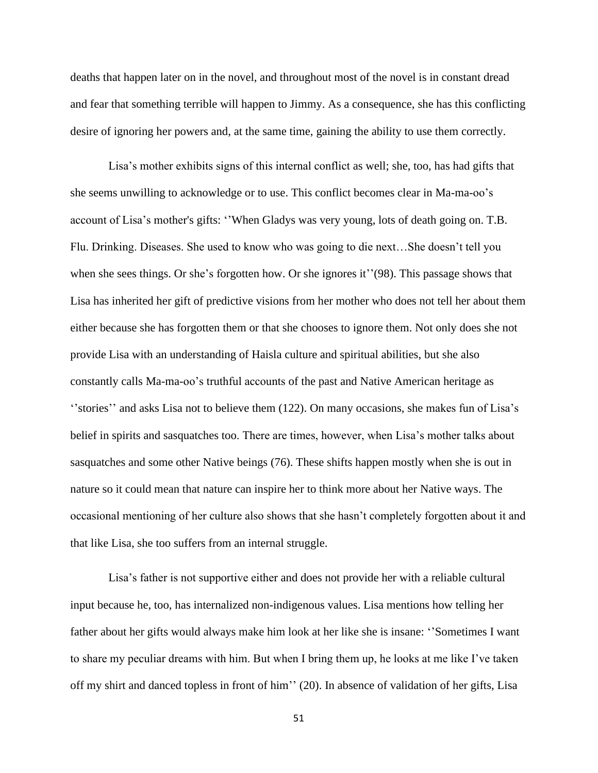deaths that happen later on in the novel, and throughout most of the novel is in constant dread and fear that something terrible will happen to Jimmy. As a consequence, she has this conflicting desire of ignoring her powers and, at the same time, gaining the ability to use them correctly.

Lisa's mother exhibits signs of this internal conflict as well; she, too, has had gifts that she seems unwilling to acknowledge or to use. This conflict becomes clear in Ma-ma-oo's account of Lisa's mother's gifts: ''When Gladys was very young, lots of death going on. T.B. Flu. Drinking. Diseases. She used to know who was going to die next…She doesn't tell you when she sees things. Or she's forgotten how. Or she ignores it''(98). This passage shows that Lisa has inherited her gift of predictive visions from her mother who does not tell her about them either because she has forgotten them or that she chooses to ignore them. Not only does she not provide Lisa with an understanding of Haisla culture and spiritual abilities, but she also constantly calls Ma-ma-oo's truthful accounts of the past and Native American heritage as ''stories'' and asks Lisa not to believe them (122). On many occasions, she makes fun of Lisa's belief in spirits and sasquatches too. There are times, however, when Lisa's mother talks about sasquatches and some other Native beings (76). These shifts happen mostly when she is out in nature so it could mean that nature can inspire her to think more about her Native ways. The occasional mentioning of her culture also shows that she hasn't completely forgotten about it and that like Lisa, she too suffers from an internal struggle.

Lisa's father is not supportive either and does not provide her with a reliable cultural input because he, too, has internalized non-indigenous values. Lisa mentions how telling her father about her gifts would always make him look at her like she is insane: ''Sometimes I want to share my peculiar dreams with him. But when I bring them up, he looks at me like I've taken off my shirt and danced topless in front of him'' (20). In absence of validation of her gifts, Lisa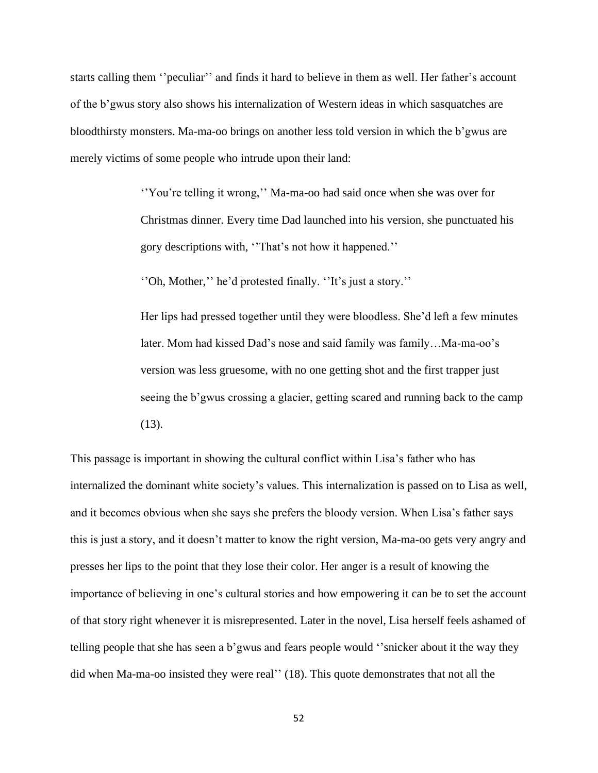starts calling them ''peculiar'' and finds it hard to believe in them as well. Her father's account of the b'gwus story also shows his internalization of Western ideas in which sasquatches are bloodthirsty monsters. Ma-ma-oo brings on another less told version in which the b'gwus are merely victims of some people who intrude upon their land:

> ''You're telling it wrong,'' Ma-ma-oo had said once when she was over for Christmas dinner. Every time Dad launched into his version, she punctuated his gory descriptions with, ''That's not how it happened.''

''Oh, Mother,'' he'd protested finally. ''It's just a story.''

Her lips had pressed together until they were bloodless. She'd left a few minutes later. Mom had kissed Dad's nose and said family was family…Ma-ma-oo's version was less gruesome, with no one getting shot and the first trapper just seeing the b'gwus crossing a glacier, getting scared and running back to the camp (13).

This passage is important in showing the cultural conflict within Lisa's father who has internalized the dominant white society's values. This internalization is passed on to Lisa as well, and it becomes obvious when she says she prefers the bloody version. When Lisa's father says this is just a story, and it doesn't matter to know the right version, Ma-ma-oo gets very angry and presses her lips to the point that they lose their color. Her anger is a result of knowing the importance of believing in one's cultural stories and how empowering it can be to set the account of that story right whenever it is misrepresented. Later in the novel, Lisa herself feels ashamed of telling people that she has seen a b'gwus and fears people would ''snicker about it the way they did when Ma-ma-oo insisted they were real'' (18). This quote demonstrates that not all the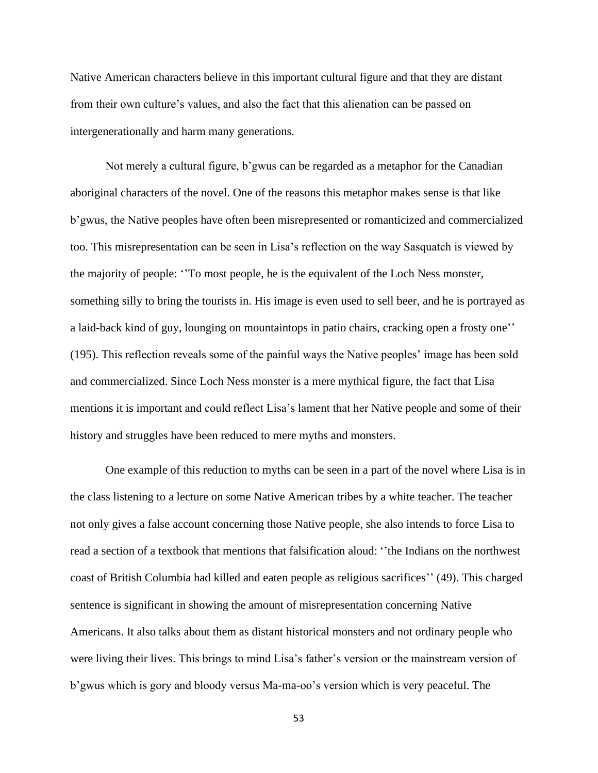Native American characters believe in this important cultural figure and that they are distant from their own culture's values, and also the fact that this alienation can be passed on intergenerationally and harm many generations.

Not merely a cultural figure, b'gwus can be regarded as a metaphor for the Canadian aboriginal characters of the novel. One of the reasons this metaphor makes sense is that like b'gwus, the Native peoples have often been misrepresented or romanticized and commercialized too. This misrepresentation can be seen in Lisa's reflection on the way Sasquatch is viewed by the majority of people: ''To most people, he is the equivalent of the Loch Ness monster, something silly to bring the tourists in. His image is even used to sell beer, and he is portrayed as a laid-back kind of guy, lounging on mountaintops in patio chairs, cracking open a frosty one'' (195). This reflection reveals some of the painful ways the Native peoples' image has been sold and commercialized. Since Loch Ness monster is a mere mythical figure, the fact that Lisa mentions it is important and could reflect Lisa's lament that her Native people and some of their history and struggles have been reduced to mere myths and monsters.

One example of this reduction to myths can be seen in a part of the novel where Lisa is in the class listening to a lecture on some Native American tribes by a white teacher. The teacher not only gives a false account concerning those Native people, she also intends to force Lisa to read a section of a textbook that mentions that falsification aloud: ''the Indians on the northwest coast of British Columbia had killed and eaten people as religious sacrifices'' (49). This charged sentence is significant in showing the amount of misrepresentation concerning Native Americans. It also talks about them as distant historical monsters and not ordinary people who were living their lives. This brings to mind Lisa's father's version or the mainstream version of b'gwus which is gory and bloody versus Ma-ma-oo's version which is very peaceful. The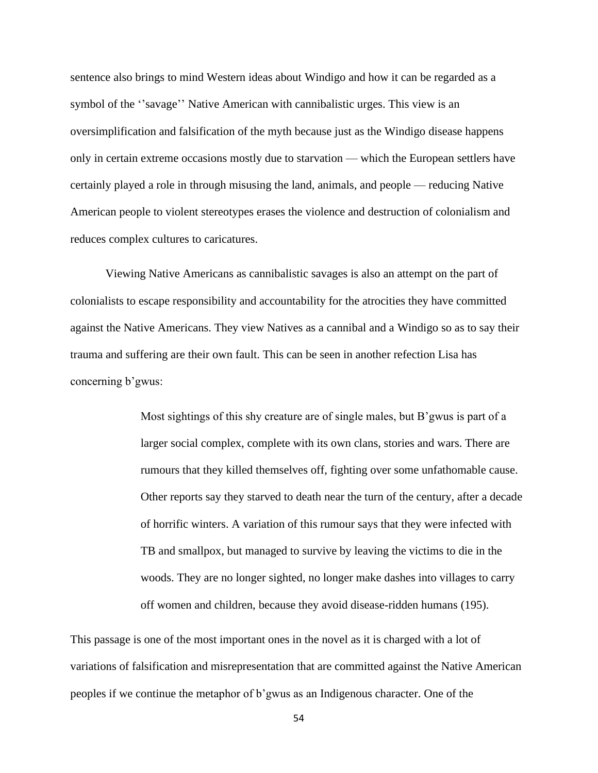sentence also brings to mind Western ideas about Windigo and how it can be regarded as a symbol of the ''savage'' Native American with cannibalistic urges. This view is an oversimplification and falsification of the myth because just as the Windigo disease happens only in certain extreme occasions mostly due to starvation — which the European settlers have certainly played a role in through misusing the land, animals, and people — reducing Native American people to violent stereotypes erases the violence and destruction of colonialism and reduces complex cultures to caricatures.

Viewing Native Americans as cannibalistic savages is also an attempt on the part of colonialists to escape responsibility and accountability for the atrocities they have committed against the Native Americans. They view Natives as a cannibal and a Windigo so as to say their trauma and suffering are their own fault. This can be seen in another refection Lisa has concerning b'gwus:

> Most sightings of this shy creature are of single males, but B'gwus is part of a larger social complex, complete with its own clans, stories and wars. There are rumours that they killed themselves off, fighting over some unfathomable cause. Other reports say they starved to death near the turn of the century, after a decade of horrific winters. A variation of this rumour says that they were infected with TB and smallpox, but managed to survive by leaving the victims to die in the woods. They are no longer sighted, no longer make dashes into villages to carry off women and children, because they avoid disease-ridden humans (195).

This passage is one of the most important ones in the novel as it is charged with a lot of variations of falsification and misrepresentation that are committed against the Native American peoples if we continue the metaphor of b'gwus as an Indigenous character. One of the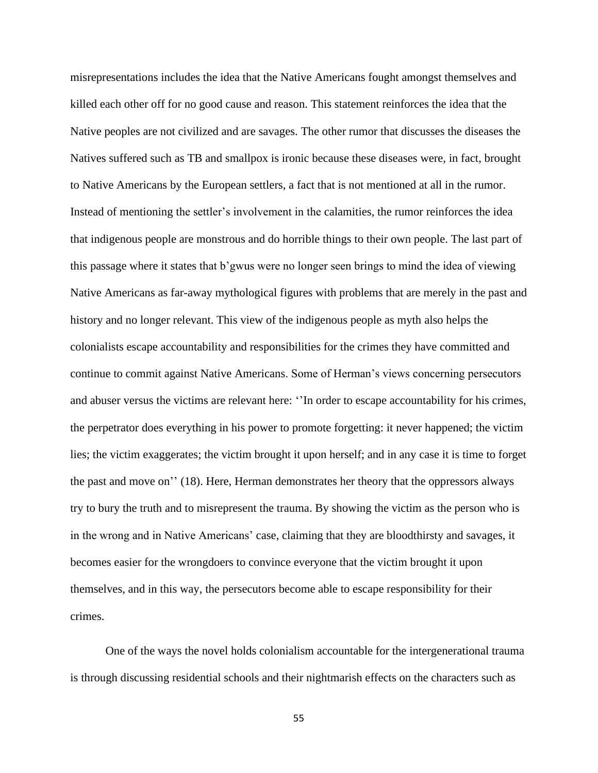misrepresentations includes the idea that the Native Americans fought amongst themselves and killed each other off for no good cause and reason. This statement reinforces the idea that the Native peoples are not civilized and are savages. The other rumor that discusses the diseases the Natives suffered such as TB and smallpox is ironic because these diseases were, in fact, brought to Native Americans by the European settlers, a fact that is not mentioned at all in the rumor. Instead of mentioning the settler's involvement in the calamities, the rumor reinforces the idea that indigenous people are monstrous and do horrible things to their own people. The last part of this passage where it states that b'gwus were no longer seen brings to mind the idea of viewing Native Americans as far-away mythological figures with problems that are merely in the past and history and no longer relevant. This view of the indigenous people as myth also helps the colonialists escape accountability and responsibilities for the crimes they have committed and continue to commit against Native Americans. Some of Herman's views concerning persecutors and abuser versus the victims are relevant here: ''In order to escape accountability for his crimes, the perpetrator does everything in his power to promote forgetting: it never happened; the victim lies; the victim exaggerates; the victim brought it upon herself; and in any case it is time to forget the past and move on'' (18). Here, Herman demonstrates her theory that the oppressors always try to bury the truth and to misrepresent the trauma. By showing the victim as the person who is in the wrong and in Native Americans' case, claiming that they are bloodthirsty and savages, it becomes easier for the wrongdoers to convince everyone that the victim brought it upon themselves, and in this way, the persecutors become able to escape responsibility for their crimes.

One of the ways the novel holds colonialism accountable for the intergenerational trauma is through discussing residential schools and their nightmarish effects on the characters such as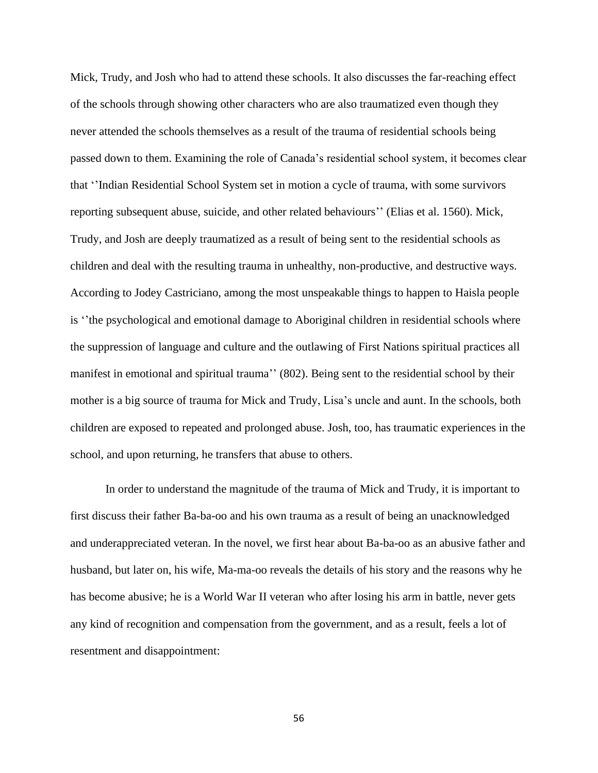Mick, Trudy, and Josh who had to attend these schools. It also discusses the far-reaching effect of the schools through showing other characters who are also traumatized even though they never attended the schools themselves as a result of the trauma of residential schools being passed down to them. Examining the role of Canada's residential school system, it becomes clear that ''Indian Residential School System set in motion a cycle of trauma, with some survivors reporting subsequent abuse, suicide, and other related behaviours'' (Elias et al. 1560). Mick, Trudy, and Josh are deeply traumatized as a result of being sent to the residential schools as children and deal with the resulting trauma in unhealthy, non-productive, and destructive ways. According to Jodey Castriciano, among the most unspeakable things to happen to Haisla people is ''the psychological and emotional damage to Aboriginal children in residential schools where the suppression of language and culture and the outlawing of First Nations spiritual practices all manifest in emotional and spiritual trauma'' (802). Being sent to the residential school by their mother is a big source of trauma for Mick and Trudy, Lisa's uncle and aunt. In the schools, both children are exposed to repeated and prolonged abuse. Josh, too, has traumatic experiences in the school, and upon returning, he transfers that abuse to others.

In order to understand the magnitude of the trauma of Mick and Trudy, it is important to first discuss their father Ba-ba-oo and his own trauma as a result of being an unacknowledged and underappreciated veteran. In the novel, we first hear about Ba-ba-oo as an abusive father and husband, but later on, his wife, Ma-ma-oo reveals the details of his story and the reasons why he has become abusive; he is a World War II veteran who after losing his arm in battle, never gets any kind of recognition and compensation from the government, and as a result, feels a lot of resentment and disappointment: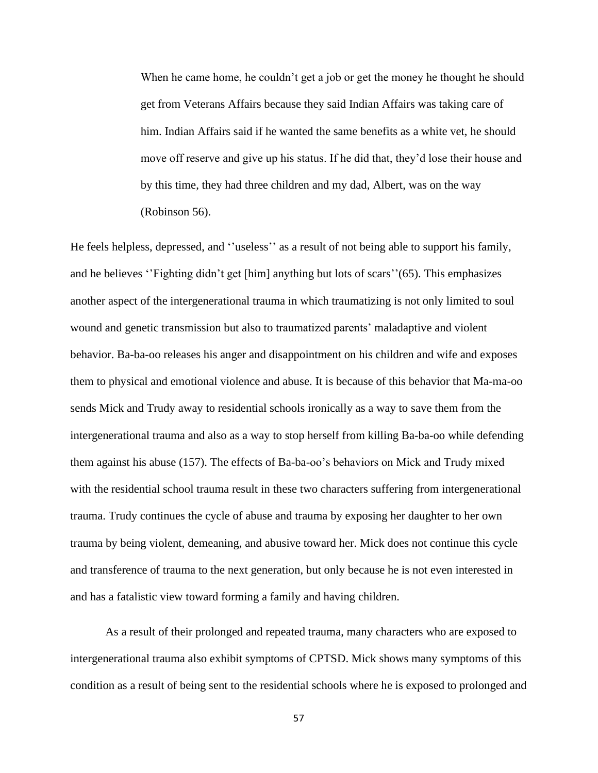When he came home, he couldn't get a job or get the money he thought he should get from Veterans Affairs because they said Indian Affairs was taking care of him. Indian Affairs said if he wanted the same benefits as a white vet, he should move off reserve and give up his status. If he did that, they'd lose their house and by this time, they had three children and my dad, Albert, was on the way (Robinson 56).

He feels helpless, depressed, and ''useless'' as a result of not being able to support his family, and he believes ''Fighting didn't get [him] anything but lots of scars''(65). This emphasizes another aspect of the intergenerational trauma in which traumatizing is not only limited to soul wound and genetic transmission but also to traumatized parents' maladaptive and violent behavior. Ba-ba-oo releases his anger and disappointment on his children and wife and exposes them to physical and emotional violence and abuse. It is because of this behavior that Ma-ma-oo sends Mick and Trudy away to residential schools ironically as a way to save them from the intergenerational trauma and also as a way to stop herself from killing Ba-ba-oo while defending them against his abuse (157). The effects of Ba-ba-oo's behaviors on Mick and Trudy mixed with the residential school trauma result in these two characters suffering from intergenerational trauma. Trudy continues the cycle of abuse and trauma by exposing her daughter to her own trauma by being violent, demeaning, and abusive toward her. Mick does not continue this cycle and transference of trauma to the next generation, but only because he is not even interested in and has a fatalistic view toward forming a family and having children.

As a result of their prolonged and repeated trauma, many characters who are exposed to intergenerational trauma also exhibit symptoms of CPTSD. Mick shows many symptoms of this condition as a result of being sent to the residential schools where he is exposed to prolonged and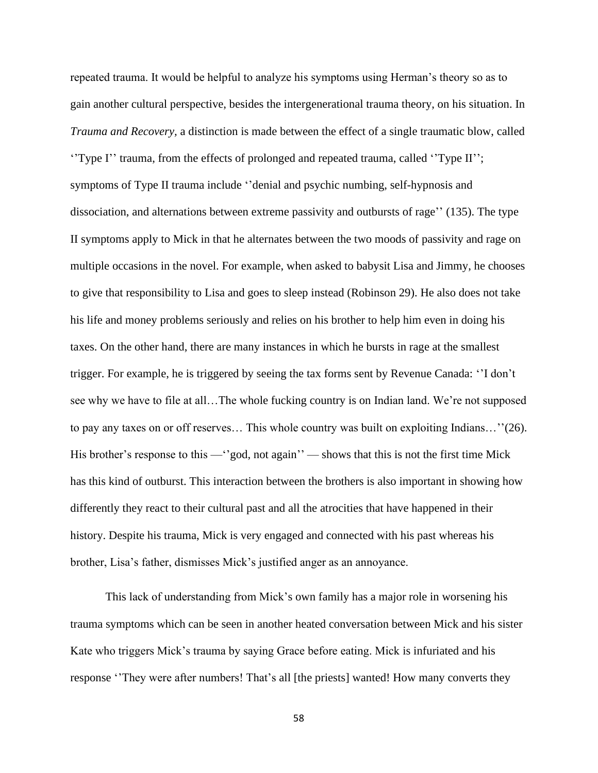repeated trauma. It would be helpful to analyze his symptoms using Herman's theory so as to gain another cultural perspective, besides the intergenerational trauma theory, on his situation. In *Trauma and Recovery,* a distinction is made between the effect of a single traumatic blow, called ''Type I'' trauma, from the effects of prolonged and repeated trauma, called ''Type II''; symptoms of Type II trauma include ''denial and psychic numbing, self-hypnosis and dissociation, and alternations between extreme passivity and outbursts of rage'' (135). The type II symptoms apply to Mick in that he alternates between the two moods of passivity and rage on multiple occasions in the novel. For example, when asked to babysit Lisa and Jimmy, he chooses to give that responsibility to Lisa and goes to sleep instead (Robinson 29). He also does not take his life and money problems seriously and relies on his brother to help him even in doing his taxes. On the other hand, there are many instances in which he bursts in rage at the smallest trigger. For example, he is triggered by seeing the tax forms sent by Revenue Canada: ''I don't see why we have to file at all…The whole fucking country is on Indian land. We're not supposed to pay any taxes on or off reserves… This whole country was built on exploiting Indians…''(26). His brother's response to this —''god, not again'' — shows that this is not the first time Mick has this kind of outburst. This interaction between the brothers is also important in showing how differently they react to their cultural past and all the atrocities that have happened in their history. Despite his trauma, Mick is very engaged and connected with his past whereas his brother, Lisa's father, dismisses Mick's justified anger as an annoyance.

This lack of understanding from Mick's own family has a major role in worsening his trauma symptoms which can be seen in another heated conversation between Mick and his sister Kate who triggers Mick's trauma by saying Grace before eating. Mick is infuriated and his response ''They were after numbers! That's all [the priests] wanted! How many converts they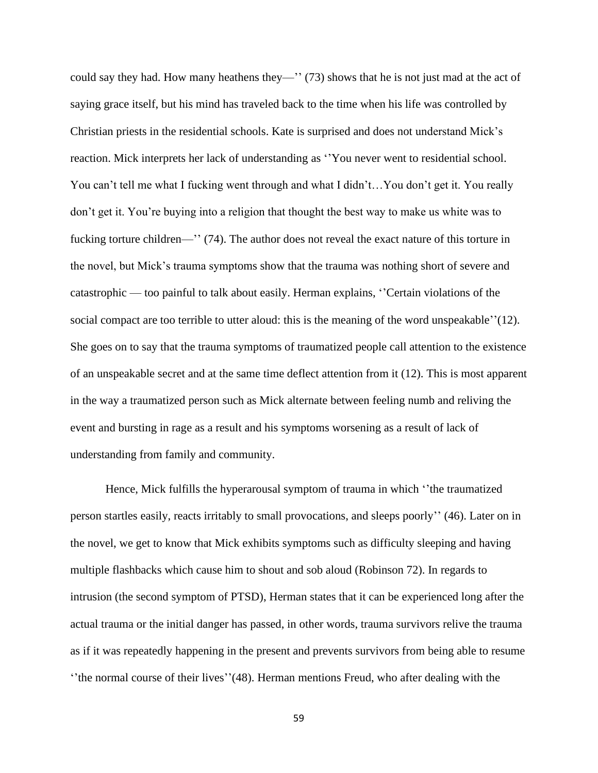could say they had. How many heathens they—'' (73) shows that he is not just mad at the act of saying grace itself, but his mind has traveled back to the time when his life was controlled by Christian priests in the residential schools. Kate is surprised and does not understand Mick's reaction. Mick interprets her lack of understanding as ''You never went to residential school. You can't tell me what I fucking went through and what I didn't…You don't get it. You really don't get it. You're buying into a religion that thought the best way to make us white was to fucking torture children—'' (74). The author does not reveal the exact nature of this torture in the novel, but Mick's trauma symptoms show that the trauma was nothing short of severe and catastrophic — too painful to talk about easily. Herman explains, ''Certain violations of the social compact are too terrible to utter aloud: this is the meaning of the word unspeakable''(12). She goes on to say that the trauma symptoms of traumatized people call attention to the existence of an unspeakable secret and at the same time deflect attention from it (12). This is most apparent in the way a traumatized person such as Mick alternate between feeling numb and reliving the event and bursting in rage as a result and his symptoms worsening as a result of lack of understanding from family and community.

Hence, Mick fulfills the hyperarousal symptom of trauma in which ''the traumatized person startles easily, reacts irritably to small provocations, and sleeps poorly'' (46). Later on in the novel, we get to know that Mick exhibits symptoms such as difficulty sleeping and having multiple flashbacks which cause him to shout and sob aloud (Robinson 72). In regards to intrusion (the second symptom of PTSD), Herman states that it can be experienced long after the actual trauma or the initial danger has passed, in other words, trauma survivors relive the trauma as if it was repeatedly happening in the present and prevents survivors from being able to resume ''the normal course of their lives''(48). Herman mentions Freud, who after dealing with the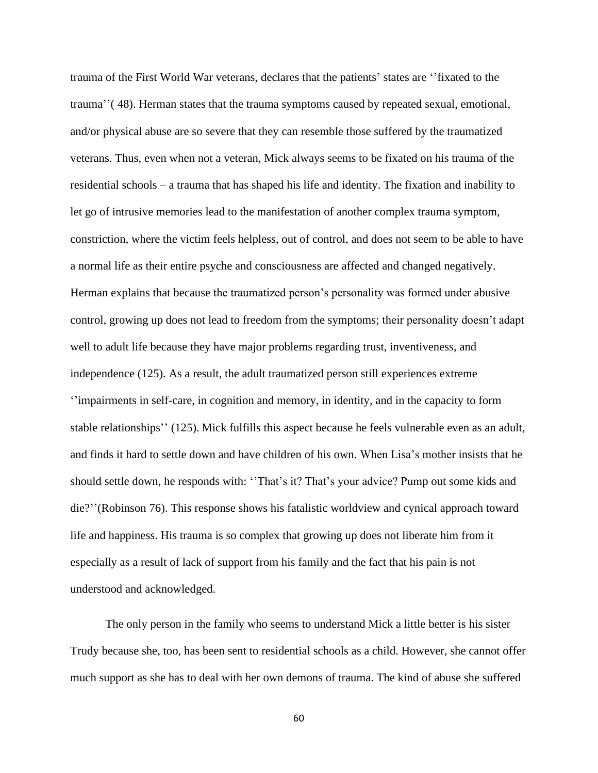trauma of the First World War veterans, declares that the patients' states are ''fixated to the trauma''( 48). Herman states that the trauma symptoms caused by repeated sexual, emotional, and/or physical abuse are so severe that they can resemble those suffered by the traumatized veterans. Thus, even when not a veteran, Mick always seems to be fixated on his trauma of the residential schools – a trauma that has shaped his life and identity. The fixation and inability to let go of intrusive memories lead to the manifestation of another complex trauma symptom, constriction, where the victim feels helpless, out of control, and does not seem to be able to have a normal life as their entire psyche and consciousness are affected and changed negatively. Herman explains that because the traumatized person's personality was formed under abusive control, growing up does not lead to freedom from the symptoms; their personality doesn't adapt well to adult life because they have major problems regarding trust, inventiveness, and independence (125). As a result, the adult traumatized person still experiences extreme ''impairments in self-care, in cognition and memory, in identity, and in the capacity to form stable relationships'' (125). Mick fulfills this aspect because he feels vulnerable even as an adult, and finds it hard to settle down and have children of his own. When Lisa's mother insists that he should settle down, he responds with: ''That's it? That's your advice? Pump out some kids and die?''(Robinson 76). This response shows his fatalistic worldview and cynical approach toward life and happiness. His trauma is so complex that growing up does not liberate him from it especially as a result of lack of support from his family and the fact that his pain is not understood and acknowledged.

The only person in the family who seems to understand Mick a little better is his sister Trudy because she, too, has been sent to residential schools as a child. However, she cannot offer much support as she has to deal with her own demons of trauma. The kind of abuse she suffered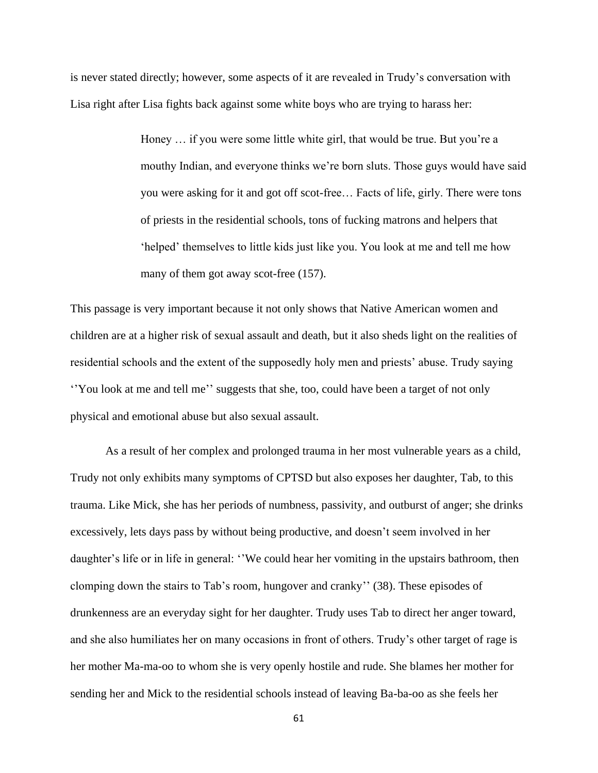is never stated directly; however, some aspects of it are revealed in Trudy's conversation with Lisa right after Lisa fights back against some white boys who are trying to harass her:

> Honey … if you were some little white girl, that would be true. But you're a mouthy Indian, and everyone thinks we're born sluts. Those guys would have said you were asking for it and got off scot-free… Facts of life, girly. There were tons of priests in the residential schools, tons of fucking matrons and helpers that 'helped' themselves to little kids just like you. You look at me and tell me how many of them got away scot-free (157).

This passage is very important because it not only shows that Native American women and children are at a higher risk of sexual assault and death, but it also sheds light on the realities of residential schools and the extent of the supposedly holy men and priests' abuse. Trudy saying ''You look at me and tell me'' suggests that she, too, could have been a target of not only physical and emotional abuse but also sexual assault.

As a result of her complex and prolonged trauma in her most vulnerable years as a child, Trudy not only exhibits many symptoms of CPTSD but also exposes her daughter, Tab, to this trauma. Like Mick, she has her periods of numbness, passivity, and outburst of anger; she drinks excessively, lets days pass by without being productive, and doesn't seem involved in her daughter's life or in life in general: ''We could hear her vomiting in the upstairs bathroom, then clomping down the stairs to Tab's room, hungover and cranky'' (38). These episodes of drunkenness are an everyday sight for her daughter. Trudy uses Tab to direct her anger toward, and she also humiliates her on many occasions in front of others. Trudy's other target of rage is her mother Ma-ma-oo to whom she is very openly hostile and rude. She blames her mother for sending her and Mick to the residential schools instead of leaving Ba-ba-oo as she feels her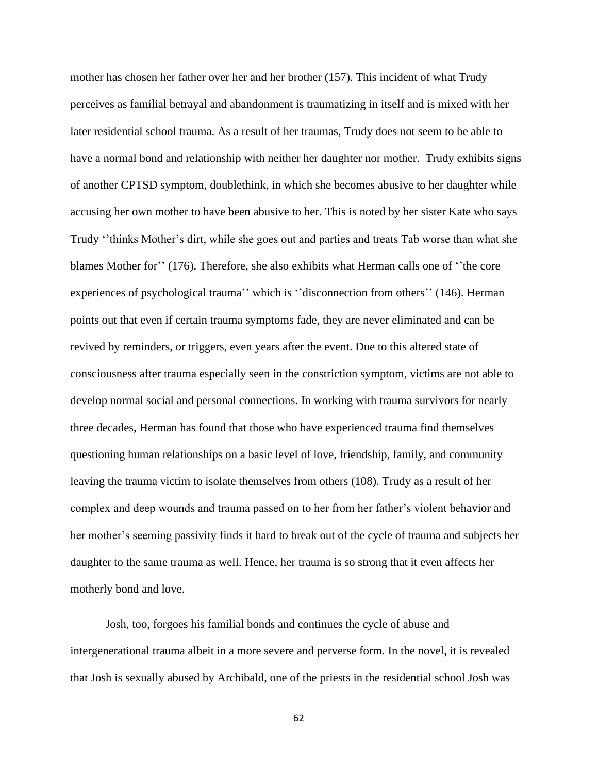mother has chosen her father over her and her brother (157). This incident of what Trudy perceives as familial betrayal and abandonment is traumatizing in itself and is mixed with her later residential school trauma. As a result of her traumas, Trudy does not seem to be able to have a normal bond and relationship with neither her daughter nor mother. Trudy exhibits signs of another CPTSD symptom, doublethink, in which she becomes abusive to her daughter while accusing her own mother to have been abusive to her. This is noted by her sister Kate who says Trudy ''thinks Mother's dirt, while she goes out and parties and treats Tab worse than what she blames Mother for'' (176). Therefore, she also exhibits what Herman calls one of ''the core experiences of psychological trauma'' which is ''disconnection from others'' (146). Herman points out that even if certain trauma symptoms fade, they are never eliminated and can be revived by reminders, or triggers, even years after the event. Due to this altered state of consciousness after trauma especially seen in the constriction symptom, victims are not able to develop normal social and personal connections. In working with trauma survivors for nearly three decades, Herman has found that those who have experienced trauma find themselves questioning human relationships on a basic level of love, friendship, family, and community leaving the trauma victim to isolate themselves from others (108). Trudy as a result of her complex and deep wounds and trauma passed on to her from her father's violent behavior and her mother's seeming passivity finds it hard to break out of the cycle of trauma and subjects her daughter to the same trauma as well. Hence, her trauma is so strong that it even affects her motherly bond and love.

Josh, too, forgoes his familial bonds and continues the cycle of abuse and intergenerational trauma albeit in a more severe and perverse form. In the novel, it is revealed that Josh is sexually abused by Archibald, one of the priests in the residential school Josh was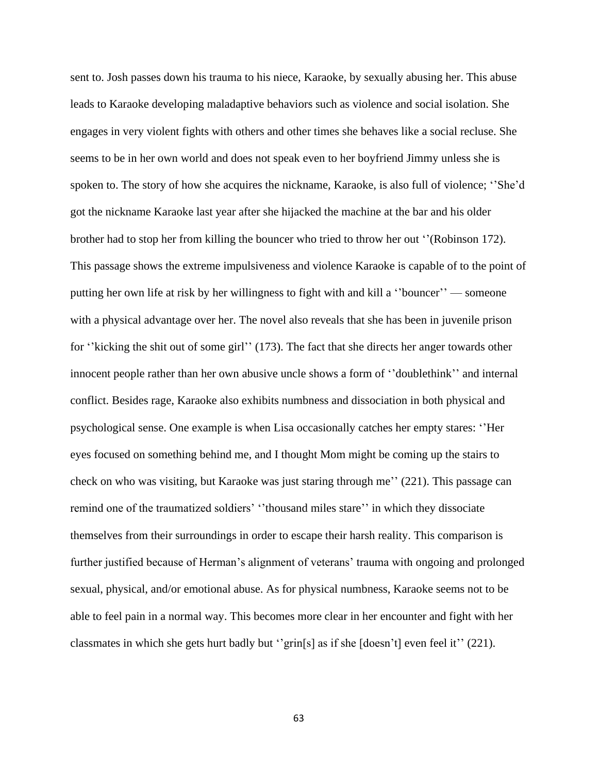sent to. Josh passes down his trauma to his niece, Karaoke, by sexually abusing her. This abuse leads to Karaoke developing maladaptive behaviors such as violence and social isolation. She engages in very violent fights with others and other times she behaves like a social recluse. She seems to be in her own world and does not speak even to her boyfriend Jimmy unless she is spoken to. The story of how she acquires the nickname, Karaoke, is also full of violence; ''She'd got the nickname Karaoke last year after she hijacked the machine at the bar and his older brother had to stop her from killing the bouncer who tried to throw her out ''(Robinson 172). This passage shows the extreme impulsiveness and violence Karaoke is capable of to the point of putting her own life at risk by her willingness to fight with and kill a ''bouncer'' — someone with a physical advantage over her. The novel also reveals that she has been in juvenile prison for ''kicking the shit out of some girl'' (173). The fact that she directs her anger towards other innocent people rather than her own abusive uncle shows a form of ''doublethink'' and internal conflict. Besides rage, Karaoke also exhibits numbness and dissociation in both physical and psychological sense. One example is when Lisa occasionally catches her empty stares: ''Her eyes focused on something behind me, and I thought Mom might be coming up the stairs to check on who was visiting, but Karaoke was just staring through me'' (221). This passage can remind one of the traumatized soldiers' ''thousand miles stare'' in which they dissociate themselves from their surroundings in order to escape their harsh reality. This comparison is further justified because of Herman's alignment of veterans' trauma with ongoing and prolonged sexual, physical, and/or emotional abuse. As for physical numbness, Karaoke seems not to be able to feel pain in a normal way. This becomes more clear in her encounter and fight with her classmates in which she gets hurt badly but ''grin[s] as if she [doesn't] even feel it'' (221).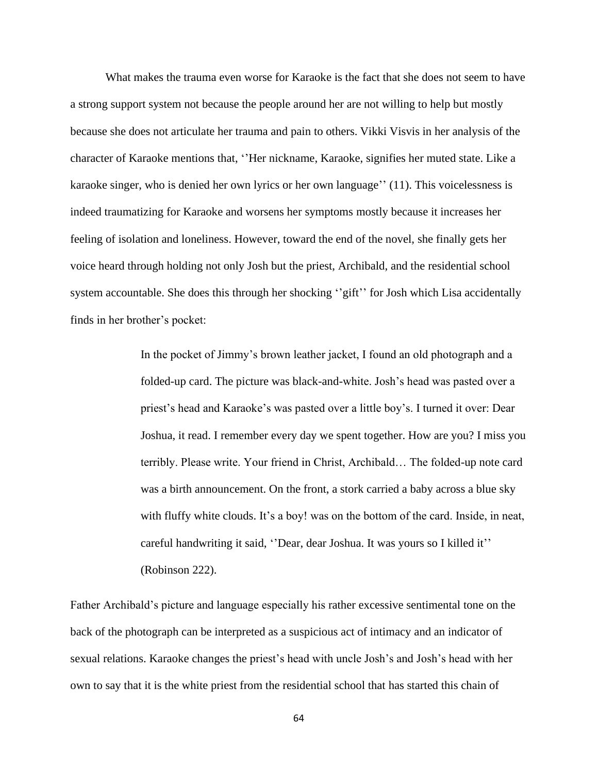What makes the trauma even worse for Karaoke is the fact that she does not seem to have a strong support system not because the people around her are not willing to help but mostly because she does not articulate her trauma and pain to others. Vikki Visvis in her analysis of the character of Karaoke mentions that, ''Her nickname, Karaoke, signifies her muted state. Like a karaoke singer, who is denied her own lyrics or her own language'' (11). This voicelessness is indeed traumatizing for Karaoke and worsens her symptoms mostly because it increases her feeling of isolation and loneliness. However, toward the end of the novel, she finally gets her voice heard through holding not only Josh but the priest, Archibald, and the residential school system accountable. She does this through her shocking "gift" for Josh which Lisa accidentally finds in her brother's pocket:

> In the pocket of Jimmy's brown leather jacket, I found an old photograph and a folded-up card. The picture was black-and-white. Josh's head was pasted over a priest's head and Karaoke's was pasted over a little boy's. I turned it over: Dear Joshua, it read. I remember every day we spent together. How are you? I miss you terribly. Please write. Your friend in Christ, Archibald… The folded-up note card was a birth announcement. On the front, a stork carried a baby across a blue sky with fluffy white clouds. It's a boy! was on the bottom of the card. Inside, in neat, careful handwriting it said, ''Dear, dear Joshua. It was yours so I killed it'' (Robinson 222).

Father Archibald's picture and language especially his rather excessive sentimental tone on the back of the photograph can be interpreted as a suspicious act of intimacy and an indicator of sexual relations. Karaoke changes the priest's head with uncle Josh's and Josh's head with her own to say that it is the white priest from the residential school that has started this chain of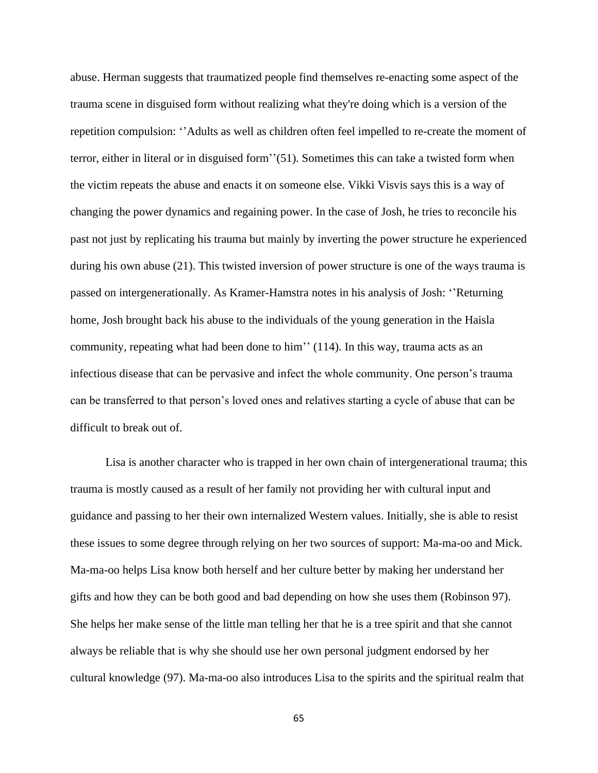abuse. Herman suggests that traumatized people find themselves re-enacting some aspect of the trauma scene in disguised form without realizing what they're doing which is a version of the repetition compulsion: ''Adults as well as children often feel impelled to re-create the moment of terror, either in literal or in disguised form''(51). Sometimes this can take a twisted form when the victim repeats the abuse and enacts it on someone else. Vikki Visvis says this is a way of changing the power dynamics and regaining power. In the case of Josh, he tries to reconcile his past not just by replicating his trauma but mainly by inverting the power structure he experienced during his own abuse (21). This twisted inversion of power structure is one of the ways trauma is passed on intergenerationally. As Kramer-Hamstra notes in his analysis of Josh: ''Returning home, Josh brought back his abuse to the individuals of the young generation in the Haisla community, repeating what had been done to him'' (114). In this way, trauma acts as an infectious disease that can be pervasive and infect the whole community. One person's trauma can be transferred to that person's loved ones and relatives starting a cycle of abuse that can be difficult to break out of.

Lisa is another character who is trapped in her own chain of intergenerational trauma; this trauma is mostly caused as a result of her family not providing her with cultural input and guidance and passing to her their own internalized Western values. Initially, she is able to resist these issues to some degree through relying on her two sources of support: Ma-ma-oo and Mick. Ma-ma-oo helps Lisa know both herself and her culture better by making her understand her gifts and how they can be both good and bad depending on how she uses them (Robinson 97). She helps her make sense of the little man telling her that he is a tree spirit and that she cannot always be reliable that is why she should use her own personal judgment endorsed by her cultural knowledge (97). Ma-ma-oo also introduces Lisa to the spirits and the spiritual realm that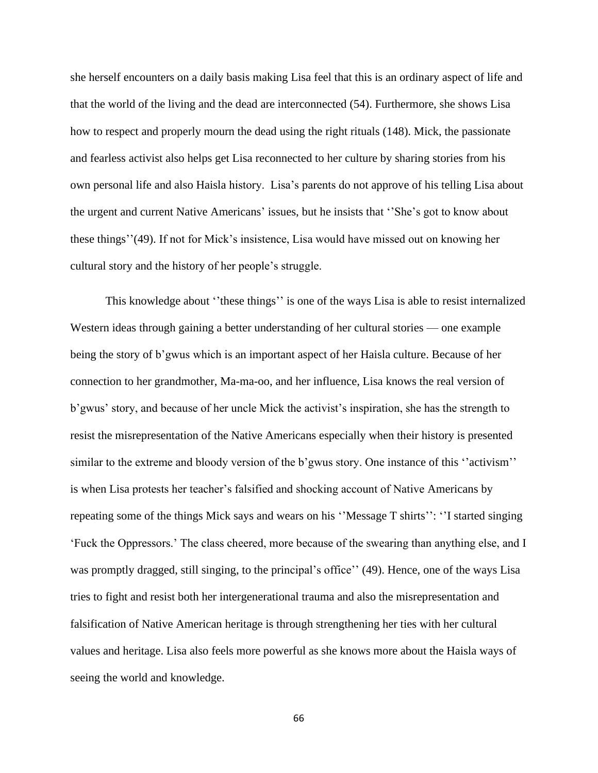she herself encounters on a daily basis making Lisa feel that this is an ordinary aspect of life and that the world of the living and the dead are interconnected (54). Furthermore, she shows Lisa how to respect and properly mourn the dead using the right rituals (148). Mick, the passionate and fearless activist also helps get Lisa reconnected to her culture by sharing stories from his own personal life and also Haisla history. Lisa's parents do not approve of his telling Lisa about the urgent and current Native Americans' issues, but he insists that ''She's got to know about these things''(49). If not for Mick's insistence, Lisa would have missed out on knowing her cultural story and the history of her people's struggle.

This knowledge about ''these things'' is one of the ways Lisa is able to resist internalized Western ideas through gaining a better understanding of her cultural stories — one example being the story of b'gwus which is an important aspect of her Haisla culture. Because of her connection to her grandmother, Ma-ma-oo, and her influence, Lisa knows the real version of b'gwus' story, and because of her uncle Mick the activist's inspiration, she has the strength to resist the misrepresentation of the Native Americans especially when their history is presented similar to the extreme and bloody version of the b'gwus story. One instance of this "activism" is when Lisa protests her teacher's falsified and shocking account of Native Americans by repeating some of the things Mick says and wears on his ''Message T shirts'': ''I started singing 'Fuck the Oppressors.' The class cheered, more because of the swearing than anything else, and I was promptly dragged, still singing, to the principal's office'' (49). Hence, one of the ways Lisa tries to fight and resist both her intergenerational trauma and also the misrepresentation and falsification of Native American heritage is through strengthening her ties with her cultural values and heritage. Lisa also feels more powerful as she knows more about the Haisla ways of seeing the world and knowledge.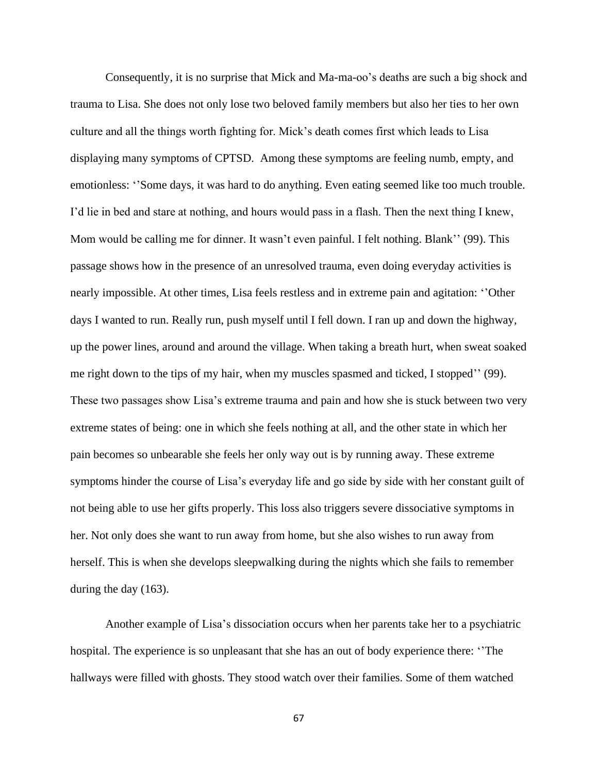Consequently, it is no surprise that Mick and Ma-ma-oo's deaths are such a big shock and trauma to Lisa. She does not only lose two beloved family members but also her ties to her own culture and all the things worth fighting for. Mick's death comes first which leads to Lisa displaying many symptoms of CPTSD. Among these symptoms are feeling numb, empty, and emotionless: ''Some days, it was hard to do anything. Even eating seemed like too much trouble. I'd lie in bed and stare at nothing, and hours would pass in a flash. Then the next thing I knew, Mom would be calling me for dinner. It wasn't even painful. I felt nothing. Blank'' (99). This passage shows how in the presence of an unresolved trauma, even doing everyday activities is nearly impossible. At other times, Lisa feels restless and in extreme pain and agitation: ''Other days I wanted to run. Really run, push myself until I fell down. I ran up and down the highway, up the power lines, around and around the village. When taking a breath hurt, when sweat soaked me right down to the tips of my hair, when my muscles spasmed and ticked, I stopped'' (99). These two passages show Lisa's extreme trauma and pain and how she is stuck between two very extreme states of being: one in which she feels nothing at all, and the other state in which her pain becomes so unbearable she feels her only way out is by running away. These extreme symptoms hinder the course of Lisa's everyday life and go side by side with her constant guilt of not being able to use her gifts properly. This loss also triggers severe dissociative symptoms in her. Not only does she want to run away from home, but she also wishes to run away from herself. This is when she develops sleepwalking during the nights which she fails to remember during the day (163).

Another example of Lisa's dissociation occurs when her parents take her to a psychiatric hospital. The experience is so unpleasant that she has an out of body experience there: ''The hallways were filled with ghosts. They stood watch over their families. Some of them watched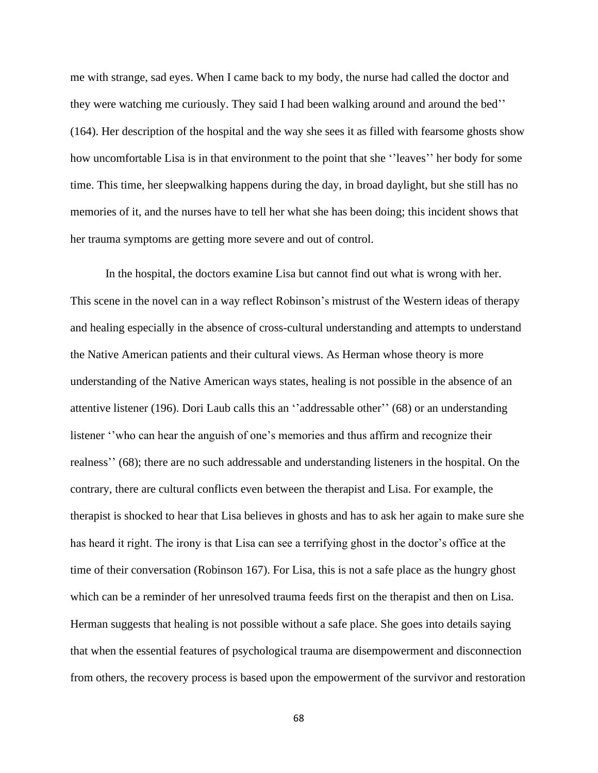me with strange, sad eyes. When I came back to my body, the nurse had called the doctor and they were watching me curiously. They said I had been walking around and around the bed'' (164). Her description of the hospital and the way she sees it as filled with fearsome ghosts show how uncomfortable Lisa is in that environment to the point that she ''leaves'' her body for some time. This time, her sleepwalking happens during the day, in broad daylight, but she still has no memories of it, and the nurses have to tell her what she has been doing; this incident shows that her trauma symptoms are getting more severe and out of control.

In the hospital, the doctors examine Lisa but cannot find out what is wrong with her. This scene in the novel can in a way reflect Robinson's mistrust of the Western ideas of therapy and healing especially in the absence of cross-cultural understanding and attempts to understand the Native American patients and their cultural views. As Herman whose theory is more understanding of the Native American ways states, healing is not possible in the absence of an attentive listener (196). Dori Laub calls this an ''addressable other'' (68) or an understanding listener ''who can hear the anguish of one's memories and thus affirm and recognize their realness'' (68); there are no such addressable and understanding listeners in the hospital. On the contrary, there are cultural conflicts even between the therapist and Lisa. For example, the therapist is shocked to hear that Lisa believes in ghosts and has to ask her again to make sure she has heard it right. The irony is that Lisa can see a terrifying ghost in the doctor's office at the time of their conversation (Robinson 167). For Lisa, this is not a safe place as the hungry ghost which can be a reminder of her unresolved trauma feeds first on the therapist and then on Lisa. Herman suggests that healing is not possible without a safe place. She goes into details saying that when the essential features of psychological trauma are disempowerment and disconnection from others, the recovery process is based upon the empowerment of the survivor and restoration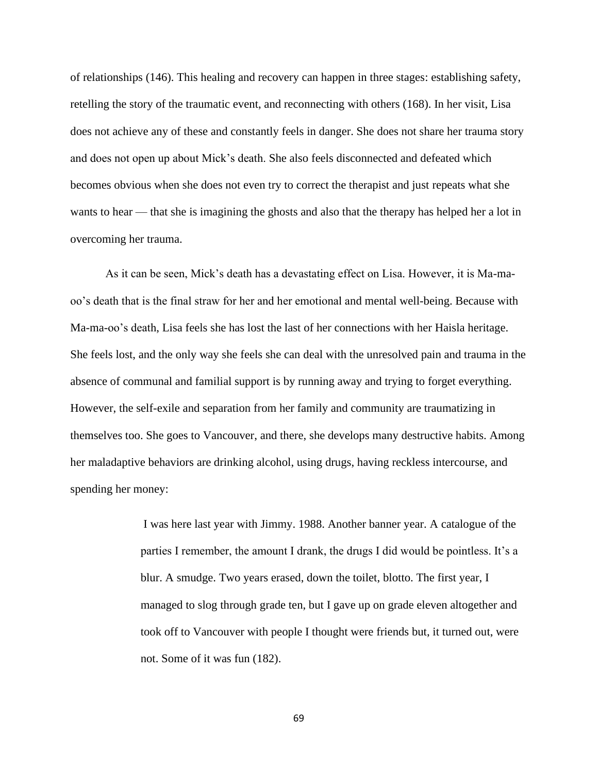of relationships (146). This healing and recovery can happen in three stages: establishing safety, retelling the story of the traumatic event, and reconnecting with others (168). In her visit, Lisa does not achieve any of these and constantly feels in danger. She does not share her trauma story and does not open up about Mick's death. She also feels disconnected and defeated which becomes obvious when she does not even try to correct the therapist and just repeats what she wants to hear — that she is imagining the ghosts and also that the therapy has helped her a lot in overcoming her trauma.

As it can be seen, Mick's death has a devastating effect on Lisa. However, it is Ma-maoo's death that is the final straw for her and her emotional and mental well-being. Because with Ma-ma-oo's death, Lisa feels she has lost the last of her connections with her Haisla heritage. She feels lost, and the only way she feels she can deal with the unresolved pain and trauma in the absence of communal and familial support is by running away and trying to forget everything. However, the self-exile and separation from her family and community are traumatizing in themselves too. She goes to Vancouver, and there, she develops many destructive habits. Among her maladaptive behaviors are drinking alcohol, using drugs, having reckless intercourse, and spending her money:

> I was here last year with Jimmy. 1988. Another banner year. A catalogue of the parties I remember, the amount I drank, the drugs I did would be pointless. It's a blur. A smudge. Two years erased, down the toilet, blotto. The first year, I managed to slog through grade ten, but I gave up on grade eleven altogether and took off to Vancouver with people I thought were friends but, it turned out, were not. Some of it was fun (182).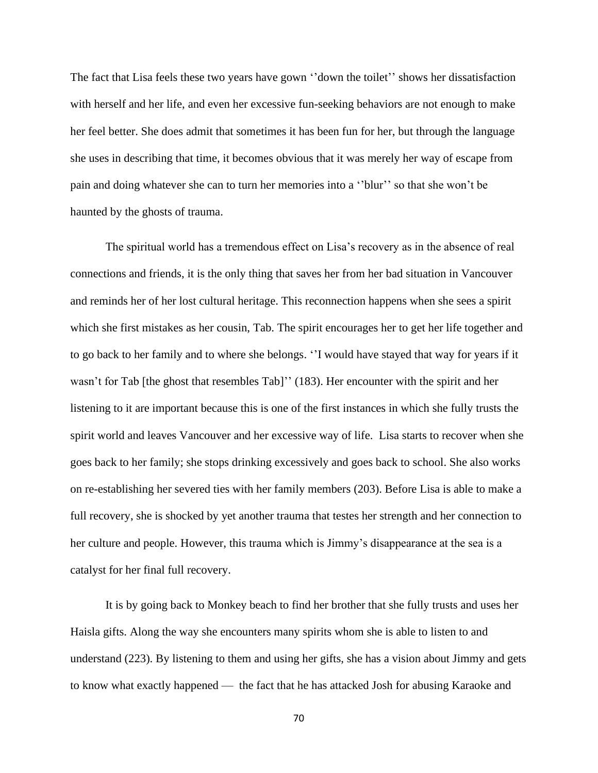The fact that Lisa feels these two years have gown ''down the toilet'' shows her dissatisfaction with herself and her life, and even her excessive fun-seeking behaviors are not enough to make her feel better. She does admit that sometimes it has been fun for her, but through the language she uses in describing that time, it becomes obvious that it was merely her way of escape from pain and doing whatever she can to turn her memories into a ''blur'' so that she won't be haunted by the ghosts of trauma.

The spiritual world has a tremendous effect on Lisa's recovery as in the absence of real connections and friends, it is the only thing that saves her from her bad situation in Vancouver and reminds her of her lost cultural heritage. This reconnection happens when she sees a spirit which she first mistakes as her cousin, Tab. The spirit encourages her to get her life together and to go back to her family and to where she belongs. ''I would have stayed that way for years if it wasn't for Tab [the ghost that resembles Tab]'' (183). Her encounter with the spirit and her listening to it are important because this is one of the first instances in which she fully trusts the spirit world and leaves Vancouver and her excessive way of life. Lisa starts to recover when she goes back to her family; she stops drinking excessively and goes back to school. She also works on re-establishing her severed ties with her family members (203). Before Lisa is able to make a full recovery, she is shocked by yet another trauma that testes her strength and her connection to her culture and people. However, this trauma which is Jimmy's disappearance at the sea is a catalyst for her final full recovery.

It is by going back to Monkey beach to find her brother that she fully trusts and uses her Haisla gifts. Along the way she encounters many spirits whom she is able to listen to and understand (223). By listening to them and using her gifts, she has a vision about Jimmy and gets to know what exactly happened — the fact that he has attacked Josh for abusing Karaoke and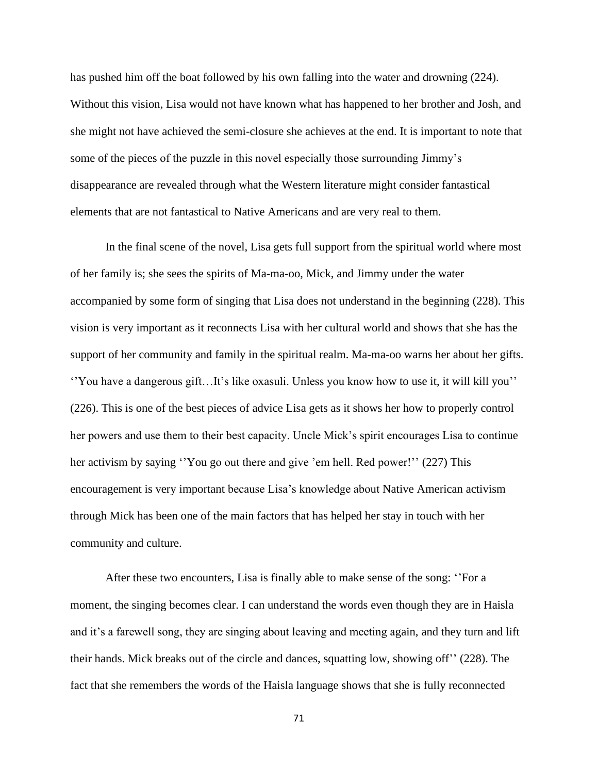has pushed him off the boat followed by his own falling into the water and drowning (224). Without this vision, Lisa would not have known what has happened to her brother and Josh, and she might not have achieved the semi-closure she achieves at the end. It is important to note that some of the pieces of the puzzle in this novel especially those surrounding Jimmy's disappearance are revealed through what the Western literature might consider fantastical elements that are not fantastical to Native Americans and are very real to them.

In the final scene of the novel, Lisa gets full support from the spiritual world where most of her family is; she sees the spirits of Ma-ma-oo, Mick, and Jimmy under the water accompanied by some form of singing that Lisa does not understand in the beginning (228). This vision is very important as it reconnects Lisa with her cultural world and shows that she has the support of her community and family in the spiritual realm. Ma-ma-oo warns her about her gifts. ''You have a dangerous gift…It's like oxasuli. Unless you know how to use it, it will kill you'' (226). This is one of the best pieces of advice Lisa gets as it shows her how to properly control her powers and use them to their best capacity. Uncle Mick's spirit encourages Lisa to continue her activism by saying "You go out there and give 'em hell. Red power!" (227) This encouragement is very important because Lisa's knowledge about Native American activism through Mick has been one of the main factors that has helped her stay in touch with her community and culture.

After these two encounters, Lisa is finally able to make sense of the song: ''For a moment, the singing becomes clear. I can understand the words even though they are in Haisla and it's a farewell song, they are singing about leaving and meeting again, and they turn and lift their hands. Mick breaks out of the circle and dances, squatting low, showing off'' (228). The fact that she remembers the words of the Haisla language shows that she is fully reconnected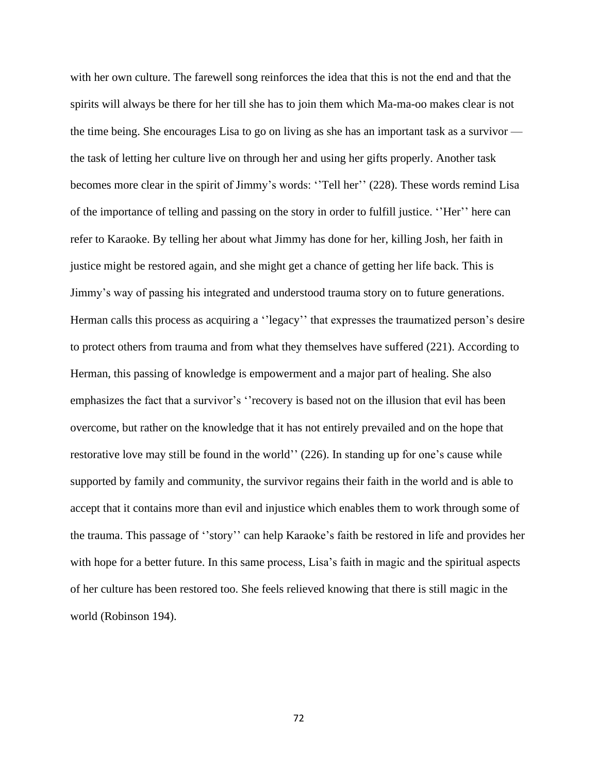with her own culture. The farewell song reinforces the idea that this is not the end and that the spirits will always be there for her till she has to join them which Ma-ma-oo makes clear is not the time being. She encourages Lisa to go on living as she has an important task as a survivor the task of letting her culture live on through her and using her gifts properly. Another task becomes more clear in the spirit of Jimmy's words: ''Tell her'' (228). These words remind Lisa of the importance of telling and passing on the story in order to fulfill justice. ''Her'' here can refer to Karaoke. By telling her about what Jimmy has done for her, killing Josh, her faith in justice might be restored again, and she might get a chance of getting her life back. This is Jimmy's way of passing his integrated and understood trauma story on to future generations. Herman calls this process as acquiring a "legacy" that expresses the traumatized person's desire to protect others from trauma and from what they themselves have suffered (221). According to Herman, this passing of knowledge is empowerment and a major part of healing. She also emphasizes the fact that a survivor's ''recovery is based not on the illusion that evil has been overcome, but rather on the knowledge that it has not entirely prevailed and on the hope that restorative love may still be found in the world'' (226). In standing up for one's cause while supported by family and community, the survivor regains their faith in the world and is able to accept that it contains more than evil and injustice which enables them to work through some of the trauma. This passage of ''story'' can help Karaoke's faith be restored in life and provides her with hope for a better future. In this same process, Lisa's faith in magic and the spiritual aspects of her culture has been restored too. She feels relieved knowing that there is still magic in the world (Robinson 194).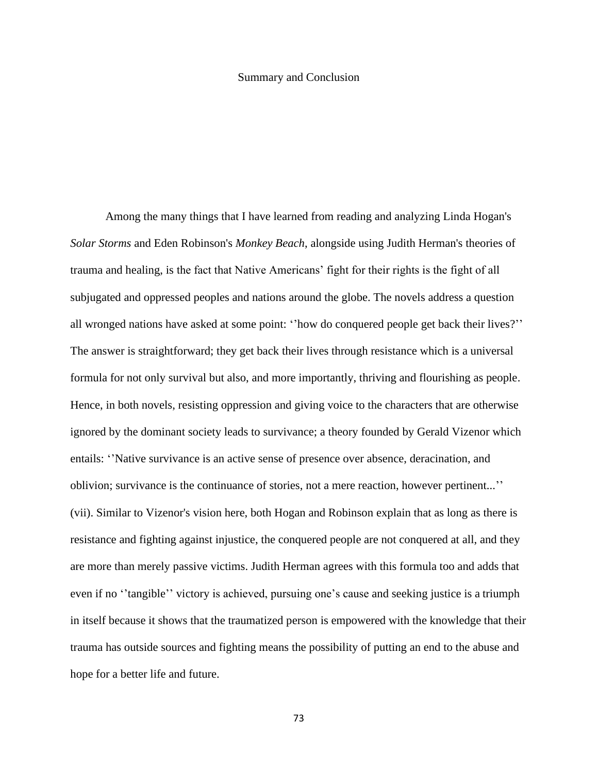## Summary and Conclusion

Among the many things that I have learned from reading and analyzing Linda Hogan's *Solar Storms* and Eden Robinson's *Monkey Beach*, alongside using Judith Herman's theories of trauma and healing, is the fact that Native Americans' fight for their rights is the fight of all subjugated and oppressed peoples and nations around the globe. The novels address a question all wronged nations have asked at some point: ''how do conquered people get back their lives?'' The answer is straightforward; they get back their lives through resistance which is a universal formula for not only survival but also, and more importantly, thriving and flourishing as people. Hence, in both novels, resisting oppression and giving voice to the characters that are otherwise ignored by the dominant society leads to survivance; a theory founded by Gerald Vizenor which entails: ''Native survivance is an active sense of presence over absence, deracination, and oblivion; survivance is the continuance of stories, not a mere reaction, however pertinent...'' (vii). Similar to Vizenor's vision here, both Hogan and Robinson explain that as long as there is resistance and fighting against injustice, the conquered people are not conquered at all, and they are more than merely passive victims. Judith Herman agrees with this formula too and adds that even if no ''tangible'' victory is achieved, pursuing one's cause and seeking justice is a triumph in itself because it shows that the traumatized person is empowered with the knowledge that their trauma has outside sources and fighting means the possibility of putting an end to the abuse and hope for a better life and future.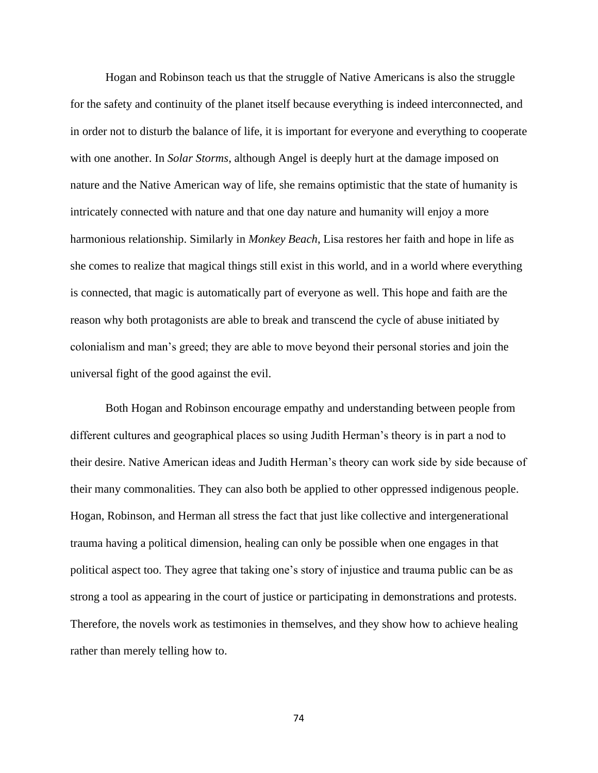Hogan and Robinson teach us that the struggle of Native Americans is also the struggle for the safety and continuity of the planet itself because everything is indeed interconnected, and in order not to disturb the balance of life, it is important for everyone and everything to cooperate with one another. In *Solar Storms*, although Angel is deeply hurt at the damage imposed on nature and the Native American way of life, she remains optimistic that the state of humanity is intricately connected with nature and that one day nature and humanity will enjoy a more harmonious relationship. Similarly in *Monkey Beach*, Lisa restores her faith and hope in life as she comes to realize that magical things still exist in this world, and in a world where everything is connected, that magic is automatically part of everyone as well. This hope and faith are the reason why both protagonists are able to break and transcend the cycle of abuse initiated by colonialism and man's greed; they are able to move beyond their personal stories and join the universal fight of the good against the evil.

Both Hogan and Robinson encourage empathy and understanding between people from different cultures and geographical places so using Judith Herman's theory is in part a nod to their desire. Native American ideas and Judith Herman's theory can work side by side because of their many commonalities. They can also both be applied to other oppressed indigenous people. Hogan, Robinson, and Herman all stress the fact that just like collective and intergenerational trauma having a political dimension, healing can only be possible when one engages in that political aspect too. They agree that taking one's story of injustice and trauma public can be as strong a tool as appearing in the court of justice or participating in demonstrations and protests. Therefore, the novels work as testimonies in themselves, and they show how to achieve healing rather than merely telling how to.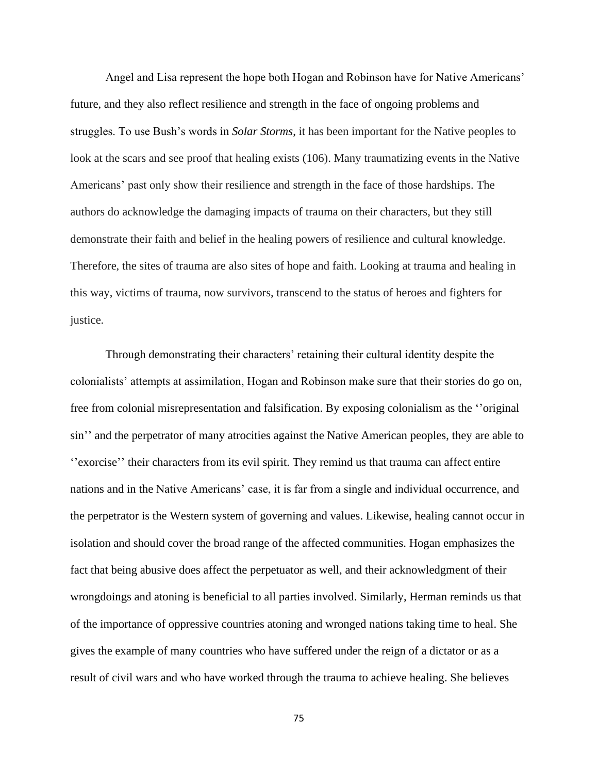Angel and Lisa represent the hope both Hogan and Robinson have for Native Americans' future, and they also reflect resilience and strength in the face of ongoing problems and struggles. To use Bush's words in *Solar Storms*, it has been important for the Native peoples to look at the scars and see proof that healing exists (106). Many traumatizing events in the Native Americans' past only show their resilience and strength in the face of those hardships. The authors do acknowledge the damaging impacts of trauma on their characters, but they still demonstrate their faith and belief in the healing powers of resilience and cultural knowledge. Therefore, the sites of trauma are also sites of hope and faith. Looking at trauma and healing in this way, victims of trauma, now survivors, transcend to the status of heroes and fighters for justice.

Through demonstrating their characters' retaining their cultural identity despite the colonialists' attempts at assimilation, Hogan and Robinson make sure that their stories do go on, free from colonial misrepresentation and falsification. By exposing colonialism as the ''original sin'' and the perpetrator of many atrocities against the Native American peoples, they are able to ''exorcise'' their characters from its evil spirit. They remind us that trauma can affect entire nations and in the Native Americans' case, it is far from a single and individual occurrence, and the perpetrator is the Western system of governing and values. Likewise, healing cannot occur in isolation and should cover the broad range of the affected communities. Hogan emphasizes the fact that being abusive does affect the perpetuator as well, and their acknowledgment of their wrongdoings and atoning is beneficial to all parties involved. Similarly, Herman reminds us that of the importance of oppressive countries atoning and wronged nations taking time to heal. She gives the example of many countries who have suffered under the reign of a dictator or as a result of civil wars and who have worked through the trauma to achieve healing. She believes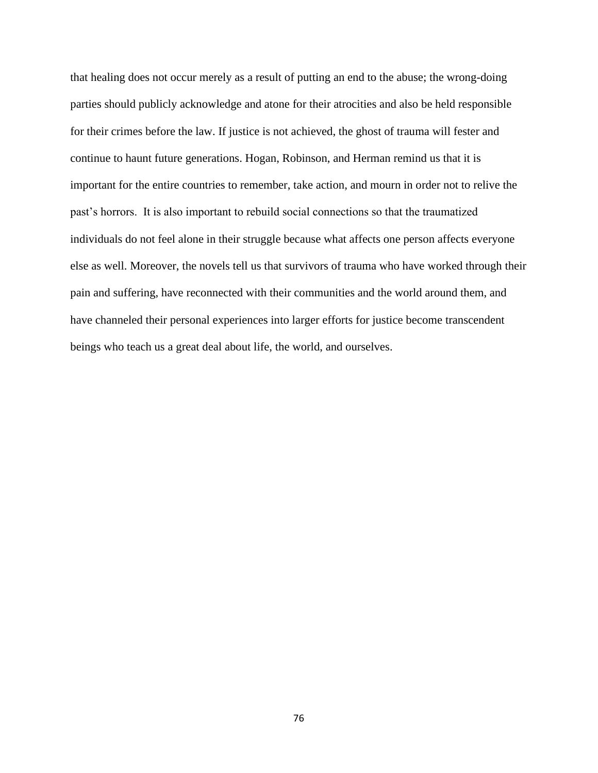that healing does not occur merely as a result of putting an end to the abuse; the wrong-doing parties should publicly acknowledge and atone for their atrocities and also be held responsible for their crimes before the law. If justice is not achieved, the ghost of trauma will fester and continue to haunt future generations. Hogan, Robinson, and Herman remind us that it is important for the entire countries to remember, take action, and mourn in order not to relive the past's horrors. It is also important to rebuild social connections so that the traumatized individuals do not feel alone in their struggle because what affects one person affects everyone else as well. Moreover, the novels tell us that survivors of trauma who have worked through their pain and suffering, have reconnected with their communities and the world around them, and have channeled their personal experiences into larger efforts for justice become transcendent beings who teach us a great deal about life, the world, and ourselves.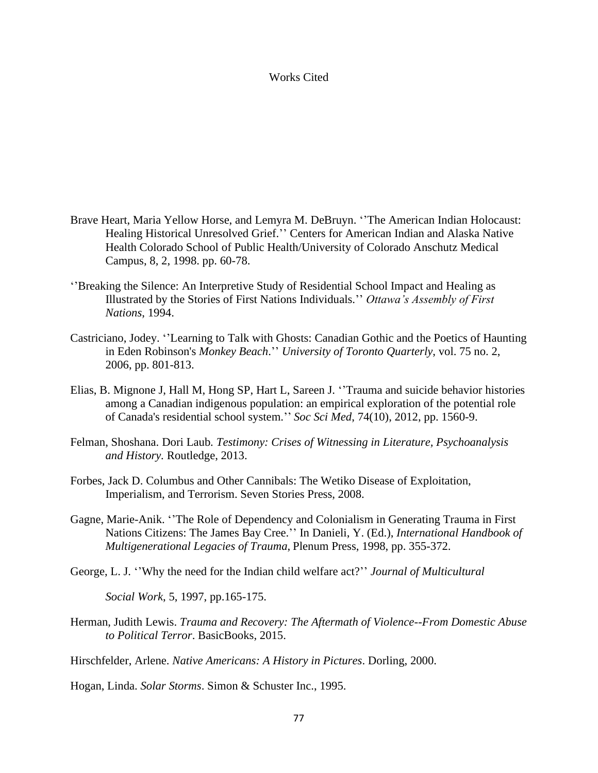## Works Cited

- Brave Heart, Maria Yellow Horse, and Lemyra M. DeBruyn. ''The American Indian Holocaust: Healing Historical Unresolved Grief.'' Centers for American Indian and Alaska Native Health Colorado School of Public Health/University of Colorado Anschutz Medical Campus, 8, 2, 1998. pp. 60-78.
- ''Breaking the Silence: An Interpretive Study of Residential School Impact and Healing as Illustrated by the Stories of First Nations Individuals.'' *Ottawa's Assembly of First Nations*, 1994.
- Castriciano, Jodey. ''Learning to Talk with Ghosts: Canadian Gothic and the Poetics of Haunting in Eden Robinson's *Monkey Beach*.'' *University of Toronto Quarterly*, vol. 75 no. 2, 2006, pp. 801-813.
- Elias, B. Mignone J, Hall M, Hong SP, Hart L, Sareen J. ''Trauma and suicide behavior histories among a Canadian indigenous population: an empirical exploration of the potential role of Canada's residential school system.'' *Soc Sci Med*, 74(10), 2012, pp. 1560-9.
- Felman, Shoshana. Dori Laub*. Testimony: Crises of Witnessing in Literature, Psychoanalysis and History.* Routledge, 2013.
- Forbes, Jack D. Columbus and Other Cannibals: The Wetiko Disease of Exploitation, Imperialism, and Terrorism. Seven Stories Press, 2008.
- Gagne, Marie-Anik. ''The Role of Dependency and Colonialism in Generating Trauma in First Nations Citizens: The James Bay Cree.'' In Danieli, Y. (Ed.), *International Handbook of Multigenerational Legacies of Trauma*, Plenum Press, 1998, pp. 355-372.
- George, L. J. ''Why the need for the Indian child welfare act?'' *Journal of Multicultural*

*Social Work*, 5, 1997, pp.165-175.

Herman, Judith Lewis. *Trauma and Recovery: The Aftermath of Violence--From Domestic Abuse to Political Terror*. BasicBooks, 2015.

Hirschfelder, Arlene. *Native Americans: A History in Pictures*. Dorling, 2000.

Hogan, Linda. *Solar Storms*. Simon & Schuster Inc., 1995.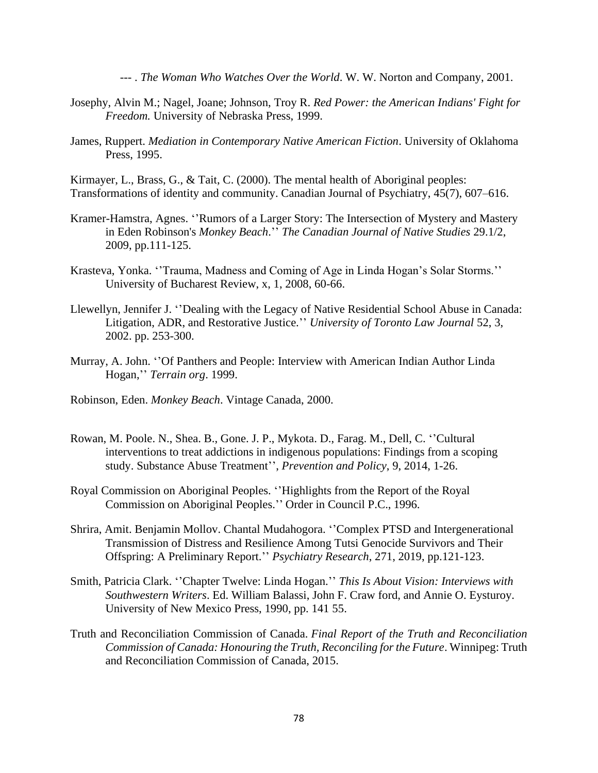--- . *The Woman Who Watches Over the World*. W. W. Norton and Company, 2001.

- Josephy, Alvin M.; Nagel, Joane; Johnson, Troy R. *Red Power: the American Indians' Fight for Freedom.* University of Nebraska Press, 1999.
- James, Ruppert. *Mediation in Contemporary Native American Fiction*. University of Oklahoma Press, 1995.

Kirmayer, L., Brass, G., & Tait, C. (2000). The mental health of Aboriginal peoples: Transformations of identity and community. Canadian Journal of Psychiatry, 45(7), 607–616.

- Kramer-Hamstra, Agnes. ''Rumors of a Larger Story: The Intersection of Mystery and Mastery in Eden Robinson's *Monkey Beach*.'' *The Canadian Journal of Native Studies* 29.1/2, 2009, pp.111-125.
- Krasteva, Yonka. ''Trauma, Madness and Coming of Age in Linda Hogan's Solar Storms.'' University of Bucharest Review, x, 1, 2008, 60-66.
- Llewellyn, Jennifer J. ''Dealing with the Legacy of Native Residential School Abuse in Canada: Litigation, ADR, and Restorative Justice.'' *University of Toronto Law Journal* 52, 3, 2002. pp. 253-300.
- Murray, A. John. ''Of Panthers and People: Interview with American Indian Author Linda Hogan,'' *Terrain org*. 1999.
- Robinson, Eden. *Monkey Beach*. Vintage Canada, 2000.
- Rowan, M. Poole. N., Shea. B., Gone. J. P., Mykota. D., Farag. M., Dell, C. ''Cultural interventions to treat addictions in indigenous populations: Findings from a scoping study. Substance Abuse Treatment'', *Prevention and Policy*, 9, 2014, 1-26.
- Royal Commission on Aboriginal Peoples. ''Highlights from the Report of the Royal Commission on Aboriginal Peoples.'' Order in Council P.C., 1996.
- Shrira, Amit. Benjamin Mollov. Chantal Mudahogora. ''Complex PTSD and Intergenerational Transmission of Distress and Resilience Among Tutsi Genocide Survivors and Their Offspring: A Preliminary Report.'' *Psychiatry Research*, 271, 2019, pp.121-123.
- Smith, Patricia Clark. ''Chapter Twelve: Linda Hogan.'' *This Is About Vision: Interviews with Southwestern Writers*. Ed. William Balassi, John F. Craw ford, and Annie O. Eysturoy. University of New Mexico Press, 1990, pp. 141 55.
- Truth and Reconciliation Commission of Canada. *Final Report of the Truth and Reconciliation Commission of Canada: Honouring the Truth, Reconciling for the Future*. Winnipeg: Truth and Reconciliation Commission of Canada, 2015.